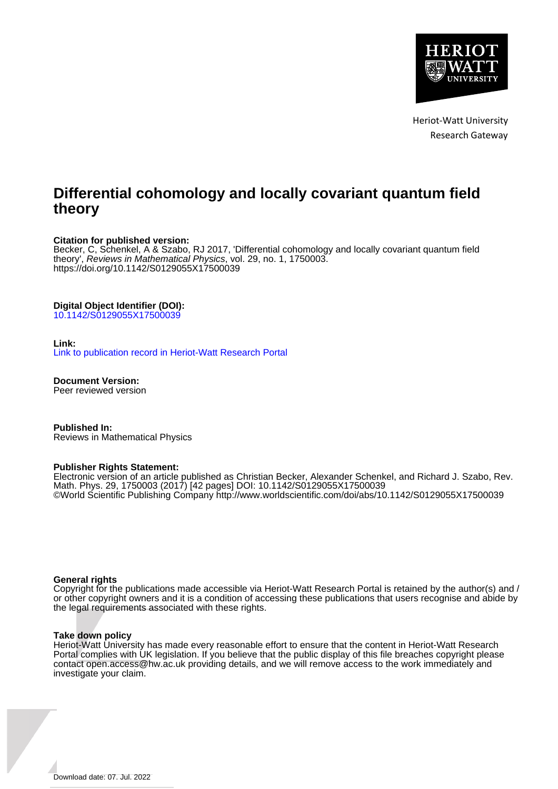

Heriot-Watt University Research Gateway

# **Differential cohomology and locally covariant quantum field theory**

#### **Citation for published version:**

Becker, C, Schenkel, A & Szabo, RJ 2017, 'Differential cohomology and locally covariant quantum field theory', Reviews in Mathematical Physics, vol. 29, no. 1, 1750003. <https://doi.org/10.1142/S0129055X17500039>

## **Digital Object Identifier (DOI):**

[10.1142/S0129055X17500039](https://doi.org/10.1142/S0129055X17500039)

#### **Link:**

[Link to publication record in Heriot-Watt Research Portal](https://researchportal.hw.ac.uk/en/publications/7898ac49-7bc2-4fc6-9bff-a25b068f26c1)

**Document Version:** Peer reviewed version

**Published In:** Reviews in Mathematical Physics

#### **Publisher Rights Statement:**

Electronic version of an article published as Christian Becker, Alexander Schenkel, and Richard J. Szabo, Rev. Math. Phys. 29, 1750003 (2017) [42 pages] DOI: 10.1142/S0129055X17500039 ©World Scientific Publishing Company http://www.worldscientific.com/doi/abs/10.1142/S0129055X17500039

#### **General rights**

Copyright for the publications made accessible via Heriot-Watt Research Portal is retained by the author(s) and / or other copyright owners and it is a condition of accessing these publications that users recognise and abide by the legal requirements associated with these rights.

#### **Take down policy**

Heriot-Watt University has made every reasonable effort to ensure that the content in Heriot-Watt Research Portal complies with UK legislation. If you believe that the public display of this file breaches copyright please contact open.access@hw.ac.uk providing details, and we will remove access to the work immediately and investigate your claim.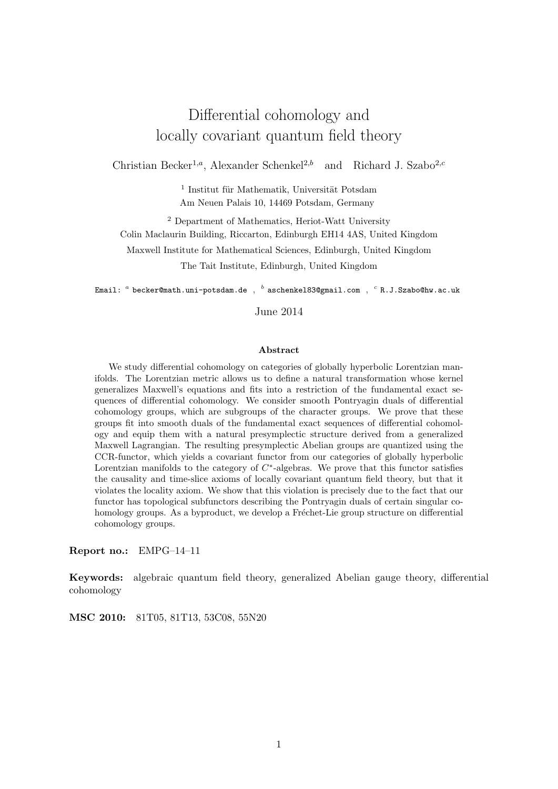# Differential cohomology and locally covariant quantum field theory

Christian Becker<sup>1,a</sup>, Alexander Schenkel<sup>2,b</sup> and Richard J. Szabo<sup>2,c</sup>

 $<sup>1</sup>$  Institut für Mathematik, Universität Potsdam</sup> Am Neuen Palais 10, 14469 Potsdam, Germany

<sup>2</sup> Department of Mathematics, Heriot-Watt University Colin Maclaurin Building, Riccarton, Edinburgh EH14 4AS, United Kingdom Maxwell Institute for Mathematical Sciences, Edinburgh, United Kingdom The Tait Institute, Edinburgh, United Kingdom

Email:  ${}^a$  becker@math.uni-potsdam.de ,  ${}^b$  aschenkel83@gmail.com ,  ${}^c$  R.J.Szabo@hw.ac.uk

June 2014

#### Abstract

We study differential cohomology on categories of globally hyperbolic Lorentzian manifolds. The Lorentzian metric allows us to define a natural transformation whose kernel generalizes Maxwell's equations and fits into a restriction of the fundamental exact sequences of differential cohomology. We consider smooth Pontryagin duals of differential cohomology groups, which are subgroups of the character groups. We prove that these groups fit into smooth duals of the fundamental exact sequences of differential cohomology and equip them with a natural presymplectic structure derived from a generalized Maxwell Lagrangian. The resulting presymplectic Abelian groups are quantized using the CCR-functor, which yields a covariant functor from our categories of globally hyperbolic Lorentzian manifolds to the category of  $C^*$ -algebras. We prove that this functor satisfies the causality and time-slice axioms of locally covariant quantum field theory, but that it violates the locality axiom. We show that this violation is precisely due to the fact that our functor has topological subfunctors describing the Pontryagin duals of certain singular cohomology groups. As a byproduct, we develop a Fréchet-Lie group structure on differential cohomology groups.

Report no.: EMPG–14–11

Keywords: algebraic quantum field theory, generalized Abelian gauge theory, differential cohomology

MSC 2010: 81T05, 81T13, 53C08, 55N20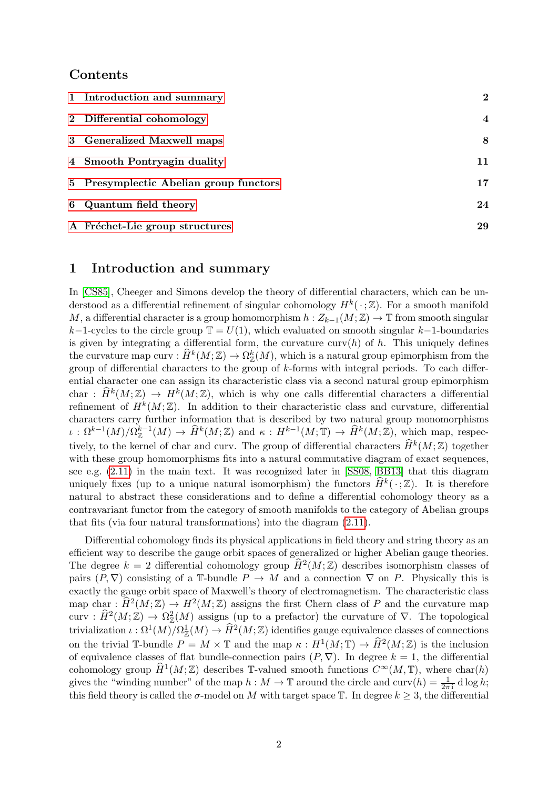## Contents

| 1 Introduction and summary             | $\bf{2}$                |
|----------------------------------------|-------------------------|
| 2 Differential cohomology              | $\overline{\mathbf{4}}$ |
| 3 Generalized Maxwell maps             | 8                       |
| 4 Smooth Pontryagin duality            | 11                      |
| 5 Presymplectic Abelian group functors | 17                      |
| 6 Quantum field theory                 | 24                      |
| A Fréchet-Lie group structures         | 29                      |

## <span id="page-2-0"></span>1 Introduction and summary

In [\[CS85\]](#page-34-0), Cheeger and Simons develop the theory of differential characters, which can be understood as a differential refinement of singular cohomology  $H^k(\cdot;\mathbb{Z})$ . For a smooth manifold M, a differential character is a group homomorphism  $h : Z_{k-1}(M; \mathbb{Z}) \to \mathbb{T}$  from smooth singular k−1-cycles to the circle group  $\mathbb{T} = U(1)$ , which evaluated on smooth singular k−1-boundaries is given by integrating a differential form, the curvature curv $(h)$  of h. This uniquely defines the curvature map curv :  $\widehat{H}^k(M; \mathbb{Z}) \to \Omega^k_{\mathbb{Z}}(M)$ , which is a natural group epimorphism from the group of differential characters to the group of  $k$ -forms with integral periods. To each differential character one can assign its characteristic class via a second natural group epimorphism char :  $\widehat{H}^k(M; \mathbb{Z}) \to H^k(M; \mathbb{Z})$ , which is why one calls differential characters a differential refinement of  $H^k(M;\mathbb{Z})$ . In addition to their characteristic class and curvature, differential characters carry further information that is described by two natural group monomorphisms  $\iota : \Omega^{k-1}(M)/\Omega_{\mathbb{Z}}^{k-1}(M) \to \widehat{H}^k(M;\mathbb{Z})$  and  $\kappa : H^{k-1}(M;\mathbb{T}) \to \widehat{H}^k(M;\mathbb{Z})$ , which map, respectively, to the kernel of char and curv. The group of differential characters  $\widehat{H}^k(M; \mathbb{Z})$  together with these group homomorphisms fits into a natural commutative diagram of exact sequences, see e.g. [\(2.11\)](#page-6-0) in the main text. It was recognized later in [\[SS08,](#page-35-0) [BB13\]](#page-33-0) that this diagram uniquely fixes (up to a unique natural isomorphism) the functors  $\widehat{H}^k(\cdot;\mathbb{Z})$ . It is therefore natural to abstract these considerations and to define a differential cohomology theory as a contravariant functor from the category of smooth manifolds to the category of Abelian groups that fits (via four natural transformations) into the diagram [\(2.11\)](#page-6-0).

Differential cohomology finds its physical applications in field theory and string theory as an efficient way to describe the gauge orbit spaces of generalized or higher Abelian gauge theories. The degree  $k = 2$  differential cohomology group  $\widehat{H}^2(M; \mathbb{Z})$  describes isomorphism classes of pairs  $(P, \nabla)$  consisting of a T-bundle  $P \to M$  and a connection  $\nabla$  on P. Physically this is exactly the gauge orbit space of Maxwell's theory of electromagnetism. The characteristic class map char :  $\widehat{H}^2(M; \mathbb{Z}) \to H^2(M; \mathbb{Z})$  assigns the first Chern class of P and the curvature map curv :  $\widehat{H}^2(M;\mathbb{Z}) \to \Omega_{\mathbb{Z}}^2(M)$  assigns (up to a prefactor) the curvature of  $\nabla$ . The topological trivialization  $\iota : \Omega^1(M)/\Omega^1_\mathbb{Z}(M) \to \widehat{H}^2(M;\mathbb{Z})$  identifies gauge equivalence classes of connections on the trivial T-bundle  $P = M \times T$  and the map  $\kappa : H^1(M; T) \to \widehat{H}^2(M; \mathbb{Z})$  is the inclusion of equivalence classes of flat bundle-connection pairs  $(P, \nabla)$ . In degree  $k = 1$ , the differential cohomology group  $\widehat{H}^1(M; \mathbb{Z})$  describes T-valued smooth functions  $C^{\infty}(M, \mathbb{T})$ , where char(h) gives the "winding number" of the map  $h : M \to \mathbb{T}$  around the circle and  $\text{curv}(h) = \frac{1}{2\pi i} d \log h$ ; this field theory is called the  $\sigma$ -model on M with target space T. In degree  $k \geq 3$ , the differential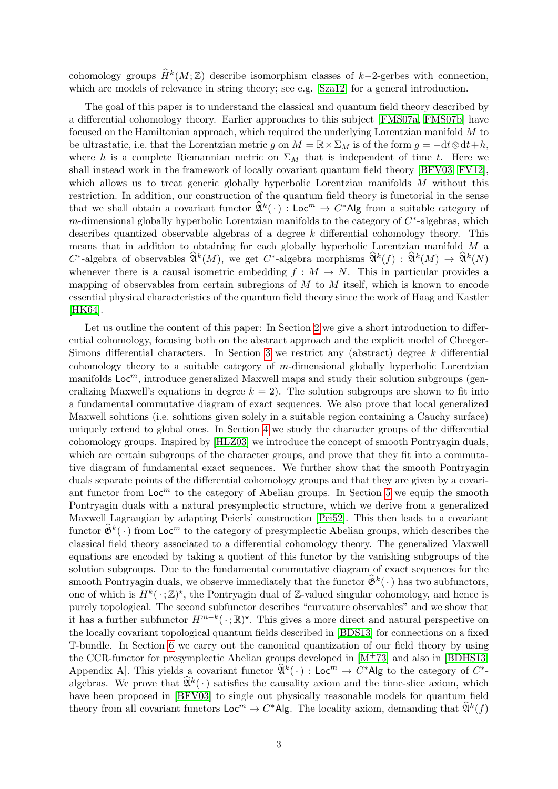cohomology groups  $\widehat{H}^k(M;\mathbb{Z})$  describe isomorphism classes of k-2-gerbes with connection, which are models of relevance in string theory; see e.g. [\[Sza12\]](#page-35-1) for a general introduction.

The goal of this paper is to understand the classical and quantum field theory described by a differential cohomology theory. Earlier approaches to this subject [\[FMS07a,](#page-34-1) [FMS07b\]](#page-34-2) have focused on the Hamiltonian approach, which required the underlying Lorentzian manifold M to be ultrastatic, i.e. that the Lorentzian metric g on  $M = \mathbb{R} \times \Sigma_M$  is of the form  $g = -dt \otimes dt + h$ , where h is a complete Riemannian metric on  $\Sigma_M$  that is independent of time t. Here we shall instead work in the framework of locally covariant quantum field theory [\[BFV03,](#page-34-3) [FV12\]](#page-34-4), which allows us to treat generic globally hyperbolic Lorentzian manifolds M without this restriction. In addition, our construction of the quantum field theory is functorial in the sense that we shall obtain a covariant functor  $\widehat{\mathfrak{A}}^k(\cdot)$  : Loc<sup>m</sup>  $\rightarrow$  C\*Alg from a suitable category of  $m$ -dimensional globally hyperbolic Lorentzian manifolds to the category of  $C^*$ -algebras, which describes quantized observable algebras of a degree  $k$  differential cohomology theory. This means that in addition to obtaining for each globally hyperbolic Lorentzian manifold  $M$  a  $C^*$ -algebra of observables  $\widehat{\mathfrak{A}}^k(M)$ , we get  $C^*$ -algebra morphisms  $\widehat{\mathfrak{A}}^k(f) : \widehat{\mathfrak{A}}^k(M) \to \widehat{\mathfrak{A}}^k(N)$ whenever there is a causal isometric embedding  $f : M \to N$ . This in particular provides a mapping of observables from certain subregions of  $M$  to  $M$  itself, which is known to encode essential physical characteristics of the quantum field theory since the work of Haag and Kastler [\[HK64\]](#page-34-5).

Let us outline the content of this paper: In Section [2](#page-4-0) we give a short introduction to differential cohomology, focusing both on the abstract approach and the explicit model of Cheeger-Simons differential characters. In Section [3](#page-8-0) we restrict any (abstract) degree  $k$  differential cohomology theory to a suitable category of m-dimensional globally hyperbolic Lorentzian manifolds  $Loc<sup>m</sup>$ , introduce generalized Maxwell maps and study their solution subgroups (generalizing Maxwell's equations in degree  $k = 2$ ). The solution subgroups are shown to fit into a fundamental commutative diagram of exact sequences. We also prove that local generalized Maxwell solutions (i.e. solutions given solely in a suitable region containing a Cauchy surface) uniquely extend to global ones. In Section [4](#page-11-0) we study the character groups of the differential cohomology groups. Inspired by [\[HLZ03\]](#page-34-6) we introduce the concept of smooth Pontryagin duals, which are certain subgroups of the character groups, and prove that they fit into a commutative diagram of fundamental exact sequences. We further show that the smooth Pontryagin duals separate points of the differential cohomology groups and that they are given by a covariant functor from  $\text{Loc}^m$  to the category of Abelian groups. In Section [5](#page-17-0) we equip the smooth Pontryagin duals with a natural presymplectic structure, which we derive from a generalized Maxwell Lagrangian by adapting Peierls' construction [\[Pei52\]](#page-34-7). This then leads to a covariant functor  $\hat{\mathfrak{G}}^k(\cdot)$  from Loc<sup>m</sup> to the category of presymplectic Abelian groups, which describes the classical field theory associated to a differential cohomology theory. The generalized Maxwell equations are encoded by taking a quotient of this functor by the vanishing subgroups of the solution subgroups. Due to the fundamental commutative diagram of exact sequences for the smooth Pontryagin duals, we observe immediately that the functor  $\hat{\mathfrak{G}}^k(\cdot)$  has two subfunctors, one of which is  $H^k(\cdot;\mathbb{Z})^*$ , the Pontryagin dual of Z-valued singular cohomology, and hence is purely topological. The second subfunctor describes "curvature observables" and we show that it has a further subfunctor  $H^{m-k}(\cdot; \mathbb{R})^*$ . This gives a more direct and natural perspective on the locally covariant topological quantum fields described in [\[BDS13\]](#page-33-1) for connections on a fixed T-bundle. In Section [6](#page-24-0) we carry out the canonical quantization of our field theory by using the CCR-functor for presymplectic Abelian groups developed in  $[M<sup>+</sup>73]$  $[M<sup>+</sup>73]$  and also in [\[BDHS13,](#page-33-2) Appendix A. This yields a covariant functor  $\widehat{\mathfrak{A}}^k(\cdot)$  : Loc<sup> $m \to C^*$ </sup>Alg to the category of  $C^*$ . algebras. We prove that  $\widehat{\mathfrak{A}}^k(\cdot)$  satisfies the causality axiom and the time-slice axiom, which have been proposed in [\[BFV03\]](#page-34-3) to single out physically reasonable models for quantum field theory from all covariant functors  $\mathsf{Loc}^m \to C^* \mathsf{Alg}$ . The locality axiom, demanding that  $\widehat{\mathfrak{A}}^k(f)$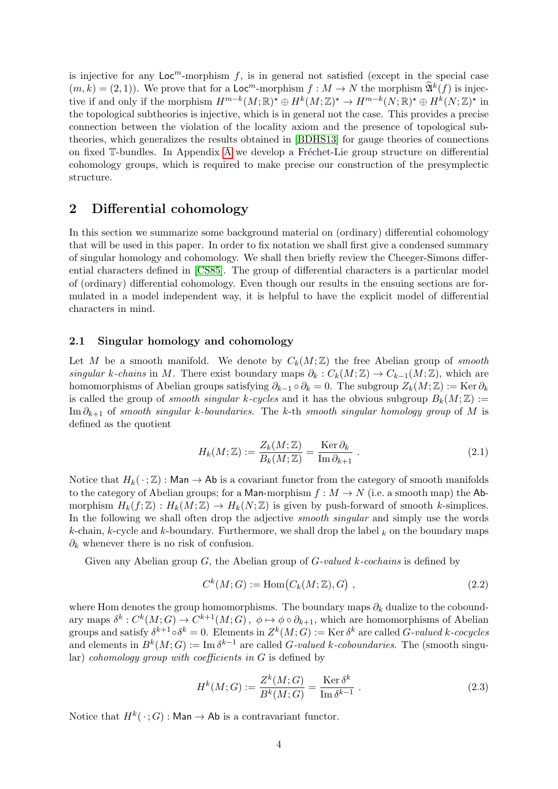is injective for any  $\text{Loc}^m$ -morphism f, is in general not satisfied (except in the special case  $(m, k) = (2, 1)$ . We prove that for a  $\mathsf{Loc}^m$ -morphism  $f : M \to N$  the morphism  $\mathfrak{A}^k(f)$  is injective if and only if the morphism  $H^{m-k}(M;\mathbb{R})^* \oplus H^k(M;\mathbb{Z})^* \to H^{m-k}(N;\mathbb{R})^* \oplus H^k(N;\mathbb{Z})^*$  in the topological subtheories is injective, which is in general not the case. This provides a precise connection between the violation of the locality axiom and the presence of topological subtheories, which generalizes the results obtained in [\[BDHS13\]](#page-33-2) for gauge theories of connections on fixed  $\mathbb{T}\text{-}$ bundles. In [A](#page-29-0)ppendix A we develop a Fréchet-Lie group structure on differential cohomology groups, which is required to make precise our construction of the presymplectic structure.

# <span id="page-4-0"></span>2 Differential cohomology

In this section we summarize some background material on (ordinary) differential cohomology that will be used in this paper. In order to fix notation we shall first give a condensed summary of singular homology and cohomology. We shall then briefly review the Cheeger-Simons differential characters defined in [\[CS85\]](#page-34-0). The group of differential characters is a particular model of (ordinary) differential cohomology. Even though our results in the ensuing sections are formulated in a model independent way, it is helpful to have the explicit model of differential characters in mind.

## 2.1 Singular homology and cohomology

Let M be a smooth manifold. We denote by  $C_k(M;\mathbb{Z})$  the free Abelian group of smooth singular k-chains in M. There exist boundary maps  $\partial_k : C_k(M; \mathbb{Z}) \to C_{k-1}(M; \mathbb{Z})$ , which are homomorphisms of Abelian groups satisfying  $\partial_{k-1} \circ \partial_k = 0$ . The subgroup  $Z_k(M; \mathbb{Z}) := \text{Ker } \partial_k$ is called the group of *smooth singular k-cycles* and it has the obvious subgroup  $B_k(M;\mathbb{Z}) :=$ Im  $\partial_{k+1}$  of smooth singular k-boundaries. The k-th smooth singular homology group of M is defined as the quotient

$$
H_k(M; \mathbb{Z}) := \frac{Z_k(M; \mathbb{Z})}{B_k(M; \mathbb{Z})} = \frac{\text{Ker } \partial_k}{\text{Im } \partial_{k+1}}.
$$
\n(2.1)

Notice that  $H_k(\cdot; \mathbb{Z})$ : Man  $\rightarrow$  Ab is a covariant functor from the category of smooth manifolds to the category of Abelian groups; for a Man-morphism  $f : M \to N$  (i.e. a smooth map) the Abmorphism  $H_k(f; \mathbb{Z}) : H_k(M; \mathbb{Z}) \to H_k(N; \mathbb{Z})$  is given by push-forward of smooth k-simplices. In the following we shall often drop the adjective *smooth singular* and simply use the words k-chain, k-cycle and k-boundary. Furthermore, we shall drop the label  $_k$  on the boundary maps  $\partial_k$  whenever there is no risk of confusion.

Given any Abelian group  $G$ , the Abelian group of  $G$ -valued k-cochains is defined by

$$
C^k(M;G) := \text{Hom}(C_k(M; \mathbb{Z}), G) \tag{2.2}
$$

where Hom denotes the group homomorphisms. The boundary maps  $\partial_k$  dualize to the coboundary maps  $\delta^k: C^k(M; G) \to C^{k+1}(M; G)$ ,  $\phi \mapsto \phi \circ \partial_{k+1}$ , which are homomorphisms of Abelian groups and satisfy  $\delta^{k+1} \circ \delta^k = 0$ . Elements in  $Z^k(M;G) := \text{Ker} \, \delta^k$  are called G-valued k-cocycles and elements in  $B^k(M;G) := \text{Im } \delta^{k-1}$  are called G-valued k-coboundaries. The (smooth singu- $\text{lar})$  cohomology group with coefficients in G is defined by

$$
H^{k}(M;G) := \frac{Z^{k}(M;G)}{B^{k}(M;G)} = \frac{\text{Ker }\delta^{k}}{\text{Im }\delta^{k-1}}.
$$
\n(2.3)

Notice that  $H^k(\cdot;G): \mathsf{Man} \to \mathsf{Ab}$  is a contravariant functor.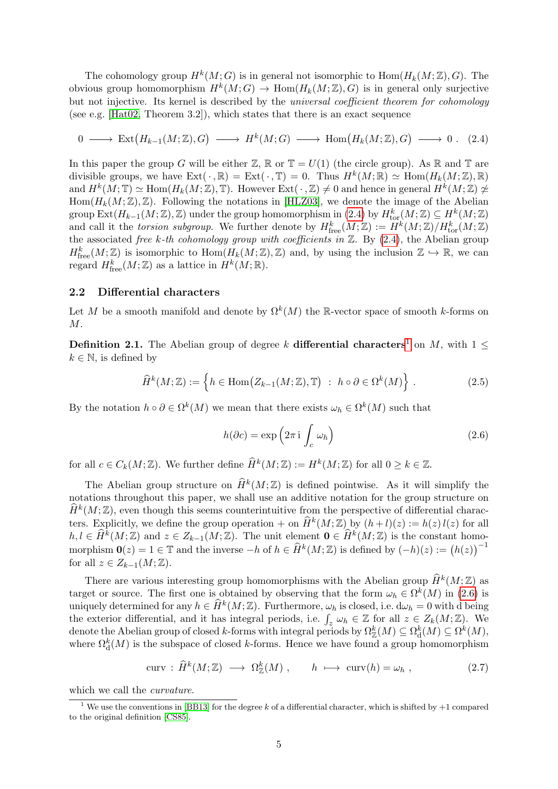The cohomology group  $H^k(M;G)$  is in general not isomorphic to  $\text{Hom}(H_k(M;\mathbb{Z}),G)$ . The obvious group homomorphism  $H^k(M;G) \to \text{Hom}(H_k(M;\mathbb{Z}),G)$  is in general only surjective but not injective. Its kernel is described by the *universal coefficient theorem for cohomology* (see e.g. [ $Hat02$ , Theorem 3.2]), which states that there is an exact sequence

$$
0 \longrightarrow \text{Ext}(H_{k-1}(M;\mathbb{Z}),G) \longrightarrow H^k(M;G) \longrightarrow \text{Hom}(H_k(M;\mathbb{Z}),G) \longrightarrow 0. (2.4)
$$

In this paper the group G will be either  $\mathbb{Z}, \mathbb{R}$  or  $\mathbb{T} = U(1)$  (the circle group). As  $\mathbb{R}$  and  $\mathbb{T}$  are divisible groups, we have  $Ext(\cdot, \mathbb{R}) = Ext(\cdot, \mathbb{T}) = 0$ . Thus  $H^k(M; \mathbb{R}) \simeq Hom(H_k(M; \mathbb{Z}), \mathbb{R})$ and  $H^k(M; \mathbb{T}) \simeq \text{Hom}(H_k(M; \mathbb{Z}), \mathbb{T})$ . However  $\text{Ext}(\cdot, \mathbb{Z}) \neq 0$  and hence in general  $H^k(M; \mathbb{Z}) \not\simeq$  $Hom(H_k(M;\mathbb{Z}),\mathbb{Z})$ . Following the notations in [\[HLZ03\]](#page-34-6), we denote the image of the Abelian group  $\text{Ext}(H_{k-1}(M;\mathbb{Z}),\mathbb{Z})$  under the group homomorphism in  $(2.4)$  by  $H^k_{\text{tor}}(M;\mathbb{Z}) \subseteq H^k(M;\mathbb{Z})$ and call it the torsion subgroup. We further denote by  $H^k_{\text{free}}(M;\mathbb{Z}) := H^k(M;\mathbb{Z})/H^k_{\text{tor}}(M;\mathbb{Z})$ the associated free k-th cohomology group with coefficients in  $\mathbb{Z}$ . By [\(2.4\)](#page-5-0), the Abelian group  $H^k_{\text{free}}(M;\mathbb{Z})$  is isomorphic to  $\text{Hom}(H_k(M;\mathbb{Z}),\mathbb{Z})$  and, by using the inclusion  $\mathbb{Z} \hookrightarrow \mathbb{R}$ , we can regard  $H^k_{\text{free}}(M;\mathbb{Z})$  as a lattice in  $H^k(M;\mathbb{R})$ .

## 2.2 Differential characters

Let M be a smooth manifold and denote by  $\Omega^k(M)$  the R-vector space of smooth k-forms on  $M$ .

**Definition 2.[1](#page-5-1).** The Abelian group of degree k differential characters<sup>1</sup> on M, with  $1 \leq$  $k \in \mathbb{N}$ , is defined by

$$
\widehat{H}^k(M; \mathbb{Z}) := \left\{ h \in \text{Hom}\big( Z_{k-1}(M; \mathbb{Z}), \mathbb{T} \big) : h \circ \partial \in \Omega^k(M) \right\}.
$$
 (2.5)

By the notation  $h \circ \partial \in \Omega^k(M)$  we mean that there exists  $\omega_h \in \Omega^k(M)$  such that

<span id="page-5-2"></span><span id="page-5-0"></span>
$$
h(\partial c) = \exp\left(2\pi i \int_c \omega_h\right) \tag{2.6}
$$

for all  $c \in C_k(M; \mathbb{Z})$ . We further define  $\widehat{H}^k(M; \mathbb{Z}) := H^k(M; \mathbb{Z})$  for all  $0 \geq k \in \mathbb{Z}$ .

The Abelian group structure on  $\widehat{H}^k(M;\mathbb{Z})$  is defined pointwise. As it will simplify the notations throughout this paper, we shall use an additive notation for the group structure on  $\widehat{H}^k(M;\mathbb{Z})$ , even though this seems counterintuitive from the perspective of differential characters. Explicitly, we define the group operation + on  $\widehat{H}^k(M;\mathbb{Z})$  by  $(h+l)(z) := h(z) l(z)$  for all  $h, l \in \widehat{H}^k(M; \mathbb{Z})$  and  $z \in Z_{k-1}(M; \mathbb{Z})$ . The unit element  $\mathbf{0} \in \widehat{H}^k(M; \mathbb{Z})$  is the constant homomorphism  $\mathbf{0}(z) = 1 \in \mathbb{T}$  and the inverse  $-h$  of  $h \in \widehat{H}^k(M; \mathbb{Z})$  is defined by  $(-h)(z) := (h(z))^{-1}$ for all  $z \in Z_{k-1}(M;\mathbb{Z})$ .

There are various interesting group homomorphisms with the Abelian group  $\widehat{H}^k(M; \mathbb{Z})$  as target or source. The first one is obtained by observing that the form  $\omega_h \in \Omega^k(M)$  in [\(2.6\)](#page-5-2) is uniquely determined for any  $h \in \widehat{H}^k(M; \mathbb{Z})$ . Furthermore,  $\omega_h$  is closed, i.e.  $d\omega_h = 0$  with d being the exterior differential, and it has integral periods, i.e.  $\int_z \omega_h \in \mathbb{Z}$  for all  $z \in Z_k(M; \mathbb{Z})$ . We denote the Abelian group of closed k-forms with integral periods by  $\Omega_{\mathbb{Z}}^k(M) \subseteq \Omega_{\mathrm{d}}^k(M) \subseteq \Omega^k(M)$ , where  $\Omega_d^k(M)$  is the subspace of closed k-forms. Hence we have found a group homomorphism

$$
curv: \widehat{H}^k(M; \mathbb{Z}) \longrightarrow \Omega^k_{\mathbb{Z}}(M) , \qquad h \longmapsto curv(h) = \omega_h , \qquad (2.7)
$$

which we call the *curvature*.

<span id="page-5-1"></span><sup>&</sup>lt;sup>1</sup> We use the conventions in [\[BB13\]](#page-33-0) for the degree k of a differential character, which is shifted by  $+1$  compared to the original definition [\[CS85\]](#page-34-0).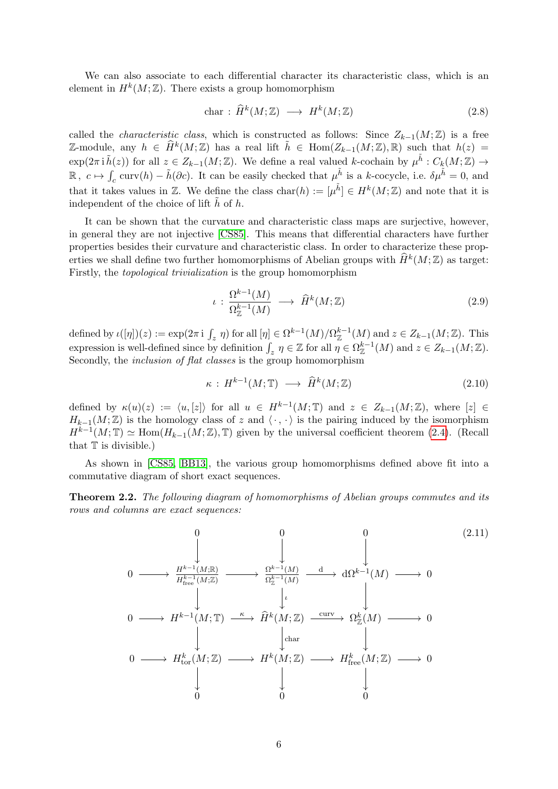We can also associate to each differential character its characteristic class, which is an element in  $H^k(M;\mathbb{Z})$ . There exists a group homomorphism

$$
char: \widehat{H}^k(M; \mathbb{Z}) \longrightarrow H^k(M; \mathbb{Z}) \tag{2.8}
$$

called the *characteristic class*, which is constructed as follows: Since  $Z_{k-1}(M;\mathbb{Z})$  is a free  $\mathbb{Z}\text{-module},$  any  $h \in \widehat{H}^k(M;\mathbb{Z})$  has a real lift  $\tilde{h} \in \text{Hom}(Z_{k-1}(M;\mathbb{Z}),\mathbb{R})$  such that  $h(z) =$  $\exp(2\pi i \tilde{h}(z))$  for all  $z \in Z_{k-1}(M;\mathbb{Z})$ . We define a real valued k-cochain by  $\mu^{\tilde{h}}: C_k(M;\mathbb{Z}) \to$  $\mathbb{R}, c \mapsto \int_c \text{curv}(h) - \tilde{h}(\partial c)$ . It can be easily checked that  $\mu^{\tilde{h}}$  is a k-cocycle, i.e.  $\delta \mu^{\tilde{h}} = 0$ , and that it takes values in Z. We define the class  $char(h) := [\mu^{\tilde{h}}] \in H^k(M; \mathbb{Z})$  and note that it is independent of the choice of lift  $\tilde{h}$  of h.

It can be shown that the curvature and characteristic class maps are surjective, however, in general they are not injective [\[CS85\]](#page-34-0). This means that differential characters have further properties besides their curvature and characteristic class. In order to characterize these properties we shall define two further homomorphisms of Abelian groups with  $\widehat{H}^k(M;\mathbb{Z})$  as target: Firstly, the topological trivialization is the group homomorphism

$$
\iota: \frac{\Omega^{k-1}(M)}{\Omega_{\mathbb{Z}}^{k-1}(M)} \longrightarrow \widehat{H}^k(M; \mathbb{Z})
$$
\n(2.9)

defined by  $\iota([\eta])(z) := \exp(2\pi i \int_z \eta)$  for all  $[\eta] \in \Omega^{k-1}(M)/\Omega^{k-1}_\mathbb{Z}(M)$  and  $z \in Z_{k-1}(M;\mathbb{Z})$ . This expression is well-defined since by definition  $\int_z \eta \in \mathbb{Z}$  for all  $\eta \in \Omega_{\mathbb{Z}}^{k-1}(M)$  and  $z \in Z_{k-1}(M;\mathbb{Z})$ . Secondly, the *inclusion of flat classes* is the group homomorphism

<span id="page-6-0"></span>
$$
\kappa: H^{k-1}(M; \mathbb{T}) \longrightarrow \widehat{H}^k(M; \mathbb{Z}) \tag{2.10}
$$

defined by  $\kappa(u)(z) := \langle u, [z] \rangle$  for all  $u \in H^{k-1}(M; \mathbb{T})$  and  $z \in Z_{k-1}(M; \mathbb{Z})$ , where  $[z] \in$  $H_{k-1}(M;\mathbb{Z})$  is the homology class of z and  $\langle \cdot, \cdot \rangle$  is the pairing induced by the isomorphism  $H^{k-1}(M; \mathbb{T}) \simeq \text{Hom}(H_{k-1}(M; \mathbb{Z}), \mathbb{T})$  given by the universal coefficient theorem [\(2.4\)](#page-5-0). (Recall that  $T$  is divisible.)

As shown in [\[CS85,](#page-34-0) [BB13\]](#page-33-0), the various group homomorphisms defined above fit into a commutative diagram of short exact sequences.

**Theorem 2.2.** The following diagram of homomorphisms of Abelian groups commutes and its rows and columns are exact sequences:

$$
0 \longrightarrow H^{k-1}(M;\mathbb{Z}) \longrightarrow \begin{array}{c} 0 & 0 & 0 \\ \downarrow & \downarrow & \downarrow \\ H^{k-1}(M;\mathbb{Z}) & \longrightarrow \Omega^{k-1}(M) & \longrightarrow 0 \\ \downarrow & \downarrow & \downarrow \\ 0 & \longrightarrow H^{k-1}(M;\mathbb{T}) \longrightarrow \hat{H}^{k}(M;\mathbb{Z}) \longrightarrow \Omega^{k}(M) \longrightarrow 0 \\ \downarrow & \downarrow & \downarrow \\ 0 & \longrightarrow H^{k-1}(M;\mathbb{Z}) \longrightarrow \hat{H}^{k}(M;\mathbb{Z}) \longrightarrow \Omega^{k}(M) \longrightarrow 0 \\ \downarrow & \downarrow & \downarrow \\ 0 & \downarrow & \downarrow & \downarrow \\ 0 & 0 & 0 & 0 \end{array} \tag{2.11}
$$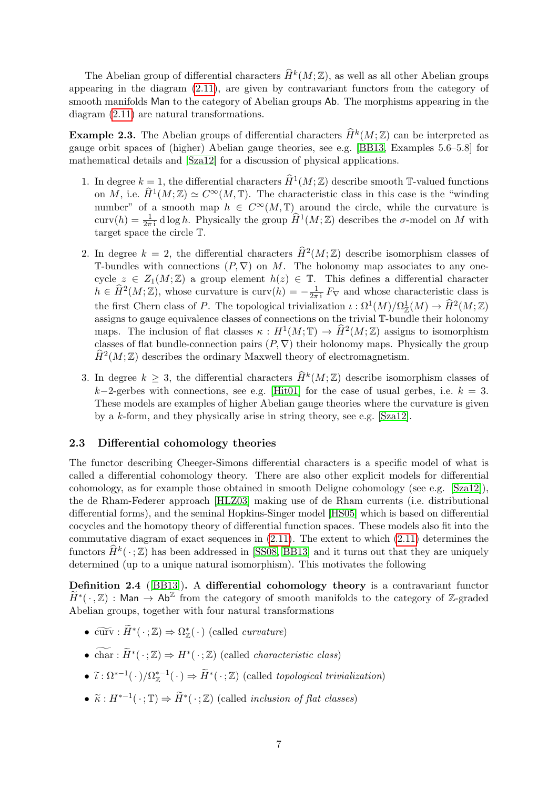The Abelian group of differential characters  $\widehat{H}^k(M; \mathbb{Z})$ , as well as all other Abelian groups appearing in the diagram [\(2.11\)](#page-6-0), are given by contravariant functors from the category of smooth manifolds Man to the category of Abelian groups Ab. The morphisms appearing in the diagram [\(2.11\)](#page-6-0) are natural transformations.

**Example 2.3.** The Abelian groups of differential characters  $\widehat{H}^k(M; \mathbb{Z})$  can be interpreted as gauge orbit spaces of (higher) Abelian gauge theories, see e.g. [\[BB13,](#page-33-0) Examples 5.6–5.8] for mathematical details and [\[Sza12\]](#page-35-1) for a discussion of physical applications.

- 1. In degree  $k = 1$ , the differential characters  $\widehat{H}^1(M; \mathbb{Z})$  describe smooth T-valued functions on M, i.e.  $\widehat{H}^1(M;\mathbb{Z}) \simeq C^{\infty}(M,\mathbb{T})$ . The characteristic class in this case is the "winding number" of a smooth map  $h \in C^{\infty}(M, \mathbb{T})$  around the circle, while the curvature is curv $(h) = \frac{1}{2\pi i} \text{d} \log h$ . Physically the group  $\widehat{H}^1(M; \mathbb{Z})$  describes the  $\sigma$ -model on M with target space the circle T.
- 2. In degree  $k = 2$ , the differential characters  $\widehat{H}^2(M; \mathbb{Z})$  describe isomorphism classes of T-bundles with connections  $(P, \nabla)$  on M. The holonomy map associates to any onecycle  $z \in Z_1(M;\mathbb{Z})$  a group element  $h(z) \in \mathbb{T}$ . This defines a differential character  $h \in \hat{H}^2(M; \mathbb{Z})$ , whose curvature is curv $(h) = -\frac{1}{2\pi}$  $\frac{1}{2\pi i} F_{\nabla}$  and whose characteristic class is the first Chern class of P. The topological trivialization  $\iota : \Omega^1(M)/\Omega^1_{\mathbb{Z}}(M) \to \hat{H}^2(M;\mathbb{Z})$ assigns to gauge equivalence classes of connections on the trivial T-bundle their holonomy maps. The inclusion of flat classes  $\kappa : H^1(M; \mathbb{T}) \to \hat{H}^2(M; \mathbb{Z})$  assigns to isomorphism classes of flat bundle-connection pairs  $(P, \nabla)$  their holonomy maps. Physically the group  $\widehat{H}^2(M; \mathbb{Z})$  describes the ordinary Maxwell theory of electromagnetism.
- 3. In degree  $k \geq 3$ , the differential characters  $\widehat{H}^k(M; \mathbb{Z})$  describe isomorphism classes of k−2-gerbes with connections, see e.g. [\[Hit01\]](#page-34-10) for the case of usual gerbes, i.e.  $k = 3$ . These models are examples of higher Abelian gauge theories where the curvature is given by a k-form, and they physically arise in string theory, see e.g. [\[Sza12\]](#page-35-1).

## 2.3 Differential cohomology theories

The functor describing Cheeger-Simons differential characters is a specific model of what is called a differential cohomology theory. There are also other explicit models for differential cohomology, as for example those obtained in smooth Deligne cohomology (see e.g. [\[Sza12\]](#page-35-1)), the de Rham-Federer approach [\[HLZ03\]](#page-34-6) making use of de Rham currents (i.e. distributional differential forms), and the seminal Hopkins-Singer model [\[HS05\]](#page-34-11) which is based on differential cocycles and the homotopy theory of differential function spaces. These models also fit into the commutative diagram of exact sequences in  $(2.11)$ . The extent to which  $(2.11)$  determines the functors  $\widehat{H}^k(\cdot;\mathbb{Z})$  has been addressed in [\[SS08,](#page-35-0) [BB13\]](#page-33-0) and it turns out that they are uniquely determined (up to a unique natural isomorphism). This motivates the following

Definition 2.4 ([\[BB13\]](#page-33-0)). A differential cohomology theory is a contravariant functor  $\widetilde{H}^*(\cdot,\mathbb{Z})$ : Man  $\rightarrow$  Ab<sup>Z</sup> from the category of smooth manifolds to the category of Z-graded Abelian groups, together with four natural transformations

- $\widetilde{\mathrm{curv}} : \widetilde{H}^*(\cdot;\mathbb{Z}) \Rightarrow \Omega^*_{\mathbb{Z}}(\cdot)$  (called *curvature*)
- char:  $\widetilde{H}^*(\cdot;\mathbb{Z}) \Rightarrow H^*(\cdot;\mathbb{Z})$  (called *characteristic class*)
- $\tilde{\iota}: \Omega^{*-1}(\cdot)/\Omega_{\mathbb{Z}}^{*-1}(\cdot) \Rightarrow \tilde{H}^*(\cdot;\mathbb{Z})$  (called topological trivialization)
- $\widetilde{\kappa}: H^{*-1}(\cdot; \mathbb{T}) \Rightarrow \widetilde{H}^*(\cdot; \mathbb{Z})$  (called *inclusion of flat classes*)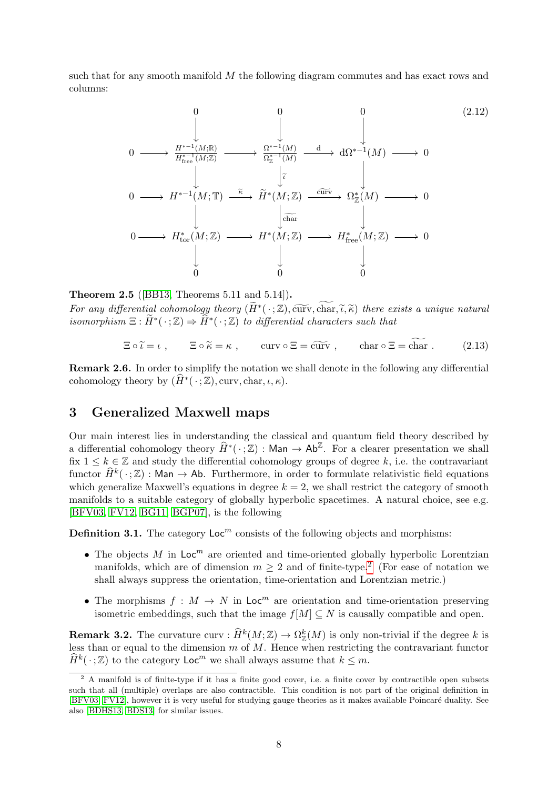such that for any smooth manifold M the following diagram commutes and has exact rows and columns:

<span id="page-8-2"></span>
$$
0 \longrightarrow \frac{H^{*-1}(M;\mathbb{R})}{H^{*-1}_{free}(M;\mathbb{Z})} \longrightarrow \frac{\Omega^{*-1}(M)}{\Omega_{\mathbb{Z}}^{*-1}(M)} \longrightarrow d\Omega^{*-1}(M) \longrightarrow 0
$$
\n
$$
0 \longrightarrow H^{*-1}(M;\mathbb{T}) \stackrel{\tilde{\kappa}}{\longrightarrow} \tilde{H}^{*}(M;\mathbb{Z}) \stackrel{\text{curv}}{\longrightarrow} \Omega_{\mathbb{Z}}^{*}(M) \longrightarrow 0
$$
\n
$$
\downarrow
$$
\n
$$
0 \longrightarrow H^{*-1}(M;\mathbb{T}) \stackrel{\tilde{\kappa}}{\longrightarrow} \tilde{H}^{*}(M;\mathbb{Z}) \stackrel{\text{curv}}{\longrightarrow} \Omega_{\mathbb{Z}}^{*}(M) \longrightarrow 0
$$
\n
$$
\downarrow
$$
\n
$$
0 \longrightarrow H^{*}_{tor}(M;\mathbb{Z}) \longrightarrow H^{*}(M;\mathbb{Z}) \longrightarrow H^{*}_{free}(M;\mathbb{Z}) \longrightarrow 0
$$
\n
$$
\downarrow
$$
\n
$$
0 \qquad \qquad 0 \qquad \qquad 0
$$
\n
$$
(2.12)
$$

### Theorem 2.5 ([\[BB13,](#page-33-0) Theorems 5.11 and 5.14]).

For any differential cohomology theory  $(\widetilde{H}^*(\cdot;\mathbb{Z}), \widetilde{\text{curv}}, \widetilde{\text{char}}, \widetilde{\lambda}, \widetilde{\kappa})$  there exists a unique natural<br>isomorphism  $\Xi : \widetilde{H}^*(\cdot;\mathbb{Z}) \to \widetilde{H}^*(\cdot;\mathbb{Z})$  to differential characters such that isomorphism  $\Xi : \widetilde{H}^*(\cdot;\mathbb{Z}) \Rightarrow \widehat{H}^*(\cdot;\mathbb{Z})$  to differential characters such that

$$
\Xi \circ \widetilde{\iota} = \iota \;, \qquad \Xi \circ \widetilde{\kappa} = \kappa \;, \qquad \text{curv} \circ \Xi = \widetilde{\text{curv}} \;, \qquad \text{char} \circ \Xi = \text{char} \; . \tag{2.13}
$$

Remark 2.6. In order to simplify the notation we shall denote in the following any differential cohomology theory by  $(\widehat{H}^*(\cdot;\mathbb{Z}), \text{curv}, \text{char}, \iota, \kappa).$ 

# <span id="page-8-0"></span>3 Generalized Maxwell maps

Our main interest lies in understanding the classical and quantum field theory described by a differential cohomology theory  $\widehat{H}^*(\cdot;\mathbb{Z})$ : Man  $\rightarrow$  Ab<sup> $\mathbb{Z}$ </sup>. For a clearer presentation we shall fix  $1 \leq k \in \mathbb{Z}$  and study the differential cohomology groups of degree k, i.e. the contravariant functor  $\widehat{H}^k(\cdot;\mathbb{Z})$ : Man  $\rightarrow$  Ab. Furthermore, in order to formulate relativistic field equations which generalize Maxwell's equations in degree  $k = 2$ , we shall restrict the category of smooth manifolds to a suitable category of globally hyperbolic spacetimes. A natural choice, see e.g. [\[BFV03,](#page-34-3) [FV12,](#page-34-4) [BG11,](#page-33-3) [BGP07\]](#page-33-4), is the following

**Definition 3.1.** The category  $\text{Loc}^m$  consists of the following objects and morphisms:

- The objects M in  $Loc<sup>m</sup>$  are oriented and time-oriented globally hyperbolic Lorentzian manifolds, which are of dimension  $m \geq 2$  $m \geq 2$  and of finite-type.<sup>2</sup> (For ease of notation we shall always suppress the orientation, time-orientation and Lorentzian metric.)
- The morphisms  $f : M \to N$  in  $\mathsf{Loc}^m$  are orientation and time-orientation preserving isometric embeddings, such that the image  $f[M] \subseteq N$  is causally compatible and open.

**Remark 3.2.** The curvature curv :  $\widehat{H}^k(M; \mathbb{Z}) \to \Omega_{\mathbb{Z}}^k(M)$  is only non-trivial if the degree k is less than or equal to the dimension  $m$  of  $M$ . Hence when restricting the contravariant functor  $\widehat{H}^k(\cdot;\mathbb{Z})$  to the category  $\mathsf{Loc}^m$  we shall always assume that  $k \leq m$ .

<span id="page-8-1"></span><sup>&</sup>lt;sup>2</sup> A manifold is of finite-type if it has a finite good cover, i.e. a finite cover by contractible open subsets such that all (multiple) overlaps are also contractible. This condition is not part of the original definition in [\[BFV03,](#page-34-3) [FV12\]](#page-34-4), however it is very useful for studying gauge theories as it makes available Poincaré duality. See also [\[BDHS13,](#page-33-2) [BDS13\]](#page-33-1) for similar issues.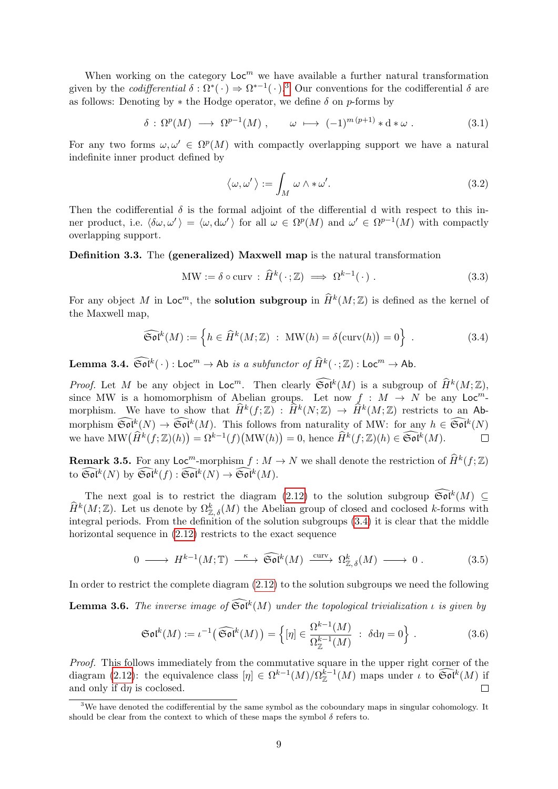When working on the category  $Loc<sup>m</sup>$  we have available a further natural transformation given by the *codifferential*  $\delta : \Omega^*(\cdot) \to \Omega^{*-1}(\cdot).$ <sup>[3](#page-9-0)</sup> Our conventions for the codifferential  $\delta$  are as follows: Denoting by  $*$  the Hodge operator, we define  $\delta$  on p-forms by

$$
\delta : \Omega^p(M) \longrightarrow \Omega^{p-1}(M) , \qquad \omega \longmapsto (-1)^{m(p+1)} * d * \omega . \tag{3.1}
$$

For any two forms  $\omega, \omega' \in \Omega^p(M)$  with compactly overlapping support we have a natural indefinite inner product defined by

<span id="page-9-2"></span><span id="page-9-1"></span>
$$
\langle \omega, \omega' \rangle := \int_M \omega \wedge * \omega'. \tag{3.2}
$$

Then the codifferential  $\delta$  is the formal adjoint of the differential d with respect to this inner product, i.e.  $\langle \delta \omega, \omega' \rangle = \langle \omega, d\omega' \rangle$  for all  $\omega \in \Omega^p(M)$  and  $\omega' \in \Omega^{p-1}(M)$  with compactly overlapping support.

Definition 3.3. The (generalized) Maxwell map is the natural transformation

$$
\text{MW} := \delta \circ \text{curv} : \hat{H}^k(\cdot; \mathbb{Z}) \implies \Omega^{k-1}(\cdot). \tag{3.3}
$$

For any object M in  $\mathsf{Loc}^m$ , the **solution subgroup** in  $\widehat{H}^k(M; \mathbb{Z})$  is defined as the kernel of the Maxwell map,

$$
\widehat{\mathfrak{Sol}}^k(M) := \left\{ h \in \widehat{H}^k(M; \mathbb{Z}) \ : \ \text{MW}(h) = \delta(\text{curv}(h)) = 0 \right\} \ . \tag{3.4}
$$

**Lemma 3.4.**  $\widehat{\mathfrak{Sol}}^k(\cdot)$  : Loc<sup>m</sup>  $\rightarrow$  Ab is a subfunctor of  $\widehat{H}^k(\cdot;\mathbb{Z})$  : Loc<sup>m</sup>  $\rightarrow$  Ab.

*Proof.* Let M be any object in  $\mathsf{Loc}^m$ . Then clearly  $\widehat{\mathfrak{Sol}}^k(M)$  is a subgroup of  $\widehat{H}^k(M;\mathbb{Z})$ , since MW is a homomorphism of Abelian groups. Let now  $f : M \to N$  be any Loc<sup>m</sup>morphism. We have to show that  $\widehat{H}^k(f; \mathbb{Z}) : \widehat{H}^k(N; \mathbb{Z}) \to \widehat{H}^k(M; \mathbb{Z})$  restricts to an Abmorphism  $\widetilde{\mathfrak{Sol}}^k(N) \to \widetilde{\mathfrak{Sol}}^k(M)$ . This follows from naturality of MW: for any  $h \in \widetilde{\mathfrak{Sol}}^k(N)$ we have  $\text{MW}(\widehat{H}^k(f;\mathbb{Z})(h)) = \Omega^{k-1}(f)(\text{MW}(h)) = 0$ , hence  $\widehat{H}^k(f;\mathbb{Z})(h) \in \widehat{\mathfrak{Sol}}^k(M)$ .  $\Box$ 

**Remark 3.5.** For any  $\text{Loc}^m$ -morphism  $f : M \to N$  we shall denote the restriction of  $\widehat{H}^k(f; \mathbb{Z})$ to  $\widetilde{\mathfrak{Sol}}^k(N)$  by  $\widetilde{\mathfrak{Sol}}^k(f) : \widetilde{\mathfrak{Sol}}^k(N) \to \widetilde{\mathfrak{Sol}}^k(M)$ .

The next goal is to restrict the diagram  $(2.12)$  to the solution subgroup  $\widetilde{\mathfrak{Sol}}^k(M) \subseteq$  $\widehat{H}^k(M;\mathbb{Z})$ . Let us denote by  $\Omega_{\mathbb{Z},\delta}^k(M)$  the Abelian group of closed and coclosed k-forms with integral periods. From the definition of the solution subgroups [\(3.4\)](#page-9-1) it is clear that the middle horizontal sequence in  $(2.12)$  restricts to the exact sequence

$$
0 \longrightarrow H^{k-1}(M; \mathbb{T}) \stackrel{\kappa}{\longrightarrow} \widehat{\mathfrak{Sol}}^k(M) \stackrel{\text{curv}}{\longrightarrow} \Omega^k_{\mathbb{Z}, \delta}(M) \longrightarrow 0.
$$
 (3.5)

In order to restrict the complete diagram [\(2.12\)](#page-8-2) to the solution subgroups we need the following

**Lemma 3.6.** The inverse image of  $\widetilde{\mathfrak{Sol}}^k(M)$  under the topological trivialization  $\iota$  is given by

$$
\mathfrak{Sol}^k(M) := \iota^{-1}(\widehat{\mathfrak{Sol}}^k(M)) = \left\{ [\eta] \in \frac{\Omega^{k-1}(M)}{\Omega_{\mathbb{Z}}^{k-1}(M)} : \delta d\eta = 0 \right\}.
$$
 (3.6)

Proof. This follows immediately from the commutative square in the upper right corner of the diagram [\(2.12\)](#page-8-2): the equivalence class  $[\eta] \in \Omega^{k-1}(M)/\Omega_{\mathbb{Z}}^{k-1}(M)$  maps under  $\iota$  to  $\widehat{\mathfrak{Sol}}^k(M)$  if and only if  $dn$  is coclosed.  $\Box$ 

<span id="page-9-0"></span><sup>&</sup>lt;sup>3</sup>We have denoted the codifferential by the same symbol as the coboundary maps in singular cohomology. It should be clear from the context to which of these maps the symbol  $\delta$  refers to.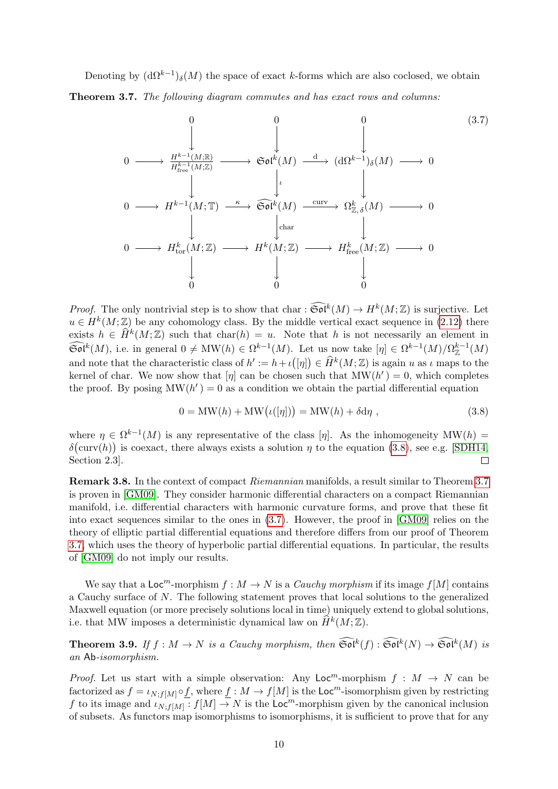<span id="page-10-1"></span>Denoting by  $(d\Omega^{k-1})_{\delta}(M)$  the space of exact k-forms which are also coclosed, we obtain Theorem 3.7. The following diagram commutes and has exact rows and columns:

<span id="page-10-2"></span>0 0 0 0 / <sup>H</sup>k−<sup>1</sup> (M;R) H k−1 free (M;Z) / Sol<sup>k</sup> (M) ι <sup>d</sup> / (dΩk−<sup>1</sup> )δ(M) / 0 0 / Hk−<sup>1</sup> (M; T) <sup>κ</sup> / Sol <sup>d</sup><sup>k</sup> (M) char curv / Ω k <sup>Z</sup>, δ(M) / 0 0 / H<sup>k</sup> tor(M; Z) / H<sup>k</sup> (M; Z) / H<sup>k</sup> free(M; <sup>Z</sup>) / 0 0 0 0 (3.7)

*Proof.* The only nontrivial step is to show that char :  $\widehat{\mathfrak{Sol}}^k(M) \to H^k(M;\mathbb{Z})$  is surjective. Let  $u \in H^k(M;\mathbb{Z})$  be any cohomology class. By the middle vertical exact sequence in [\(2.12\)](#page-8-2) there exists  $h \in \widehat{H}^k(M; \mathbb{Z})$  such that char(h) = u. Note that h is not necessarily an element in  $\widehat{\mathfrak{Sol}}^k(M)$ , i.e. in general  $0 \neq \text{MW}(h) \in \Omega^{k-1}(M)$ . Let us now take  $[\eta] \in \Omega^{k-1}(M)/\Omega_{\mathbb{Z}}^{k-1}(M)$ and note that the characteristic class of  $h' := h + \iota([\eta]) \in \widehat{H}^k(M; \mathbb{Z})$  is again u as  $\iota$  maps to the kernel of char. We now show that  $[\eta]$  can be chosen such that  $\text{MW}(h') = 0$ , which completes the proof. By posing  $MW(h') = 0$  as a condition we obtain the partial differential equation

<span id="page-10-0"></span>
$$
0 = MW(h) + MW(\iota([\eta])) = MW(h) + \delta d\eta , \qquad (3.8)
$$

where  $\eta \in \Omega^{k-1}(M)$  is any representative of the class  $[\eta]$ . As the inhomogeneity  $\text{MW}(h)$  $\delta(\text{curv}(h))$  is coexact, there always exists a solution  $\eta$  to the equation [\(3.8\)](#page-10-0), see e.g. [\[SDH14,](#page-34-12) Section 2.3].  $\Box$ 

Remark 3.8. In the context of compact Riemannian manifolds, a result similar to Theorem [3.7](#page-10-1) is proven in [\[GM09\]](#page-34-13). They consider harmonic differential characters on a compact Riemannian manifold, i.e. differential characters with harmonic curvature forms, and prove that these fit into exact sequences similar to the ones in [\(3.7\)](#page-10-2). However, the proof in [\[GM09\]](#page-34-13) relies on the theory of elliptic partial differential equations and therefore differs from our proof of Theorem [3.7,](#page-10-1) which uses the theory of hyperbolic partial differential equations. In particular, the results of [\[GM09\]](#page-34-13) do not imply our results.

We say that a  $Loc<sup>m</sup>$ -morphism  $f : M \to N$  is a *Cauchy morphism* if its image  $f[M]$  contains a Cauchy surface of N. The following statement proves that local solutions to the generalized Maxwell equation (or more precisely solutions local in time) uniquely extend to global solutions, i.e. that MW imposes a deterministic dynamical law on  $\widehat{H}^k(M; \mathbb{Z})$ .

<span id="page-10-3"></span>**Theorem 3.9.** If  $f : M \to N$  is a Cauchy morphism, then  $\widetilde{\mathfrak{Sol}}^k(f) : \widetilde{\mathfrak{Sol}}^k(N) \to \widetilde{\mathfrak{Sol}}^k(M)$  is an Ab-isomorphism.

*Proof.* Let us start with a simple observation: Any  $Loc^m$ -morphism  $f : M \rightarrow N$  can be factorized as  $f = \iota_{N: f[M]} \circ f$ , where  $f : M \to f[M]$  is the Loc<sup>m</sup>-isomorphism given by restricting f to its image and  $\iota_{N,f[M]}^{\bullet}$ :  $f[M] \to N$  is the Loc<sup>m</sup>-morphism given by the canonical inclusion of subsets. As functors map isomorphisms to isomorphisms, it is sufficient to prove that for any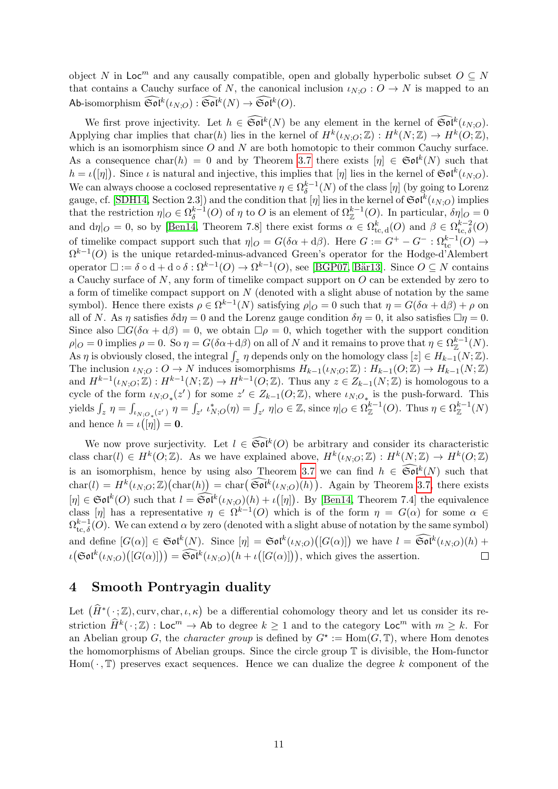object N in Loc<sup>m</sup> and any causally compatible, open and globally hyperbolic subset  $O \subseteq N$ that contains a Cauchy surface of N, the canonical inclusion  $\iota_{N;O}:O\to N$  is mapped to an Ab-isomorphism  $\widetilde{\mathfrak{Sol}}^k(\iota_{N;O}) : \widetilde{\mathfrak{Sol}}^k(N) \to \widetilde{\mathfrak{Sol}}^k(O).$ 

We first prove injectivity. Let  $h \in \widetilde{\mathfrak{Sol}}^k(N)$  be any element in the kernel of  $\widetilde{\mathfrak{Sol}}^k(\iota_{N;O})$ . Applying char implies that char(h) lies in the kernel of  $H^k(\iota_{N,O};\mathbb{Z}): H^k(N;\mathbb{Z}) \to H^k(O;\mathbb{Z}),$ which is an isomorphism since  $O$  and  $N$  are both homotopic to their common Cauchy surface. As a consequence char $(h) = 0$  and by Theorem [3.7](#page-10-1) there exists  $[\eta] \in \mathfrak{Sol}^k(N)$  such that  $h = \iota([{\eta}])$ . Since  $\iota$  is natural and injective, this implies that  $[{\eta}]$  lies in the kernel of  $\mathfrak{Sol}^k(\iota_{N;O})$ . We can always choose a coclosed representative  $\eta \in \Omega^{k-1}_\delta$  $\delta^{k-1}(N)$  of the class  $[\eta]$  (by going to Lorenz gauge, cf. [\[SDH14,](#page-34-12) Section 2.3]) and the condition that  $[\eta]$  lies in the kernel of  $\mathfrak{Sol}^k(\iota_{N;O})$  implies that the restriction  $\eta|_O \in \Omega^{k-1}_\delta$  $\delta^{k-1}(O)$  of  $\eta$  to O is an element of  $\Omega_{\mathbb{Z}}^{k-1}(O)$ . In particular,  $\delta\eta|_O=0$ and  $d\eta|_O = 0$ , so by [\[Ben14,](#page-33-5) Theorem 7.8] there exist forms  $\alpha \in \Omega_{\text{tc},d}^k(O)$  and  $\beta \in \Omega_{\text{tc},\delta}^{k-2}(O)$ of timelike compact support such that  $\eta|_O = G(\delta \alpha + d\beta)$ . Here  $G := G^+ - G^- : \Omega_{\text{tc}}^{k-1}(O) \to$  $\Omega^{k-1}(O)$  is the unique retarded-minus-advanced Green's operator for the Hodge-d'Alembert operator  $\square := \delta \circ d + d \circ \delta : \Omega^{k-1}(O) \to \Omega^{k-1}(O)$ , see [\[BGP07,](#page-33-4) Bär13]. Since  $O \subseteq N$  contains a Cauchy surface of  $N$ , any form of timelike compact support on  $O$  can be extended by zero to a form of timelike compact support on  $N$  (denoted with a slight abuse of notation by the same symbol). Hence there exists  $\rho \in \Omega^{k-1}(N)$  satisfying  $\rho|_O = 0$  such that  $\eta = G(\delta \alpha + d\beta) + \rho$  on all of N. As  $\eta$  satisfies  $\delta d\eta = 0$  and the Lorenz gauge condition  $\delta \eta = 0$ , it also satisfies  $\Box \eta = 0$ . Since also  $\Box G(\delta \alpha + d \beta) = 0$ , we obtain  $\Box \rho = 0$ , which together with the support condition  $\rho|_O = 0$  implies  $\rho = 0$ . So  $\eta = G(\delta \alpha + d\beta)$  on all of N and it remains to prove that  $\eta \in \Omega_{\mathbb{Z}}^{k-1}(N)$ . As  $\eta$  is obviously closed, the integral  $\int_z \eta$  depends only on the homology class  $[z] \in H_{k-1}(N;\mathbb{Z})$ . The inclusion  $\iota_{N;O}:O\to N$  induces isomorphisms  $H_{k-1}(\iota_{N;O};\mathbb{Z}):H_{k-1}(O;\mathbb{Z})\to H_{k-1}(N;\mathbb{Z})$ and  $H^{k-1}(\iota_{N;O};\mathbb{Z}): H^{k-1}(N;\mathbb{Z}) \to H^{k-1}(O;\mathbb{Z})$ . Thus any  $z \in Z_{k-1}(N;\mathbb{Z})$  is homologous to a cycle of the form  $\iota_{N,O_*}(z')$  for some  $z' \in Z_{k-1}(O;\mathbb{Z})$ , where  $\iota_{N,O_*}$  is the push-forward. This yields  $\int_z \eta = \int_{\iota_{N;O_*}(z')} \eta = \int_{z'} \iota_{N;O}^*(\eta) = \int_{z'} \eta |_{O} \in \mathbb{Z}$ , since  $\eta |_{O} \in \Omega_{\mathbb{Z}}^{k-1}(O)$ . Thus  $\eta \in \Omega_{\mathbb{Z}}^{k-1}(N)$ and hence  $h = \iota(|\eta|) = 0$ .

We now prove surjectivity. Let  $l \in \widetilde{\mathfrak{Sol}}^k(O)$  be arbitrary and consider its characteristic class char(l)  $\in H^k(O;\mathbb{Z})$ . As we have explained above,  $H^k(\iota_{N,O};\mathbb{Z}): H^k(N;\mathbb{Z}) \to H^k(O;\mathbb{Z})$ is an isomorphism, hence by using also Theorem [3.7](#page-10-1) we can find  $h \in \widetilde{\mathfrak{Sol}}^k(N)$  such that  $char(l) = H^k(\iota_{N;O}; \mathbb{Z}) \big( char(h) \big) = char\big(\widetilde{\mathfrak{Sol}}^k(\iota_{N;O})(h)\big)$ . Again by Theorem [3.7,](#page-10-1) there exists  $[\eta] \in \mathfrak{Sol}^k(O)$  such that  $l = \widetilde{\mathfrak{Sol}}^k(\iota_{N,O})(h) + \iota([\eta])$ . By [\[Ben14,](#page-33-5) Theorem 7.4] the equivalence class  $[\eta]$  has a representative  $\eta \in \Omega^{k-1}(O)$  which is of the form  $\eta = G(\alpha)$  for some  $\alpha \in$  $\Omega_{\mathrm{tc}, \delta}^{k-1}(O)$ . We can extend  $\alpha$  by zero (denoted with a slight abuse of notation by the same symbol) and define  $[G(\alpha)] \in \mathfrak{Sol}^k(N)$ . Since  $[\eta] = \mathfrak{Sol}^k(\iota_{N,O})([G(\alpha)])$  we have  $l = \widetilde{\mathfrak{Sol}}^k(\iota_{N,O})(h)$  +  $\iota(\mathfrak{Sol}^k(\iota_{N;O})([G(\alpha)])) = \widetilde{\mathfrak{Sol}}^k(\iota_{N;O})(h + \iota([G(\alpha)])),$  which gives the assertion.  $\Box$ 

## <span id="page-11-0"></span>4 Smooth Pontryagin duality

Let  $(\widehat{H}^*(\cdot;\mathbb{Z}), \text{curv}, \text{char}, \iota, \kappa)$  be a differential cohomology theory and let us consider its restriction  $\widehat{H}^k(\cdot;\mathbb{Z})$ : Loc<sup>m</sup>  $\rightarrow$  Ab to degree  $k \geq 1$  and to the category Loc<sup>m</sup> with  $m \geq k$ . For an Abelian group G, the *character group* is defined by  $G^* := \text{Hom}(G, \mathbb{T})$ , where Hom denotes the homomorphisms of Abelian groups. Since the circle group T is divisible, the Hom-functor Hom( $\cdot$ , T) preserves exact sequences. Hence we can dualize the degree k component of the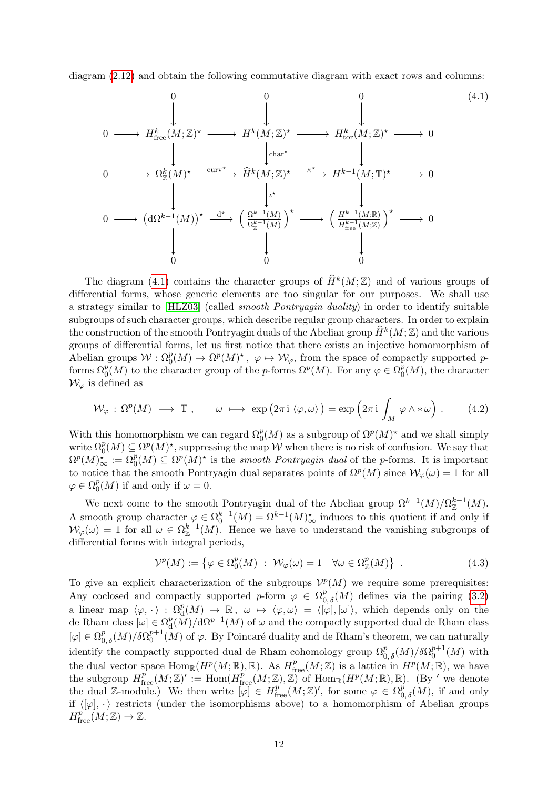diagram [\(2.12\)](#page-8-2) and obtain the following commutative diagram with exact rows and columns:

<span id="page-12-0"></span>
$$
0 \longrightarrow H_{\text{free}}^{k}(M;\mathbb{Z})^{\star} \longrightarrow H^{k}(M;\mathbb{Z})^{\star} \longrightarrow H^{k}(M;\mathbb{Z})^{\star} \longrightarrow 0
$$
\n
$$
0 \longrightarrow \Omega_{\mathbb{Z}}^{k}(M)^{\star} \xrightarrow{\text{curv}\star} \hat{H}^{k}(M;\mathbb{Z})^{\star} \xrightarrow{\kappa^{\star}} H^{k-1}(M;\mathbb{T})^{\star} \longrightarrow 0
$$
\n
$$
0 \longrightarrow (\mathrm{d}\Omega^{k-1}(M))^{\star} \xrightarrow{\mathrm{d}\star} \left(\begin{array}{c} \Omega^{k-1}(M) \\ \Omega^{k-1}(M) \end{array}\right)^{\star} \longrightarrow \left(\begin{array}{c} H^{k-1}(M;\mathbb{R}) \\ \overline{H}^{k-1}(M;\mathbb{Z}) \end{array}\right)^{\star} \longrightarrow 0
$$
\n
$$
\downarrow
$$
\n
$$
0 \longrightarrow 0
$$
\n
$$
\downarrow
$$
\n
$$
0 \longrightarrow 0
$$
\n
$$
\downarrow
$$
\n
$$
0 \longrightarrow 0
$$
\n
$$
\downarrow
$$
\n
$$
\downarrow
$$
\n
$$
\downarrow
$$
\n
$$
\downarrow
$$
\n
$$
\downarrow
$$
\n
$$
\downarrow
$$
\n
$$
\downarrow
$$
\n
$$
\downarrow
$$
\n
$$
\downarrow
$$
\n
$$
\downarrow
$$
\n
$$
\downarrow
$$
\n
$$
\downarrow
$$
\n
$$
\downarrow
$$
\n
$$
\downarrow
$$
\n
$$
\downarrow
$$
\n
$$
\downarrow
$$
\n
$$
\downarrow
$$
\n
$$
\downarrow
$$
\n
$$
\downarrow
$$
\n
$$
\downarrow
$$
\n
$$
\downarrow
$$
\n
$$
\downarrow
$$
\n
$$
\downarrow
$$
\n
$$
\downarrow
$$
\n
$$
\downarrow
$$
\n
$$
\downarrow
$$
\n
$$
\downarrow
$$
\n
$$
\downarrow
$$
\n
$$
\downarrow
$$
\n
$$
\downarrow
$$
\n
$$
\downarrow
$$
\n
$$
\downarrow
$$
\n<math display="</math>

The diagram [\(4.1\)](#page-12-0) contains the character groups of  $\widehat{H}^k(M;\mathbb{Z})$  and of various groups of differential forms, whose generic elements are too singular for our purposes. We shall use a strategy similar to [\[HLZ03\]](#page-34-6) (called smooth Pontryagin duality) in order to identify suitable subgroups of such character groups, which describe regular group characters. In order to explain the construction of the smooth Pontryagin duals of the Abelian group  $\widehat{H}^k(M;\mathbb{Z})$  and the various groups of differential forms, let us first notice that there exists an injective homomorphism of Abelian groups  $W: \Omega_0^p(M) \to \Omega^p(M)^*$ ,  $\varphi \mapsto \mathcal{W}_{\varphi}$ , from the space of compactly supported pforms  $\Omega_0^p(M)$  to the character group of the p-forms  $\Omega^p(M)$ . For any  $\varphi \in \Omega_0^p$  $_{0}^{p}(M)$ , the character  $\mathcal{W}_{\varphi}$  is defined as

$$
\mathcal{W}_{\varphi} : \Omega^{p}(M) \longrightarrow \mathbb{T} , \qquad \omega \longmapsto \exp (2\pi i \langle \varphi, \omega \rangle) = \exp \left(2\pi i \int_{M} \varphi \wedge * \omega \right). \tag{4.2}
$$

With this homomorphism we can regard  $\Omega_0^p(M)$  as a subgroup of  $\Omega^p(M)$ <sup>\*</sup> and we shall simply write  $\Omega_0^p(M) \subseteq \Omega^p(M)^*$ , suppressing the map W when there is no risk of confusion. We say that  $\Omega^p(M)_{\infty}^* := \Omega_0^p(M) \subseteq \Omega^p(M)^*$  is the smooth Pontryagin dual of the p-forms. It is important to notice that the smooth Pontryagin dual separates points of  $\Omega^p(M)$  since  $\mathcal{W}_{\varphi}(\omega) = 1$  for all  $\varphi \in \Omega^p_0$  $_{0}^{p}(M)$  if and only if  $\omega = 0$ .

We next come to the smooth Pontryagin dual of the Abelian group  $\Omega^{k-1}(M)/\Omega_{\mathbb{Z}}^{k-1}(M)$ . A smooth group character  $\varphi \in \Omega_0^{k-1}(M) = \Omega^{k-1}(M)_{\infty}^*$  induces to this quotient if and only if  $W_{\varphi}(\omega) = 1$  for all  $\omega \in \Omega_{\mathbb{Z}}^{k-1}(M)$ . Hence we have to understand the vanishing subgroups of differential forms with integral periods,

<span id="page-12-2"></span><span id="page-12-1"></span>
$$
\mathcal{V}^p(M) := \left\{ \varphi \in \Omega_0^p(M) \; : \; \mathcal{W}_\varphi(\omega) = 1 \quad \forall \omega \in \Omega_\mathbb{Z}^p(M) \right\} \; . \tag{4.3}
$$

To give an explicit characterization of the subgroups  $\mathcal{V}^p(M)$  we require some prerequisites: Any coclosed and compactly supported p-form  $\varphi \in \Omega_{0,\delta}^p(M)$  defines via the pairing [\(3.2\)](#page-9-2) a linear map  $\langle \varphi, \cdot \rangle : \Omega_d^p(M) \to \mathbb{R}$ ,  $\omega \mapsto \langle \varphi, \omega \rangle = \langle [\varphi], [\omega] \rangle$ , which depends only on the de Rham class  $[\omega] \in \Omega_d^p$  $\frac{p}{\mathrm{d}}(\tilde{M})/\mathrm{d}\Omega^{p-1}(M)$  of  $\omega$  and the compactly supported dual de Rham class  $[\varphi] \in \Omega^{p}_{0,\delta}(M)/\delta \Omega^{p+1}_{0}$  $_{0}^{p+1}(M)$  of  $\varphi$ . By Poincaré duality and de Rham's theorem, we can naturally identify the compactly supported dual de Rham cohomology group  $\Omega_{0,\,\delta}^p(M)/\delta\Omega_0^{p+1}$  $\binom{p+1}{0}(M)$  with the dual vector space  $\text{Hom}_{\mathbb{R}}(H^p(M;\mathbb{R}),\mathbb{R})$ . As  $H^p_{\text{free}}(M;\mathbb{Z})$  is a lattice in  $H^p(M;\mathbb{R})$ , we have the subgroup  $H_{\text{free}}^{\overline{p}}(M;\mathbb{Z})' := \text{Hom}(H_{\text{free}}^{\overline{p}}(M;\mathbb{Z}),\mathbb{Z})$  of  $\text{Hom}_{\mathbb{R}}(H^p(M;\mathbb{R}),\mathbb{R})$ . (By 'we denote the dual Z-module.) We then write  $[\varphi] \in H^p_{\text{free}}(M;\mathbb{Z})'$ , for some  $\varphi \in \Omega^p_{0,\delta}(M)$ , if and only if  $\langle [\varphi], \cdot \rangle$  restricts (under the isomorphisms above) to a homomorphism of Abelian groups  $H^p_{\text{free}}(M;\mathbb{Z}) \to \mathbb{Z}.$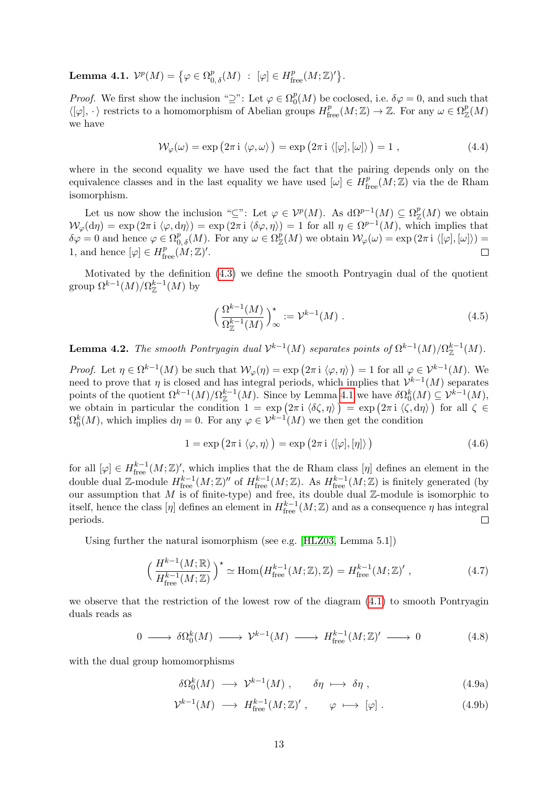<span id="page-13-0"></span>Lemma 4.1.  $\mathcal{V}^p(M) = \big\{\varphi \in \Omega^p_{0,\delta}(M) \; : \; [\varphi] \in H^p_{\text{free}}(M;\mathbb{Z})' \big\}.$ 

*Proof.* We first show the inclusion " $\supseteq$ ": Let  $\varphi \in \Omega_0^p$  $_{0}^{p}(M)$  be coclosed, i.e.  $\delta\varphi=0$ , and such that  $\langle [\varphi], \cdot \rangle$  restricts to a homomorphism of Abelian groups  $H^p_{\text{free}}(M; \mathbb{Z}) \to \mathbb{Z}$ . For any  $\omega \in \Omega^p_{\mathbb{Z}}(M)$ we have

$$
\mathcal{W}_{\varphi}(\omega) = \exp\left(2\pi i \langle \varphi, \omega \rangle\right) = \exp\left(2\pi i \langle [\varphi], [\omega] \rangle\right) = 1 , \qquad (4.4)
$$

where in the second equality we have used the fact that the pairing depends only on the equivalence classes and in the last equality we have used  $[\omega] \in H^p_{\text{free}}(M;\mathbb{Z})$  via the de Rham isomorphism.

Let us now show the inclusion " $\subseteq$ ": Let  $\varphi \in \mathcal{V}^p(M)$ . As  $d\Omega^{p-1}(M) \subseteq \Omega_{\mathbb{Z}}^p(M)$  we obtain  $W_{\varphi}(\mathrm{d}\eta) = \exp(2\pi i \langle \varphi, \mathrm{d}\eta \rangle) = \exp(2\pi i \langle \delta\varphi, \eta \rangle) = 1$  for all  $\eta \in \Omega^{p-1}(M)$ , which implies that  $\delta\varphi=0$  and hence  $\varphi\in\Omega^p_{0,\delta}(M)$ . For any  $\omega\in\Omega^p_\mathbb{Z}(M)$  we obtain  $\mathcal{W}_\varphi(\omega)=\exp\left(2\pi\operatorname{i}\,\langle[\varphi],[\omega]\rangle\right)=$ 1, and hence  $[\varphi] \in H^p_{\text{free}}(M; \mathbb{Z})'.$  $\Box$ 

Motivated by the definition [\(4.3\)](#page-12-1) we define the smooth Pontryagin dual of the quotient group  $\Omega^{k-1}(M)/\Omega_{\mathbb{Z}}^{k-1}(M)$  by

$$
\left(\frac{\Omega^{k-1}(M)}{\Omega_{\mathbb{Z}}^{k-1}(M)}\right)^{\star}_{\infty} := \mathcal{V}^{k-1}(M) \tag{4.5}
$$

<span id="page-13-2"></span>**Lemma 4.2.** The smooth Pontryagin dual  $\mathcal{V}^{k-1}(M)$  separates points of  $\Omega^{k-1}(M)/\Omega_{\mathbb{Z}}^{k-1}(M)$ .

Proof. Let  $\eta \in \Omega^{k-1}(M)$  be such that  $\mathcal{W}_{\varphi}(\eta) = \exp\left(2\pi i \langle \varphi, \eta \rangle\right) = 1$  for all  $\varphi \in \mathcal{V}^{k-1}(M)$ . We need to prove that  $\eta$  is closed and has integral periods, which implies that  $\mathcal{V}^{k-1}(M)$  separates points of the quotient  $\Omega^{k-1}(M)/\Omega_{\mathbb{Z}}^{k-1}(M)$ . Since by Lemma [4.1](#page-13-0) we have  $\delta\Omega_0^k(M) \subseteq \mathcal{V}^{k-1}(M)$ , we obtain in particular the condition  $1 = \exp(2\pi i \langle \delta \zeta, \eta \rangle) = \exp(2\pi i \langle \zeta, d\eta \rangle)$  for all  $\zeta \in$  $\Omega_0^k(M)$ , which implies  $d\eta = 0$ . For any  $\varphi \in \mathcal{V}^{k-1}(M)$  we then get the condition

$$
1 = \exp(2\pi i \langle \varphi, \eta \rangle) = \exp(2\pi i \langle [\varphi], [\eta] \rangle)
$$
\n(4.6)

for all  $[\varphi] \in H^{k-1}_{\text{free}}(M;\mathbb{Z})'$ , which implies that the de Rham class  $[\eta]$  defines an element in the double dual Z-module  $H^{k-1}_{\text{free}}(M;\mathbb{Z})''$  of  $H^{k-1}_{\text{free}}(M;\mathbb{Z})$ . As  $H^{k-1}_{\text{free}}(M;\mathbb{Z})$  is finitely generated (by our assumption that M is of finite-type) and free, its double dual  $\mathbb{Z}$ -module is isomorphic to itself, hence the class  $[\eta]$  defines an element in  $H^{k-1}_{\text{free}}(M;\mathbb{Z})$  and as a consequence  $\eta$  has integral periods.  $\Box$ 

Using further the natural isomorphism (see e.g. [\[HLZ03,](#page-34-6) Lemma 5.1])

$$
\left(\frac{H^{k-1}(M;\mathbb{R})}{H_{\text{free}}^{k-1}(M;\mathbb{Z})}\right)^{\star} \simeq \text{Hom}\left(H_{\text{free}}^{k-1}(M;\mathbb{Z}),\mathbb{Z}\right) = H_{\text{free}}^{k-1}(M;\mathbb{Z})'\,,\tag{4.7}
$$

we observe that the restriction of the lowest row of the diagram [\(4.1\)](#page-12-0) to smooth Pontryagin duals reads as

$$
0 \longrightarrow \delta\Omega_0^k(M) \longrightarrow \mathcal{V}^{k-1}(M) \longrightarrow H_{\text{free}}^{k-1}(M;\mathbb{Z})' \longrightarrow 0 \tag{4.8}
$$

with the dual group homomorphisms

<span id="page-13-1"></span>
$$
\delta\Omega_0^k(M) \longrightarrow \mathcal{V}^{k-1}(M) , \qquad \delta\eta \longrightarrow \delta\eta , \qquad (4.9a)
$$

$$
\mathcal{V}^{k-1}(M) \longrightarrow H^{k-1}_{\text{free}}(M;\mathbb{Z})', \qquad \varphi \longmapsto [\varphi] . \tag{4.9b}
$$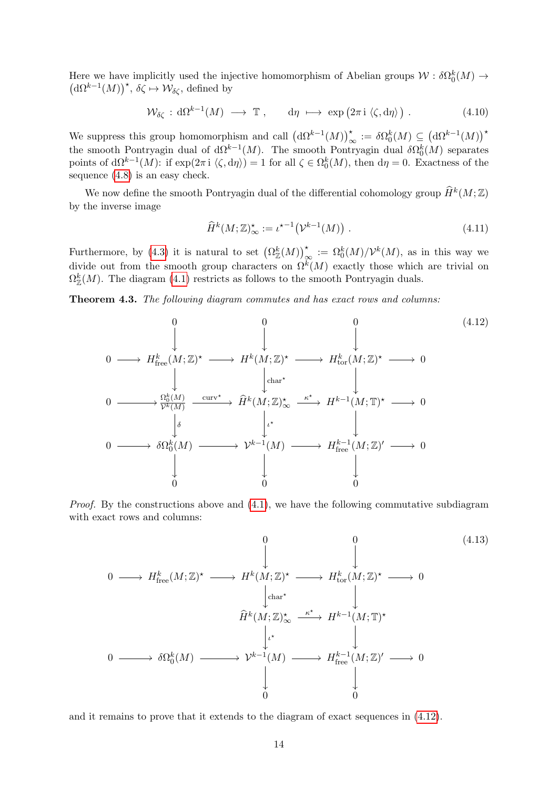Here we have implicitly used the injective homomorphism of Abelian groups  $W : \delta\Omega_0^k(M) \to$  $(d\Omega^{k-1}(M))^{\star}, \overline{\delta\zeta} \mapsto \mathcal{W}_{\delta\zeta},$  defined by

$$
\mathcal{W}_{\delta\zeta} : \mathrm{d}\Omega^{k-1}(M) \longrightarrow \mathbb{T} \;, \qquad \mathrm{d}\eta \; \longmapsto \; \exp\big(2\pi \, \mathrm{i} \, \langle \zeta, \mathrm{d}\eta \rangle \big) \; . \tag{4.10}
$$

We suppress this group homomorphism and call  $({\rm d}\Omega^{k-1}(M))_{\infty}^* := \delta\Omega_0^k(M) \subseteq ({\rm d}\Omega^{k-1}(M))$ <sup>\*</sup> the smooth Pontryagin dual of  $d\Omega^{k-1}(M)$ . The smooth Pontryagin dual  $\delta\Omega_0^k(M)$  separates points of  $d\Omega^{k-1}(M)$ : if  $\exp(2\pi i \langle \zeta, d\eta \rangle) = 1$  for all  $\zeta \in \Omega_0^k(M)$ , then  $d\eta = 0$ . Exactness of the sequence [\(4.8\)](#page-13-1) is an easy check.

We now define the smooth Pontryagin dual of the differential cohomology group  $\widehat{H}^k(M;\mathbb{Z})$ by the inverse image

<span id="page-14-1"></span><span id="page-14-0"></span>
$$
\widehat{H}^k(M;\mathbb{Z})^\star_{\infty} := \iota^{\star -1}(\mathcal{V}^{k-1}(M)).\tag{4.11}
$$

Furthermore, by [\(4.3\)](#page-12-1) it is natural to set  $(\Omega_{\mathbb{Z}}^k(M))_{\infty}^* := \Omega_0^k(M)/\mathcal{V}^k(M)$ , as in this way we divide out from the smooth group characters on  $\Omega^k(M)$  exactly those which are trivial on  $\Omega_{\mathbb{Z}}^k(M)$ . The diagram [\(4.1\)](#page-12-0) restricts as follows to the smooth Pontryagin duals.

<span id="page-14-2"></span>Theorem 4.3. The following diagram commutes and has exact rows and columns:

$$
0 \longrightarrow H_{\text{free}}^{k}(M;\mathbb{Z})^{\star} \longrightarrow H^{k}(M;\mathbb{Z})^{\star} \longrightarrow H^{k}_{\text{tor}}(M;\mathbb{Z})^{\star} \longrightarrow 0
$$
\n
$$
0 \longrightarrow H_{\text{free}}^{k}(M;\mathbb{Z})^{\star} \longrightarrow H^{k}(M;\mathbb{Z})^{\star} \longrightarrow H_{\text{tor}}^{k}(M;\mathbb{Z})^{\star} \longrightarrow 0
$$
\n
$$
0 \longrightarrow \frac{\Omega_{0}^{k}(M)}{\mathcal{V}^{k}(M)} \xrightarrow{\text{curv}^{\star}} \widehat{H}^{k}(M;\mathbb{Z})^{\star}_{\infty} \xrightarrow{\kappa^{\star}} H^{k-1}(M;\mathbb{T})^{\star} \longrightarrow 0
$$
\n
$$
0 \longrightarrow \delta\Omega_{0}^{k}(M) \longrightarrow \mathcal{V}^{k-1}(M) \longrightarrow H_{\text{free}}^{k-1}(M;\mathbb{Z})' \longrightarrow 0
$$
\n
$$
\downarrow \qquad \qquad \downarrow
$$
\n
$$
0 \qquad \qquad 0
$$
\n
$$
(4.12)
$$

*Proof.* By the constructions above and  $(4.1)$ , we have the following commutative subdiagram with exact rows and columns:

$$
0 \longrightarrow H_{\text{free}}^{k}(M;\mathbb{Z})^{\star} \longrightarrow H^{k}(M;\mathbb{Z})^{\star} \longrightarrow H_{\text{tor}}^{k}(M;\mathbb{Z})^{\star} \longrightarrow 0
$$
\n
$$
\downarrow \text{char}^{\star} \qquad \qquad \downarrow
$$
\n
$$
\widehat{H}^{k}(M;\mathbb{Z})_{\infty}^{\star} \xrightarrow{\kappa^{\star}} H^{k-1}(M;\mathbb{T})^{\star}
$$
\n
$$
0 \longrightarrow \delta\Omega_{0}^{k}(M) \longrightarrow \mathcal{V}^{k-1}(M) \longrightarrow H_{\text{free}}^{k-1}(M;\mathbb{Z})' \longrightarrow 0
$$
\n
$$
\downarrow \qquad \qquad \downarrow
$$
\n
$$
0 \qquad \qquad 0
$$
\n
$$
\downarrow
$$
\n
$$
0
$$
\n(4.13)

and it remains to prove that it extends to the diagram of exact sequences in [\(4.12\)](#page-14-0).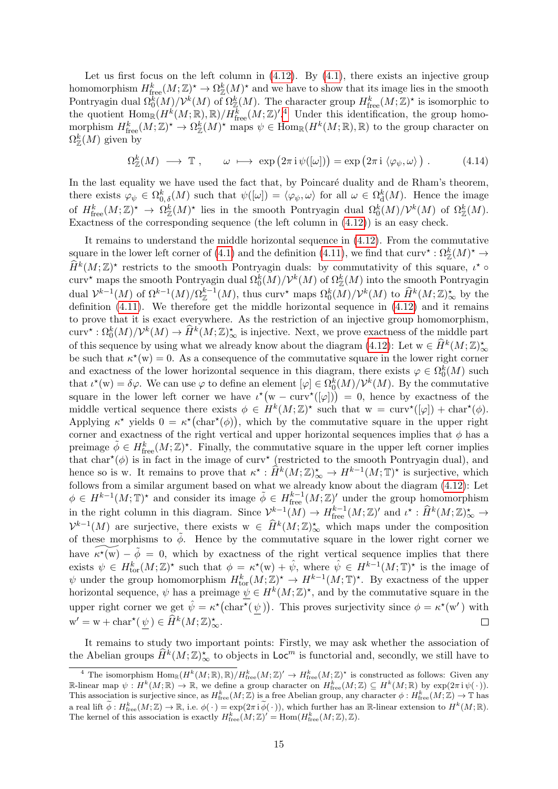Let us first focus on the left column in  $(4.12)$ . By  $(4.1)$ , there exists an injective group homomorphism  $H^k_{\text{free}}(M;\mathbb{Z})^* \to \Omega^k_{\mathbb{Z}}(M)^*$  and we have to show that its image lies in the smooth Pontryagin dual  $\Omega_0^{\tilde{k}}(M)/\mathcal{V}^k(M)$  of  $\Omega_{\mathbb{Z}}^k(M)$ . The character group  $H_{\text{free}}^k(M;\mathbb{Z})^*$  is isomorphic to the quotient  $\text{Hom}_{\mathbb{R}}(H^k(M;\mathbb{R}),\mathbb{R})/H^k_{\text{free}}(M;\mathbb{Z})^{\prime.4}$  $\text{Hom}_{\mathbb{R}}(H^k(M;\mathbb{R}),\mathbb{R})/H^k_{\text{free}}(M;\mathbb{Z})^{\prime.4}$  $\text{Hom}_{\mathbb{R}}(H^k(M;\mathbb{R}),\mathbb{R})/H^k_{\text{free}}(M;\mathbb{Z})^{\prime.4}$  Under this identification, the group homomorphism  $H^k_{\text{free}}(M;\mathbb{Z})^* \to \Omega^k_{\mathbb{Z}}(M)^*$  maps  $\psi \in \text{Hom}_{\mathbb{R}}(H^k(M;\mathbb{R}),\mathbb{R})$  to the group character on  $\Omega_{\mathbb{Z}}^k(M)$  given by

$$
\Omega^k_{\mathbb{Z}}(M) \longrightarrow \mathbb{T} , \qquad \omega \longmapsto \exp\left(2\pi i \psi([\omega])\right) = \exp\left(2\pi i \langle \varphi_\psi, \omega \rangle\right) . \tag{4.14}
$$

In the last equality we have used the fact that, by Poincaré duality and de Rham's theorem, there exists  $\varphi_{\psi} \in \Omega_{0,\delta}^{k}(M)$  such that  $\psi([\omega]) = \langle \varphi_{\psi}, \omega \rangle$  for all  $\omega \in \Omega_{\mathrm{d}}^{k}(M)$ . Hence the image of  $H^k_{\text{free}}(M;\mathbb{Z})^* \to \Omega^k_{\mathbb{Z}}(M)^*$  lies in the smooth Pontryagin dual  $\Omega^k_0(M)/\mathcal{V}^k(M)$  of  $\Omega^k_{\mathbb{Z}}(M)$ . Exactness of the corresponding sequence (the left column in [\(4.12\)](#page-14-0)) is an easy check.

It remains to understand the middle horizontal sequence in [\(4.12\)](#page-14-0). From the commutative square in the lower left corner of [\(4.1\)](#page-12-0) and the definition [\(4.11\)](#page-14-1), we find that  $\text{curv}^* : \Omega^k_\mathbb{Z}(M)^* \to$  $\widehat{H}^k(M;\mathbb{Z})^*$  restricts to the smooth Pontryagin duals: by commutativity of this square,  $\iota^* \circ$ curv\* maps the smooth Pontryagin dual  $\Omega_0^k(M)/\mathcal{V}^k(M)$  of  $\Omega_\mathbb{Z}^k(M)$  into the smooth Pontryagin dual  $\mathcal{V}^{k-1}(M)$  of  $\Omega^{k-1}(M)/\Omega^{k-1}(M)$ , thus curv<sup>\*</sup> maps  $\Omega_0^k(M)/\mathcal{V}^k(M)$  to  $\widehat{H}^k(M;\mathbb{Z})_{\infty}^*$  by the definition [\(4.11\)](#page-14-1). We therefore get the middle horizontal sequence in [\(4.12\)](#page-14-0) and it remains to prove that it is exact everywhere. As the restriction of an injective group homomorphism,  $\text{curv}^{\star}: \Omega_0^k(M)/\mathcal{V}^k(M) \to \widehat{H}^k(M;\mathbb{Z})_{\infty}^{\star}$  is injective. Next, we prove exactness of the middle part of this sequence by using what we already know about the diagram  $(4.12)$ : Let  $w \in \widehat{H}^k(M;\mathbb{Z})_\infty^*$ be such that  $\kappa^*(w) = 0$ . As a consequence of the commutative square in the lower right corner and exactness of the lower horizontal sequence in this diagram, there exists  $\varphi \in \Omega_0^k(M)$  such that  $\iota^*(w) = \delta \varphi$ . We can use  $\varphi$  to define an element  $[\varphi] \in \Omega_0^k(M)/\mathcal{V}^k(M)$ . By the commutative square in the lower left corner we have  $\iota^*(w - \text{curv}^*(\varphi)) = 0$ , hence by exactness of the middle vertical sequence there exists  $\phi \in H^k(M;\mathbb{Z})^*$  such that  $w = \text{curv}^*([\varphi]) + \text{char}^*(\phi)$ . Applying  $\kappa^*$  yields  $0 = \kappa^*$ (char<sup>\*</sup>( $\phi$ )), which by the commutative square in the upper right corner and exactness of the right vertical and upper horizontal sequences implies that  $\phi$  has a preimage  $\tilde{\phi} \in H^k_{\text{free}}(M;\mathbb{Z})^{\star}$ . Finally, the commutative square in the upper left corner implies that char<sup>\*</sup>( $\phi$ ) is in fact in the image of curv<sup>\*</sup> (restricted to the smooth Pontryagin dual), and hence so is w. It remains to prove that  $\kappa^* : \widehat{H}^k(M; \mathbb{Z})_{\infty}^* \to H^{k-1}(M; \mathbb{T})^*$  is surjective, which follows from a similar argument based on what we already know about the diagram [\(4.12\)](#page-14-0): Let  $\phi \in H^{k-1}(M; \mathbb{T})^{\star}$  and consider its image  $\tilde{\phi} \in H^{k-1}_{\text{free}}(M; \mathbb{Z})'$  under the group homomorphism in the right column in this diagram. Since  $\mathcal{V}^{k-1}(M) \to H^{k-1}_{\text{free}}(M;\mathbb{Z})'$  and  $\iota^* : \widehat{H}^k(M;\mathbb{Z})^*_{\infty} \to$  $\mathcal{V}^{k-1}(M)$  are surjective, there exists  $w \in \widehat{H}^k(M;\mathbb{Z})^{\star}_{\infty}$  which maps under the composition of these morphisms to  $\tilde{\phi}$ . Hence by the commutative square in the lower right corner we have  $\widetilde{\kappa^*(w)} - \tilde{\phi} = 0$ , which by exactness of the right vertical sequence implies that there exists  $\psi \in H_{\text{tor}}^k(M; \mathbb{Z})^*$  such that  $\phi = \kappa^*(w) + \hat{\psi}$ , where  $\hat{\psi} \in H^{k-1}(M; \mathbb{T})^*$  is the image of  $\psi$  under the group homomorphism  $H^k_{\text{tor}}(M;\mathbb{Z})^* \to H^{k-1}(M;\mathbb{T})^*$ . By exactness of the upper horizontal sequence,  $\psi$  has a preimage  $\psi \in H^k(M;\mathbb{Z})^*$ , and by the commutative square in the upper right corner we get  $\hat{\psi} = \kappa^{\star}(\text{char}^{\star}(\psi))$ . This proves surjectivity since  $\phi = \kappa^{\star}(\mathbf{w}')$  with  $\mathbf{w}' = \mathbf{w} + \text{char}^{\star}(\underline{\psi}) \in \widehat{H}^k(M; \mathbb{Z})_{\infty}^{\star}.$  $\Box$ 

It remains to study two important points: Firstly, we may ask whether the association of the Abelian groups  $\widehat{H}^k(M;\mathbb{Z})_{\infty}^{\star}$  to objects in  $\mathsf{Loc}^m$  is functorial and, secondly, we still have to

<span id="page-15-0"></span><sup>&</sup>lt;sup>4</sup> The isomorphism  $\text{Hom}_{\mathbb{R}}(H^k(M;\mathbb{R}),\mathbb{R})/H^k_{\text{free}}(M;\mathbb{Z})' \to H^k_{\text{free}}(M;\mathbb{Z})^*$  is constructed as follows: Given any R-linear map  $\psi: H^k(M;\mathbb{R}) \to \mathbb{R}$ , we define a group character on  $H^k_{\text{free}}(M;\mathbb{Z}) \subseteq H^k(M;\mathbb{R})$  by  $\exp(2\pi i \psi(\cdot)).$ This association is surjective since, as  $H^k_{\text{free}}(M;\mathbb{Z})$  is a free Abelian group, any character  $\phi: H^k_{\text{free}}(M;\mathbb{Z}) \to \mathbb{T}$  has a real lift  $\widetilde{\phi}: H^k_{\text{free}}(M;\mathbb{Z}) \to \mathbb{R}$ , i.e.  $\phi(\cdot) = \exp(2\pi i \widetilde{\phi}(\cdot))$ , which further has an  $\mathbb{R}$ -linear extension to  $H^k(M;\mathbb{R})$ . The kernel of this association is exactly  $H^k_{\text{free}}(M;\mathbb{Z})' = \text{Hom}(H^k_{\text{free}}(M;\mathbb{Z}),\mathbb{Z})$ .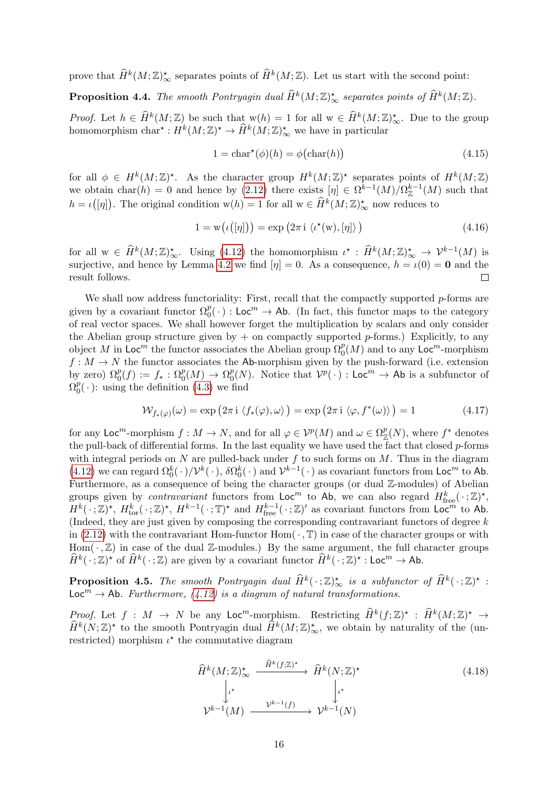prove that  $\widehat{H}^k(M;\mathbb{Z})^*_{\infty}$  separates points of  $\widehat{H}^k(M;\mathbb{Z})$ . Let us start with the second point:

**Proposition 4.4.** The smooth Pontryagin dual  $\widehat{H}^k(M;\mathbb{Z})_{\infty}^*$  separates points of  $\widehat{H}^k(M;\mathbb{Z})$ .

*Proof.* Let  $h \in \widehat{H}^k(M; \mathbb{Z})$  be such that  $w(h) = 1$  for all  $w \in \widehat{H}^k(M; \mathbb{Z})_{\infty}^{\star}$ . Due to the group homomorphism  $char^* : H^k(M; \mathbb{Z})^* \to \hat{H}^k(M; \mathbb{Z})^*_{\infty}$  we have in particular

$$
1 = \text{char}^{\star}(\phi)(h) = \phi(\text{char}(h)) \tag{4.15}
$$

for all  $\phi \in H^k(M;\mathbb{Z})^*$ . As the character group  $H^k(M;\mathbb{Z})^*$  separates points of  $H^k(M;\mathbb{Z})$ we obtain  $char(h) = 0$  and hence by [\(2.12\)](#page-8-2) there exists  $[\eta] \in \Omega^{k-1}(M)/\Omega_{\mathbb{Z}}^{k-1}(M)$  such that  $h = \iota([n])$ . The original condition  $w(h) = 1$  for all  $w \in \hat{H}^k(M; \mathbb{Z})^{\star}_{\infty}$  now reduces to

$$
1 = w(\iota([\eta])) = \exp(2\pi i \langle \iota^*(w), [\eta] \rangle)
$$
\n(4.16)

for all  $w \in \widehat{H}^k(M; \mathbb{Z})_\infty^*$ . Using [\(4.12\)](#page-14-0) the homomorphism  $\iota^* : \widehat{H}^k(M; \mathbb{Z})_\infty^* \to \mathcal{V}^{k-1}(M)$  is surjective, and hence by Lemma [4.2](#page-13-2) we find  $[\eta] = 0$ . As a consequence,  $h = \iota(0) = \mathbf{0}$  and the result follows.  $\Box$ 

We shall now address functoriality: First, recall that the compactly supported p-forms are given by a covariant functor  $\Omega_0^p(\cdot)$ : Loc<sup>m</sup>  $\to$  Ab. (In fact, this functor maps to the category of real vector spaces. We shall however forget the multiplication by scalars and only consider the Abelian group structure given by  $+$  on compactly supported p-forms.) Explicitly, to any object M in Loc<sup>m</sup> the functor associates the Abelian group  $\Omega_0^p(M)$  and to any Loc<sup>m</sup>-morphism  $f: M \to N$  the functor associates the Ab-morphism given by the push-forward (i.e. extension by zero)  $\Omega_0^p(f) := f_* : \Omega_0^p(M) \to \Omega_0^p$  $_{0}^{p}(N)$ . Notice that  $\mathcal{V}^{p}(\cdot)$  : Loc<sup>m</sup>  $\rightarrow$  Ab is a subfunctor of  $\overline{\Omega}^p_0$  $_{0}^{p}(\cdot)$ : using the definition [\(4.3\)](#page-12-1) we find

$$
\mathcal{W}_{f_*(\varphi)}(\omega) = \exp\left(2\pi i \langle f_*(\varphi), \omega \rangle\right) = \exp\left(2\pi i \langle \varphi, f^*(\omega) \rangle\right) = 1 \tag{4.17}
$$

for any Loc<sup>m</sup>-morphism  $f: M \to N$ , and for all  $\varphi \in \mathcal{V}^p(M)$  and  $\omega \in \Omega^p_{\mathbb{Z}}(N)$ , where  $f^*$  denotes the pull-back of differential forms. In the last equality we have used the fact that closed  $p$ -forms with integral periods on N are pulled-back under  $f$  to such forms on  $M$ . Thus in the diagram [\(4.12\)](#page-14-0) we can regard  $\Omega_0^k(\cdot)/\mathcal{V}^k(\cdot)$ ,  $\delta\Omega_0^k(\cdot)$  and  $\mathcal{V}^{k-1}(\cdot)$  as covariant functors from Loc<sup>m</sup> to Ab. Furthermore, as a consequence of being the character groups (or dual  $\mathbb{Z}$ -modules) of Abelian groups given by *contravariant* functors from Loc<sup>m</sup> to Ab, we can also regard  $H_{\text{free}}^k(\cdot;\mathbb{Z})^*$ ,  $H^k(\cdot;\mathbb{Z})^{\star}$ ,  $H^k_{\text{tor}}(\cdot;\mathbb{Z})^{\star}$ ,  $H^{k-1}(\cdot;\mathbb{T})^{\star}$  and  $H^{k-1}_{\text{free}}(\cdot;\mathbb{Z})^{\prime}$  as covariant functors from  $\mathsf{Loc}^{\mathfrak{m}}$  to Ab. (Indeed, they are just given by composing the corresponding contravariant functors of degree  $k$ in  $(2.12)$  with the contravariant Hom-functor Hom $(\cdot, \mathbb{T})$  in case of the character groups or with Hom $(\cdot, \mathbb{Z})$  in case of the dual Z-modules.) By the same argument, the full character groups  $\widehat{H}^k(\cdot;\mathbb{Z})^{\star}$  of  $\widehat{H}^k(\cdot;\mathbb{Z})$  are given by a covariant functor  $\widehat{H}^k(\cdot;\mathbb{Z})^{\star}$ : Loc<sup>m</sup>  $\to$  Ab.

**Proposition 4.5.** The smooth Pontryagin dual  $\widehat{H}^k(\cdot;\mathbb{Z})_{\infty}^*$  is a subfunctor of  $\widehat{H}^k(\cdot;\mathbb{Z})^*$ :  $Loc<sup>m</sup> \rightarrow Ab$ . Furthermore, [\(4.12\)](#page-14-0) is a diagram of natural transformations.

Proof. Let  $f : M \to N$  be any Loc<sup>m</sup>-morphism. Restricting  $\widehat{H}^k(f; \mathbb{Z})^{\star} : \widehat{H}^k(M; \mathbb{Z})^{\star} \to$  $\widehat{H}^k(N;\mathbb{Z})^*$  to the smooth Pontryagin dual  $\widehat{H}^k(M;\mathbb{Z})^*_{\infty}$ , we obtain by naturality of the (unrestricted) morphism  $\iota^*$  the commutative diagram

$$
\hat{H}^k(M; \mathbb{Z})^{\star}_{\infty} \xrightarrow{\hat{H}^k(f; \mathbb{Z})^{\star}} \hat{H}^k(N; \mathbb{Z})^{\star}
$$
\n
$$
\downarrow \downarrow^{\star} \qquad \qquad \downarrow \downarrow^{\star}
$$
\n
$$
\mathcal{V}^{k-1}(M) \xrightarrow{\mathcal{V}^{k-1}(f)} \mathcal{V}^{k-1}(N)
$$
\n
$$
(4.18)
$$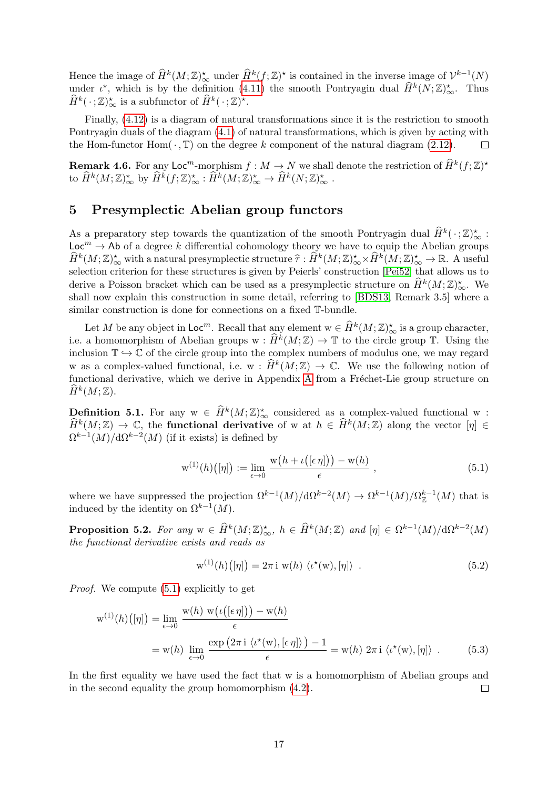Hence the image of  $\widehat{H}^k(M;\mathbb{Z})^*_{\infty}$  under  $\widehat{H}^k(f;\mathbb{Z})^*$  is contained in the inverse image of  $\mathcal{V}^{k-1}(N)$ under  $\iota^*$ , which is by the definition [\(4.11\)](#page-14-1) the smooth Pontryagin dual  $\widehat{H}^k(N;\mathbb{Z})_{\infty}^*$ . Thus  $\widehat{H}^k(\cdot;\mathbb{Z})_{\infty}^*$  is a subfunctor of  $\widehat{H}^k(\cdot;\mathbb{Z})^*$ .

Finally, [\(4.12\)](#page-14-0) is a diagram of natural transformations since it is the restriction to smooth Pontryagin duals of the diagram [\(4.1\)](#page-12-0) of natural transformations, which is given by acting with the Hom-functor Hom $(\cdot, \mathbb{T})$  on the degree k component of the natural diagram [\(2.12\)](#page-8-2).  $\Box$ 

**Remark 4.6.** For any Loc<sup>m</sup>-morphism  $f : M \to N$  we shall denote the restriction of  $\widehat{H}^k(f; \mathbb{Z})^*$ to  $\widehat{H}^k(M;\mathbb{Z})_{\infty}^{\star}$  by  $\widehat{H}^k(f;\mathbb{Z})_{\infty}^{\star} : \widehat{H}^k(M;\mathbb{Z})_{\infty}^{\star} \to \widehat{H}^k(N;\mathbb{Z})_{\infty}^{\star}$ .

# <span id="page-17-0"></span>5 Presymplectic Abelian group functors

As a preparatory step towards the quantization of the smooth Pontryagin dual  $\widehat{H}^k(\cdot;\mathbb{Z})_{\infty}^*$ :  $\text{Loc}^m \to \text{Ab}$  of a degree k differential cohomology theory we have to equip the Abelian groups  $\widehat{H}^k(M;\mathbb{Z})_{\infty}^*$  with a natural presymplectic structure  $\widehat{\tau} : \widehat{H}^k(M;\mathbb{Z})_{\infty}^* \times \widehat{H}^k(M;\mathbb{Z})_{\infty}^* \to \mathbb{R}$ . A useful<br>selection exitation for these structures is given by Peierls' construction [Poi52] selection criterion for these structures is given by Peierls' construction [\[Pei52\]](#page-34-7) that allows us to derive a Poisson bracket which can be used as a presymplectic structure on  $\widehat{H}^k(M; \mathbb{Z})_{\infty}^{\star}$ . We shall now explain this construction in some detail, referring to [\[BDS13,](#page-33-1) Remark 3.5] where a similar construction is done for connections on a fixed T-bundle.

Let M be any object in  $\mathsf{Loc}^m$ . Recall that any element  $w \in \widehat{H}^k(M; \mathbb{Z})_\infty^*$  is a group character, i.e. a homomorphism of Abelian groups  $w : \hat{H}^k(M; \mathbb{Z}) \to \mathbb{T}$  to the circle group  $\mathbb{T}$ . Using the inclusion  $\mathbb{T} \hookrightarrow \mathbb{C}$  of the circle group into the complex numbers of modulus one, we may regard w as a complex-valued functional, i.e. w :  $\widehat{H}^k(M; \mathbb{Z}) \to \mathbb{C}$ . We use the following notion of functional derivative, which we derive in [A](#page-29-0)ppendix A from a Fréchet-Lie group structure on  $\widehat{H}^k(M;\mathbb{Z}).$ 

<span id="page-17-2"></span>**Definition 5.1.** For any  $w \in \widehat{H}^k(M; \mathbb{Z})_\infty^*$  considered as a complex-valued functional w :  $\widehat{H}^k(M;\mathbb{Z}) \to \mathbb{C}$ , the **functional derivative** of w at  $h \in \widehat{H}^k(M;\mathbb{Z})$  along the vector  $[\eta] \in$  $\Omega^{k-1}(M)/d\Omega^{k-2}(M)$  (if it exists) is defined by

<span id="page-17-1"></span>
$$
\mathbf{w}^{(1)}(h)\big([\eta]\big) := \lim_{\epsilon \to 0} \frac{\mathbf{w}\big(h + \iota\big([\epsilon \eta]\big)\big) - \mathbf{w}(h)}{\epsilon} \,, \tag{5.1}
$$

where we have suppressed the projection  $\Omega^{k-1}(M)/d\Omega^{k-2}(M) \to \Omega^{k-1}(M)/\Omega_{\mathbb{Z}}^{k-1}(M)$  that is induced by the identity on  $\Omega^{k-1}(M)$ .

**Proposition 5.2.** For any  $w \in \widehat{H}^k(M; \mathbb{Z})_{\infty}^{\star}$ ,  $h \in \widehat{H}^k(M; \mathbb{Z})$  and  $[\eta] \in \Omega^{k-1}(M)/d\Omega^{k-2}(M)$ the functional derivative exists and reads as

$$
\mathbf{w}^{(1)}(h)\big([\eta]\big) = 2\pi \,\mathbf{i}\,\,\mathbf{w}(h)\,\,\langle \iota^*(\mathbf{w}), [\eta] \rangle \tag{5.2}
$$

Proof. We compute [\(5.1\)](#page-17-1) explicitly to get

$$
w^{(1)}(h)([\eta]) = \lim_{\epsilon \to 0} \frac{w(h) w(\iota([\epsilon \eta])) - w(h)}{\epsilon}
$$
  
= w(h) 
$$
\lim_{\epsilon \to 0} \frac{\exp (2\pi i \langle \iota^*(w), [\epsilon \eta] \rangle) - 1}{\epsilon} = w(h) 2\pi i \langle \iota^*(w), [\eta] \rangle . \tag{5.3}
$$

In the first equality we have used the fact that w is a homomorphism of Abelian groups and in the second equality the group homomorphism [\(4.2\)](#page-12-2).  $\Box$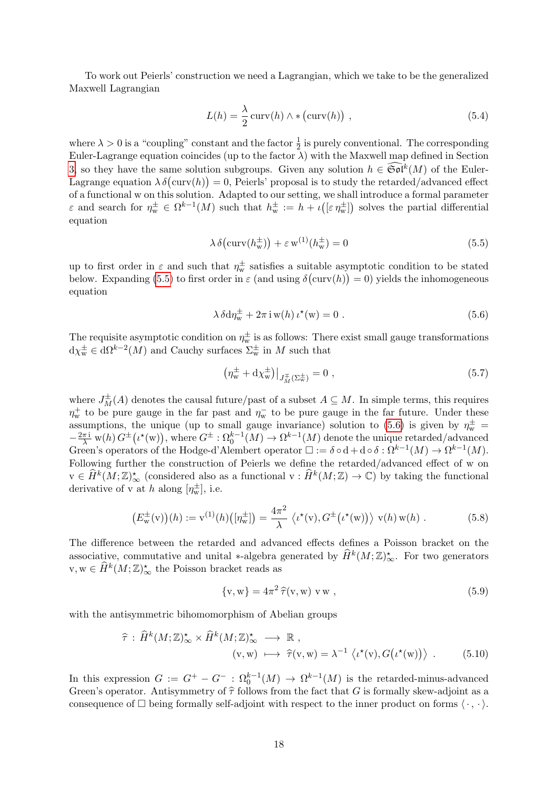To work out Peierls' construction we need a Lagrangian, which we take to be the generalized Maxwell Lagrangian

<span id="page-18-3"></span>
$$
L(h) = \frac{\lambda}{2} \operatorname{curv}(h) \wedge * (\operatorname{curv}(h)), \qquad (5.4)
$$

where  $\lambda > 0$  is a "coupling" constant and the factor  $\frac{1}{2}$  is purely conventional. The corresponding Euler-Lagrange equation coincides (up to the factor  $\lambda$ ) with the Maxwell map defined in Section [3,](#page-8-0) so they have the same solution subgroups. Given any solution  $h \in \widetilde{\mathfrak{Sol}}^k(M)$  of the Euler-Lagrange equation  $\lambda \delta$ (curv(h)) = 0, Peierls' proposal is to study the retarded/advanced effect of a functional w on this solution. Adapted to our setting, we shall introduce a formal parameter  $\varepsilon$  and search for  $\eta_{w}^{\pm} \in \Omega^{k-1}(M)$  such that  $h_{w}^{\pm} := h + \iota(\varepsilon \eta_{w}^{\pm})$  solves the partial differential equation

<span id="page-18-0"></span>
$$
\lambda \delta \left( \operatorname{curv}(h_{\mathrm{w}}^{\pm}) \right) + \varepsilon \operatorname{w}^{(1)}(h_{\mathrm{w}}^{\pm}) = 0 \tag{5.5}
$$

up to first order in  $\varepsilon$  and such that  $\eta_w^{\pm}$  satisfies a suitable asymptotic condition to be stated below. Expanding [\(5.5\)](#page-18-0) to first order in  $\varepsilon$  (and using  $\delta(\text{curv}(h)) = 0$ ) yields the inhomogeneous equation

$$
\lambda \delta d\eta_{\rm w}^{\pm} + 2\pi \, \mathrm{i} \, {\rm w}(h) \, \iota^{\star}({\rm w}) = 0 \; . \tag{5.6}
$$

The requisite asymptotic condition on  $\eta_w^{\pm}$  is as follows: There exist small gauge transformations  $d\chi_{w}^{\pm} \in d\Omega^{k-2}(M)$  and Cauchy surfaces  $\Sigma_{w}^{\pm}$  in M such that

<span id="page-18-1"></span>
$$
\left(\eta_{\rm w}^{\pm} + d\chi_{\rm w}^{\pm}\right)|_{J_M^{\mp}(\Sigma_{\rm w}^{\pm})} = 0 \tag{5.7}
$$

where  $J_M^{\pm}(A)$  denotes the causal future/past of a subset  $A \subseteq M$ . In simple terms, this requires  $\eta_{w}^{+}$  to be pure gauge in the far past and  $\eta_{w}^{-}$  to be pure gauge in the far future. Under these assumptions, the unique (up to small gauge invariance) solution to [\(5.6\)](#page-18-1) is given by  $\eta_w^{\pm}$  $-\frac{2\pi\mathrm{i}}{\lambda}$  w(h)  $G^{\pm}(\iota^{*}(w))$ , where  $G^{\pm}:\Omega_{0}^{k-1}(M) \to \Omega^{k-1}(M)$  denote the unique retarded/advanced Green's operators of the Hodge-d'Alembert operator  $\Box := \delta \circ d + d \circ \delta : \Omega^{k-1}(M) \to \Omega^{k-1}(M)$ . Following further the construction of Peierls we define the retarded/advanced effect of w on  $v \in \widehat{H}^k(M; \mathbb{Z})_\infty^*$  (considered also as a functional  $v : \widehat{H}^k(M; \mathbb{Z}) \to \mathbb{C}$ ) by taking the functional derivative of v at h along  $[\eta_w^{\pm}]$ , i.e.

$$
\left(E_{\mathbf{w}}^{\pm}(\mathbf{v})\right)(h) := \mathbf{v}^{(1)}(h)\left([\eta_{\mathbf{w}}^{\pm}]\right) = \frac{4\pi^2}{\lambda} \left\langle \iota^{\star}(\mathbf{v}), G^{\pm}\left(\iota^{\star}(\mathbf{w})\right) \right\rangle \mathbf{v}(h) \mathbf{w}(h) . \tag{5.8}
$$

The difference between the retarded and advanced effects defines a Poisson bracket on the associative, commutative and unital \*-algebra generated by  $\widehat{H}^k(M;\mathbb{Z})_{\infty}^*$ . For two generators  $\mathbf{v}, \mathbf{w} \in \widehat{H}^k(M; \mathbb{Z})_{\infty}^*$  the Poisson bracket reads as

<span id="page-18-2"></span>
$$
\{v, w\} = 4\pi^2 \,\widehat{\tau}(v, w) \, v \, w \,, \tag{5.9}
$$

with the antisymmetric bihomomorphism of Abelian groups

$$
\hat{\tau} : \hat{H}^k(M; \mathbb{Z})^{\star}_{\infty} \times \hat{H}^k(M; \mathbb{Z})^{\star}_{\infty} \longrightarrow \mathbb{R} ,
$$
  
\n
$$
(v, w) \longmapsto \hat{\tau}(v, w) = \lambda^{-1} \langle \iota^{\star}(v), G(\iota^{\star}(w)) \rangle .
$$
 (5.10)

In this expression  $G := G^+ - G^-$ :  $\Omega_0^{k-1}(M) \to \Omega^{k-1}(M)$  is the retarded-minus-advanced Green's operator. Antisymmetry of  $\hat{\tau}$  follows from the fact that G is formally skew-adjoint as a consequence of  $\Box$  being formally self-adjoint with respect to the inner product on forms  $\langle \cdot, \cdot \rangle$ .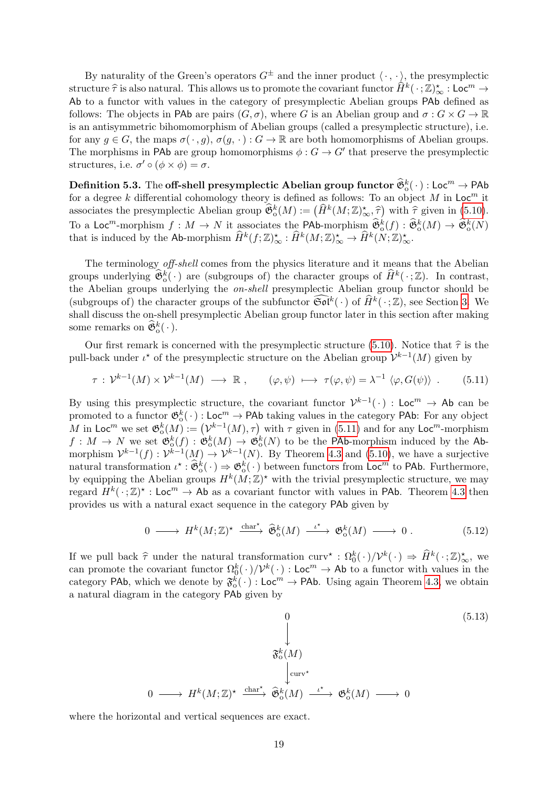By naturality of the Green's operators  $G^{\pm}$  and the inner product  $\langle \cdot, \cdot \rangle$ , the presymplectic structure  $\hat{\tau}$  is also natural. This allows us to promote the covariant functor  $\hat{H}^k(\cdot;\mathbb{Z})_{\infty}^*$ : Loc<sup>m</sup>  $\rightarrow$ Ab to a functor with values in the category of presymplectic Abelian groups PAb defined as follows: The objects in PAb are pairs  $(G, \sigma)$ , where G is an Abelian group and  $\sigma : G \times G \to \mathbb{R}$ is an antisymmetric bihomomorphism of Abelian groups (called a presymplectic structure), i.e. for any  $g \in G$ , the maps  $\sigma(\cdot, g)$ ,  $\sigma(g, \cdot): G \to \mathbb{R}$  are both homomorphisms of Abelian groups. The morphisms in PAb are group homomorphisms  $\phi : G \to G'$  that preserve the presymplectic structures, i.e.  $\sigma' \circ (\phi \times \phi) = \sigma$ .

 $\text{Definition 5.3. The off-shell presymplectic Abelian group functor }\mathfrak{G}_0^k(\cdot): \text{Loc}^m \to \text{PAb}$ for a degree k differential cohomology theory is defined as follows: To an object M in  $Loc<sup>m</sup>$  it associates the presymplectic Abelian group  $\widehat{\mathfrak{G}}_0^k(M) := (\widehat{H}^k(M; \mathbb{Z})_{\infty}^*, \widehat{\tau})$  with  $\widehat{\tau}$  given in [\(5.10\)](#page-18-2). To a Loc<sup>m</sup>-morphism  $f: M \to N$  it associates the PAb-morphism  $\widehat{\mathfrak{G}}_0^k(f): \widehat{\mathfrak{G}}_0^k(M) \to \widehat{\mathfrak{G}}_0^k(N)$ that is induced by the Ab-morphism  $\widehat{H}^k(f; \mathbb{Z})_{\infty}^{\star} : \widehat{H}^k(M; \mathbb{Z})_{\infty}^{\star} \to \widehat{H}^k(N; \mathbb{Z})_{\infty}^{\star}$ .

The terminology off-shell comes from the physics literature and it means that the Abelian groups underlying  $\hat{\mathfrak{G}}_0^k(\cdot)$  are (subgroups of) the character groups of  $\hat{H}^k(\cdot;\mathbb{Z})$ . In contrast, the Abelian groups underlying the on-shell presymplectic Abelian group functor should be (subgroups of) the character groups of the subfunctor  $\widehat{\mathfrak{Sol}}^k(\cdot)$  of  $\widehat{H}^k(\cdot;\mathbb{Z})$ , see Section [3.](#page-8-0) We shall discuss the on-shell presymplectic Abelian group functor later in this section after making some remarks on  $\widehat{\mathfrak{G}}_o^k(\cdot)$ .

Our first remark is concerned with the presymplectic structure [\(5.10\)](#page-18-2). Notice that  $\hat{\tau}$  is the pull-back under  $\iota^*$  of the presymplectic structure on the Abelian group  $\mathcal{V}^{k-1}(M)$  given by

$$
\tau: \mathcal{V}^{k-1}(M) \times \mathcal{V}^{k-1}(M) \longrightarrow \mathbb{R}, \qquad (\varphi, \psi) \longmapsto \tau(\varphi, \psi) = \lambda^{-1} \langle \varphi, G(\psi) \rangle. \tag{5.11}
$$

By using this presymplectic structure, the covariant functor  $\mathcal{V}^{k-1}(\cdot)$ : Loc<sup>m</sup>  $\rightarrow$  Ab can be promoted to a functor  $\mathfrak{G}^k_0(\cdot)$ : Loc<sup>m</sup>  $\to$  PAb taking values in the category PAb: For any object M in Loc<sup>m</sup> we set  $\mathfrak{G}^k_0(M) := (\mathcal{V}^{k-1}(M), \tau)$  with  $\tau$  given in [\(5.11\)](#page-19-0) and for any Loc<sup>m</sup>-morphism  $f: M \to N$  we set  $\mathfrak{G}^k_0(f): \mathfrak{G}^k_0(M) \to \mathfrak{G}^k_0(N)$  to be the PAb-morphism induced by the Abmorphism  $\mathcal{V}^{k-1}(f) : \mathcal{V}^{k-1}(M) \to \mathcal{V}^{k-1}(N)$ . By Theorem [4.3](#page-14-2) and [\(5.10\)](#page-18-2), we have a surjective natural transformation  $\iota^* : \widehat{\mathfrak{G}}_0^k(\cdot) \Rightarrow \mathfrak{G}_0^k(\cdot)$  between functors from Loc<sup>m</sup> to PAb. Furthermore, by equipping the Abelian groups  $H^k(M;\mathbb{Z})^*$  with the trivial presymplectic structure, we may regard  $H^k(\cdot;\mathbb{Z})^* : \mathsf{Loc}^m \to \mathsf{Ab}$  as a covariant functor with values in PAb. Theorem [4.3](#page-14-2) then provides us with a natural exact sequence in the category PAb given by

<span id="page-19-0"></span>
$$
0 \longrightarrow H^k(M; \mathbb{Z})^{\star} \xrightarrow{\text{char}^{\star}} \widehat{\mathfrak{G}}_0^k(M) \xrightarrow{\iota^{\star}} \mathfrak{G}_0^k(M) \longrightarrow 0 . \tag{5.12}
$$

If we pull back  $\hat{\tau}$  under the natural transformation  $\text{curv}^* : \Omega_0^k(\cdot)/\mathcal{V}^k(\cdot) \Rightarrow \hat{H}^k(\cdot;\mathbb{Z})_{\infty}^*$ , we<br>can premate the covariant functor  $\Omega^k(\cdot)/\mathcal{V}^k(\cdot)$  the set of the set functor with values in the can promote the covariant functor  $\Omega_0^k(\cdot)/\mathcal{V}^k(\cdot)$  : Loc<sup>m</sup>  $\to$  Ab to a functor with values in the category PAb, which we denote by  $\mathfrak{F}_0^k(\cdot)$ : Loc<sup>m</sup>  $\rightarrow$  PAb. Using again Theorem [4.3,](#page-14-2) we obtain a natural diagram in the category PAb given by

<span id="page-19-1"></span>
$$
\begin{array}{cccc}\n & & 0 & & \\
 & & \downarrow & & \\
 & & \downarrow & & \\
 & & \downarrow & & \\
 & & \downarrow & & \\
 & & \downarrow & & \\
 0 & \longrightarrow H^k(M; \mathbb{Z})^\star & \xrightarrow{\text{char}^\star} \hat{\mathfrak{G}}_o^k(M) & \xrightarrow{\iota^\star} \mathfrak{G}_o^k(M) & \longrightarrow 0\n\end{array}
$$
\n(5.13)

where the horizontal and vertical sequences are exact.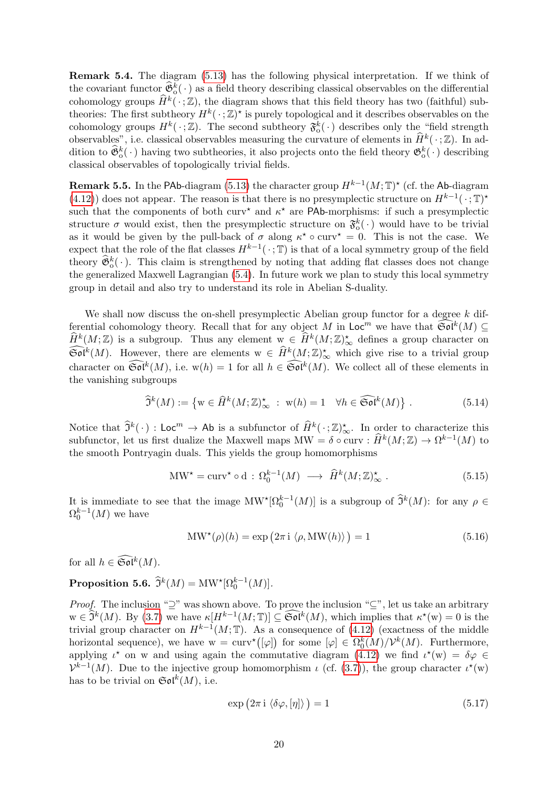<span id="page-20-1"></span>Remark 5.4. The diagram [\(5.13\)](#page-19-1) has the following physical interpretation. If we think of the covariant functor  $\mathfrak{F}_b^k(\cdot)$  as a field theory describing classical observables on the differential cohomology groups  $\widehat{H}^k(\cdot;\mathbb{Z})$ , the diagram shows that this field theory has two (faithful) subtheories: The first subtheory  $H^k(\cdot;\mathbb{Z})^*$  is purely topological and it describes observables on the cohomology groups  $H^k(\cdot;\mathbb{Z})$ . The second subtheory  $\mathfrak{F}^k_0(\cdot)$  describes only the "field strength" observables", i.e. classical observables measuring the curvature of elements in  $\widehat{H}^k(\cdot;\mathbb{Z})$ . In addition to  $\hat{\mathfrak{G}}_0^k(\cdot)$  having two subtheories, it also projects onto the field theory  $\mathfrak{G}_0^k(\cdot)$  describing classical observables of topologically trivial fields.

**Remark 5.5.** In the PAb-diagram [\(5.13\)](#page-19-1) the character group  $H^{k-1}(M; \mathbb{T})^*$  (cf. the Ab-diagram [\(4.12\)](#page-14-0)) does not appear. The reason is that there is no presymplectic structure on  $H^{k-1}(\cdot; \mathbb{T})^*$ such that the components of both curv<sup>\*</sup> and  $\kappa^*$  are PAb-morphisms: if such a presymplectic structure  $\sigma$  would exist, then the presymplectic structure on  $\mathfrak{F}^k_0(\cdot)$  would have to be trivial as it would be given by the pull-back of  $\sigma$  along  $\kappa^* \circ \text{curv}^* = 0$ . This is not the case. We expect that the role of the flat classes  $H^{k-1}(\cdot; \mathbb{T})$  is that of a local symmetry group of the field theory  $\widehat{\mathfrak{G}}_0^k(\cdot)$ . This claim is strengthened by noting that adding flat classes does not change the generalized Maxwell Lagrangian [\(5.4\)](#page-18-3). In future work we plan to study this local symmetry group in detail and also try to understand its role in Abelian S-duality.

We shall now discuss the on-shell presymplectic Abelian group functor for a degree  $k$  differential cohomology theory. Recall that for any object M in  $\mathsf{Loc}^m$  we have that  $\widetilde{\mathfrak{Sol}}^k(M) \subseteq \widetilde{\mathfrak{ch}}(M)$  $\widehat{H}^k(M;\mathbb{Z})$  is a subgroup. Thus any element  $w \in \widehat{H}^k(M;\mathbb{Z})^{\star}_{\infty}$  defines a group character on  $\widetilde{\mathfrak{Sol}}^k(M)$ . However, there are elements  $w \in \widehat{H}^k(M;\mathbb{Z})_{\infty}^{\star}$  which give rise to a trivial group character on  $\widetilde{\mathfrak{Sol}}^k(M)$ , i.e.  $w(h) = 1$  for all  $h \in \widetilde{\mathfrak{Sol}}^k(M)$ . We collect all of these elements in the vanishing subgroups

$$
\widehat{\mathfrak{I}}^k(M) := \left\{ \mathbf{w} \in \widehat{H}^k(M; \mathbb{Z})^{\star}_{\infty} : \ \mathbf{w}(h) = 1 \quad \forall h \in \widehat{\mathfrak{Sol}}^k(M) \right\}. \tag{5.14}
$$

Notice that  $\hat{\mathfrak{I}}^k(\cdot)$ : Loc<sup>m</sup>  $\rightarrow$  Ab is a subfunctor of  $\hat{H}^k(\cdot;\mathbb{Z})_{\infty}^{\star}$ . In order to characterize this subfunctor, let us first dualize the Maxwell maps  $MW = \delta \circ \text{curv} : \hat{H}^k(M; \mathbb{Z}) \to \Omega^{k-1}(M)$  to the smooth Pontryagin duals. This yields the group homomorphisms

$$
\text{MW*} = \text{curv*} \circ \text{d} : \Omega_0^{k-1}(M) \longrightarrow \widehat{H}^k(M; \mathbb{Z})_{\infty}^* \ . \tag{5.15}
$$

It is immediate to see that the image  $MW^{\star}[\Omega_0^{k-1}(M)]$  is a subgroup of  $\hat{\mathfrak{I}}^k(M)$ : for any  $\rho \in \Omega^{k-1}(M)$  $\Omega_0^{k-1}(M)$  we have

$$
MW^{\star}(\rho)(h) = \exp(2\pi i \langle \rho, MW(h) \rangle) = 1
$$
\n(5.16)

for all  $h \in \widehat{\mathfrak{Sol}}^k(M)$ .

<span id="page-20-0"></span>Proposition 5.6.  $\widehat{\mathfrak{I}}^k(M) = \text{MW}^{\star}[\Omega_0^{k-1}(M)].$ 

*Proof.* The inclusion " $\supseteq$ " was shown above. To prove the inclusion " $\subseteq$ ", let us take an arbitrary  $w \in \hat{\mathfrak{I}}^k(M)$ . By [\(3.7\)](#page-10-2) we have  $\kappa[H^{k-1}(M;\mathbb{T})] \subseteq \widehat{\mathfrak{Sol}}^k(M)$ , which implies that  $\kappa^*(w) = 0$  is the trivial group character on  $H^{k-1}(M;\mathbb{T})$ . As a consequence of [\(4.12\)](#page-14-0) (exactness of the middle horizontal sequence), we have  $w = \text{curv}^{\star}([\varphi])$  for some  $[\varphi] \in \Omega_0^k(M)/\mathcal{V}^k(M)$ . Furthermore, applying  $\iota^*$  on w and using again the commutative diagram [\(4.12\)](#page-14-0) we find  $\iota^*(w) = \delta \varphi \in$  $\mathcal{V}^{k-1}(M)$ . Due to the injective group homomorphism  $\iota$  (cf. [\(3.7\)](#page-10-2)), the group character  $\iota^*(w)$ has to be trivial on  $\mathfrak{Sol}^k(M)$ , i.e.

$$
\exp\left(2\pi i \left\langle \delta\varphi, [\eta] \right\rangle\right) = 1\tag{5.17}
$$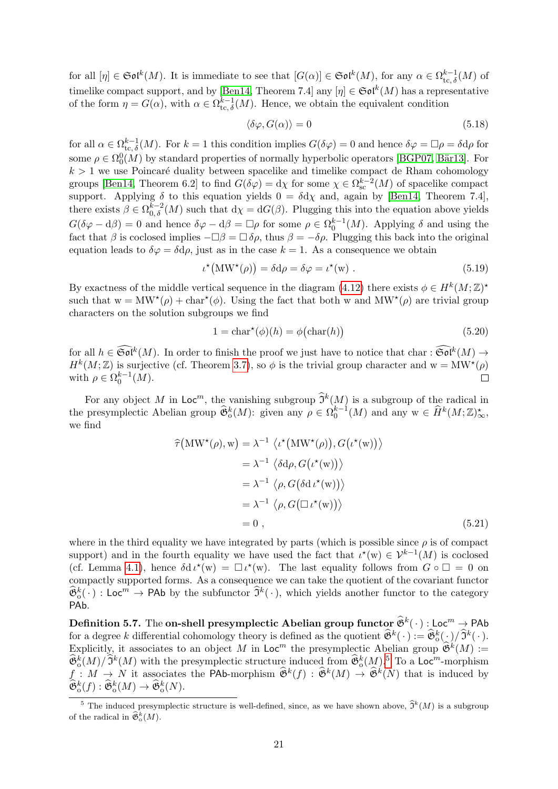for all  $[\eta] \in \mathfrak{Sol}^k(M)$ . It is immediate to see that  $[G(\alpha)] \in \mathfrak{Sol}^k(M)$ , for any  $\alpha \in \Omega_{\mathrm{tc}, \delta}^{k-1}(M)$  of timelike compact support, and by [\[Ben14,](#page-33-5) Theorem 7.4] any  $[\eta] \in \mathfrak{Sol}^k(M)$  has a representative of the form  $\eta = G(\alpha)$ , with  $\alpha \in \Omega_{\text{tc},\delta}^{k-1}(M)$ . Hence, we obtain the equivalent condition

$$
\langle \delta \varphi, G(\alpha) \rangle = 0 \tag{5.18}
$$

for all  $\alpha \in \Omega_{\text{tc},\delta}^{k-1}(M)$ . For  $k=1$  this condition implies  $G(\delta \varphi) = 0$  and hence  $\delta \varphi = \Box \rho = \delta d\rho$  for some  $\rho \in \Omega_0^0(M)$  by standard properties of normally hyperbolic operators [\[BGP07,](#page-33-4) Bär13]. For  $k > 1$  we use Poincaré duality between spacelike and timelike compact de Rham cohomology groups [\[Ben14,](#page-33-5) Theorem 6.2] to find  $G(\delta \varphi) = d\chi$  for some  $\chi \in \Omega_{\rm sc}^{k-2}(M)$  of spacelike compact support. Applying  $\delta$  to this equation yields  $0 = \delta d\chi$  and, again by [\[Ben14,](#page-33-5) Theorem 7.4], there exists  $\beta \in \Omega_{0,\delta}^{k-2}(M)$  such that  $d\chi = dG(\beta)$ . Plugging this into the equation above yields  $G(\delta\varphi - d\beta) = 0$  and hence  $\delta\varphi - d\beta = \Box \rho$  for some  $\rho \in \Omega_0^{k-1}(M)$ . Applying  $\delta$  and using the fact that  $\beta$  is coclosed implies  $-\Box \beta = \Box \delta \rho$ , thus  $\beta = -\delta \rho$ . Plugging this back into the original equation leads to  $\delta\varphi = \delta d\rho$ , just as in the case  $k = 1$ . As a consequence we obtain

$$
\iota^{\star}(\text{MW}^{\star}(\rho)) = \delta \text{d}\rho = \delta \varphi = \iota^{\star}(\text{w}) . \tag{5.19}
$$

By exactness of the middle vertical sequence in the diagram [\(4.12\)](#page-14-0) there exists  $\phi \in H^k(M;\mathbb{Z})^*$ such that  $w = MW^*(\rho) + char^*(\phi)$ . Using the fact that both w and  $MW^*(\rho)$  are trivial group characters on the solution subgroups we find

$$
1 = \text{char}^{\star}(\phi)(h) = \phi(\text{char}(h))\tag{5.20}
$$

for all  $h \in \widetilde{\mathfrak{Sol}}^k(M)$ . In order to finish the proof we just have to notice that char :  $\widetilde{\mathfrak{Sol}}^k(M) \to$  $H^k(M;\mathbb{Z})$  is surjective (cf. Theorem [3.7\)](#page-10-1), so  $\phi$  is the trivial group character and  $w = MW^*(\rho)$ with  $\rho \in \Omega_0^{k-1}(M)$ .  $\Box$ 

For any object M in  $\mathsf{Loc}^m$ , the vanishing subgroup  $\widehat{\mathfrak{I}}^k(M)$  is a subgroup of the radical in the presymplectic Abelian group  $\widehat{\mathfrak{G}}_0^k(M)$ : given any  $\rho \in \Omega_0^{k-1}(M)$  and any  $w \in \widehat{H}^k(M;\mathbb{Z})_{\infty}^{\star}$ , we find

$$
\hat{\tau}(\text{MW}^{\star}(\rho), \text{w}) = \lambda^{-1} \langle \iota^{\star}(\text{MW}^{\star}(\rho)), G(\iota^{\star}(\text{w})) \rangle
$$
  
\n
$$
= \lambda^{-1} \langle \delta d\rho, G(\iota^{\star}(\text{w})) \rangle
$$
  
\n
$$
= \lambda^{-1} \langle \rho, G(\delta d \iota^{\star}(\text{w})) \rangle
$$
  
\n
$$
= \lambda^{-1} \langle \rho, G(\Box \iota^{\star}(\text{w})) \rangle
$$
  
\n
$$
= 0,
$$
 (5.21)

where in the third equality we have integrated by parts (which is possible since  $\rho$  is of compact support) and in the fourth equality we have used the fact that  $\iota^{*}(w) \in \mathcal{V}^{k-1}(M)$  is coclosed (cf. Lemma [4.1\)](#page-13-0), hence  $\delta d \iota^*(w) = \Box \iota^*(w)$ . The last equality follows from  $G \circ \Box = 0$  on compactly supported forms. As a consequence we can take the quotient of the covariant functor  $\widehat{\mathfrak{G}}_0^k(\cdot)$ : Loc<sup>m</sup>  $\rightarrow$  PAb by the subfunctor  $\widehat{\mathfrak{I}}^k(\cdot)$ , which yields another functor to the category PAb.

**Definition 5.7.** The on-shell presymplectic Abelian group functor  $\widehat{\mathfrak{G}}^k(\cdot)$ : Loc<sup>m</sup>  $\rightarrow$  PAb for a degree k differential cohomology theory is defined as the quotient  $\widehat{\mathfrak{G}}^k(\cdot) := \widehat{\mathfrak{G}}^k_0(\cdot)/\widehat{\mathfrak{I}}^k(\cdot)$ . Explicitly, it associates to an object M in Loc<sup>m</sup> the presymplectic Abelian group  $\hat{\mathfrak{G}}^k(M) :=$  $\widehat{\mathfrak{G}}_0^k(M)/\widehat{\mathfrak{I}}^k(M)$  with the presymplectic structure induced from  $\widehat{\mathfrak{G}}_0^k(M)$ .<sup>[5](#page-21-0)</sup> To a Loc<sup>m</sup>-morphism  $f: M \to N$  it associates the PAb-morphism  $\widehat{\mathfrak{G}}^k(f) : \widehat{\mathfrak{G}}^k(M) \to \widehat{\mathfrak{G}}^k(N)$  that is induced by  $\widehat{\mathfrak{G}}_o^k(f) : \widehat{\mathfrak{G}}_o^k(M) \to \widehat{\mathfrak{G}}_o^k(N).$ 

<span id="page-21-0"></span><sup>&</sup>lt;sup>5</sup> The induced presymplectic structure is well-defined, since, as we have shown above,  $\hat{\mathfrak{I}}^k(M)$  is a subgroup of the radical in  $\widehat{\mathfrak{G}}_o^k(M)$ .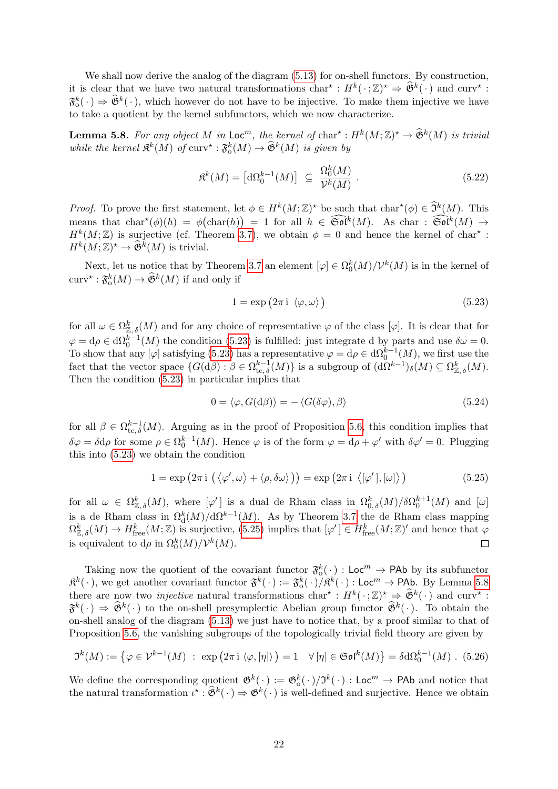We shall now derive the analog of the diagram  $(5.13)$  for on-shell functors. By construction, it is clear that we have two natural transformations  $char^* : H^k(\cdot;\mathbb{Z})^* \Rightarrow \widehat{\mathfrak{G}}^k(\cdot)$  and  $curv^* :$  $\mathfrak{F}_0^k(\cdot) \Rightarrow \mathfrak{F}^k(\cdot)$ , which however do not have to be injective. To make them injective we have to take a quotient by the kernel subfunctors, which we now characterize.

<span id="page-22-2"></span>**Lemma 5.8.** For any object M in  $\mathsf{Loc}^m$ , the kernel of  $\text{char}^{\star}: H^k(M; \mathbb{Z})^{\star} \to \widehat{\mathfrak{G}}^k(M)$  is trivial while the kernel  $\mathfrak{K}^k(M)$  of  $curv^* : \mathfrak{F}^k_{\mathrm{o}}(M) \to \widehat{\mathfrak{G}}^k(M)$  is given by

$$
\mathfrak{K}^k(M) = \left[ \mathrm{d}\Omega_0^{k-1}(M) \right] \ \subseteq \ \frac{\Omega_0^k(M)}{\mathcal{V}^k(M)} \ . \tag{5.22}
$$

*Proof.* To prove the first statement, let  $\phi \in H^k(M; \mathbb{Z})^*$  be such that char<sup>\*</sup>( $\phi$ )  $\in \hat{\mathfrak{I}}^k(M)$ . This means that  $char^*(\phi)(h) = \phi(char(h)) = 1$  for all  $h \in \widehat{\mathfrak{Sol}}^k(M)$ . As char :  $\widehat{\mathfrak{Sol}}^k(M) \to$  $H^k(M;\mathbb{Z})$  is surjective (cf. Theorem [3.7\)](#page-10-1), we obtain  $\phi = 0$  and hence the kernel of char<sup>\*</sup>:  $H^k(M;\mathbb{Z})^* \to \widehat{\mathfrak{G}}^k(M)$  is trivial.

Next, let us notice that by Theorem [3.7](#page-10-1) an element  $[\varphi] \in \Omega_0^k(M)/\mathcal{V}^k(M)$  is in the kernel of  $\text{curv}^{\star} : \mathfrak{F}^k_0(M) \to \widehat{\mathfrak{G}}^k(M)$  if and only if

<span id="page-22-0"></span>
$$
1 = \exp(2\pi i \langle \varphi, \omega \rangle) \tag{5.23}
$$

for all  $\omega \in \Omega_{\mathbb{Z},\delta}^k(M)$  and for any choice of representative  $\varphi$  of the class  $[\varphi]$ . It is clear that for  $\varphi = d\rho \in d\Omega_0^{k-1}(M)$  the condition [\(5.23\)](#page-22-0) is fulfilled: just integrate d by parts and use  $\delta \omega = 0$ .  $\varphi = \alpha \rho \in \alpha \Omega_0$  (*M*) the condition [\(5.23\)](#page-22-0) is function. Just integrate  $\alpha$  by parts and use  $\omega = 0$ .<br>To show that any [ $\varphi$ ] satisfying (5.23) has a representative  $\varphi = d\rho \in d\Omega_0^{k-1}(M)$ , we first use the fact that the vector space  $\{G(\mathrm{d}\beta):\beta\in\Omega^{k-1}_{\mathrm{tc},\delta}(M)\}$  is a subgroup of  $(\mathrm{d}\Omega^{k-1})_{\delta}(M)\subseteq \Omega^k_{\mathbb{Z},\delta}(M)$ . Then the condition [\(5.23\)](#page-22-0) in particular implies that

<span id="page-22-1"></span>
$$
0 = \langle \varphi, G(\mathrm{d}\beta) \rangle = -\langle G(\delta\varphi), \beta \rangle \tag{5.24}
$$

for all  $\beta \in \Omega_{\text{tc},\delta}^{k-1}(M)$ . Arguing as in the proof of Proposition [5.6,](#page-20-0) this condition implies that  $\delta\varphi = \delta d\rho$  for some  $\rho \in \Omega_0^{k-1}(M)$ . Hence  $\varphi$  is of the form  $\varphi = d\rho + \varphi'$  with  $\delta\varphi' = 0$ . Plugging this into [\(5.23\)](#page-22-0) we obtain the condition

$$
1 = \exp (2\pi i \left( \langle \varphi', \omega \rangle + \langle \rho, \delta \omega \rangle \right)) = \exp (2\pi i \left( \langle \varphi', \varphi \rangle \right)) \tag{5.25}
$$

for all  $\omega \in \Omega_{\mathbb{Z},\delta}^k(M)$ , where  $[\varphi']$  is a dual de Rham class in  $\Omega_{0,\delta}^k(M)/\delta \Omega_0^{k+1}(M)$  and  $[\omega]$ is a de Rham class in  $\Omega_d^k(M)/d\Omega^{k-1}(M)$ . As by Theorem [3.7](#page-10-1) the de Rham class mapping  $\Omega_{\mathbb{Z},\delta}^k(M) \to H^k_{\text{free}}(M;\mathbb{Z})$  is surjective, [\(5.25\)](#page-22-1) implies that  $[\varphi'] \in H^k_{\text{free}}(M;\mathbb{Z})'$  and hence that  $\varphi$ is equivalent to  $d\rho$  in  $\Omega_0^k(M)/\mathcal{V}^k(M)$ .  $\Box$ 

Taking now the quotient of the covariant functor  $\mathfrak{F}_0^k(\cdot)$  : Loc<sup>m</sup>  $\rightarrow$  PAb by its subfunctor  $\mathfrak{K}^k(\cdot)$ , we get another covariant functor  $\mathfrak{F}^k(\cdot) := \mathfrak{F}^k_{\text{o}}(\cdot)/\mathfrak{K}^k(\cdot)$ : Loc<sup>m</sup>  $\rightarrow$  PAb. By Lemma [5.8](#page-22-2) there are now two *injective* natural transformations  $char^* : H^k(\cdot;\mathbb{Z})^* \Rightarrow \widehat{\mathfrak{G}}^k(\cdot)$  and  $curv^* :$  $\mathfrak{F}^k(\cdot) \Rightarrow \mathfrak{F}^k(\cdot)$  to the on-shell presymplectic Abelian group functor  $\mathfrak{F}^k(\cdot)$ . To obtain the on-shell analog of the diagram [\(5.13\)](#page-19-1) we just have to notice that, by a proof similar to that of Proposition [5.6,](#page-20-0) the vanishing subgroups of the topologically trivial field theory are given by

$$
\mathfrak{I}^k(M) := \left\{ \varphi \in \mathcal{V}^{k-1}(M) \; : \; \exp\left(2\pi i \, \langle \varphi, [\eta] \rangle\right) = 1 \quad \forall [\eta] \in \mathfrak{Sol}^k(M) \right\} = \delta d\Omega_0^{k-1}(M) \; . \tag{5.26}
$$

We define the corresponding quotient  $\mathfrak{G}^k(\cdot) := \mathfrak{G}^k_{\mathfrak{0}}(\cdot)/\mathfrak{I}^k(\cdot)$  : Loc<sup>m</sup>  $\rightarrow$  PAb and notice that the natural transformation  $\iota^* : \hat{\mathfrak{G}}^k(\cdot) \Rightarrow \mathfrak{G}^k(\cdot)$  is well-defined and surjective. Hence we obtain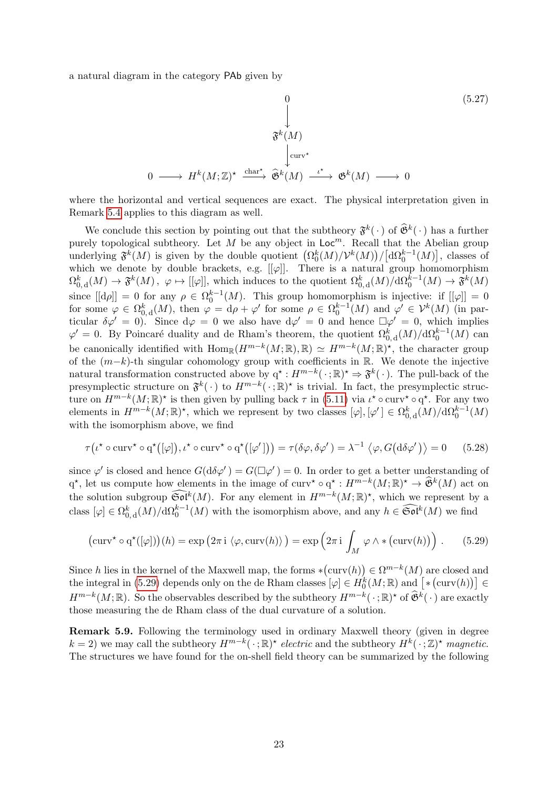a natural diagram in the category PAb given by

$$
\begin{array}{ccc}\n & & 0 & (5.27) \\
 & & \downarrow & & \\
\mathfrak{F}^{k}(M) & & & \\
 & & \downarrow^{\text{curv}\star} & \\
0 \longrightarrow H^{k}(M;\mathbb{Z})^{\star} & \xrightarrow{\text{char}^{\star}} \hat{\mathfrak{G}}^{k}(M) \stackrel{\iota^{\star}}{\longrightarrow} \mathfrak{G}^{k}(M) \longrightarrow 0\n\end{array}
$$

where the horizontal and vertical sequences are exact. The physical interpretation given in Remark [5.4](#page-20-1) applies to this diagram as well.

We conclude this section by pointing out that the subtheory  $\mathfrak{F}^k(\cdot)$  of  $\widehat{\mathfrak{G}}^k(\cdot)$  has a further purely topological subtheory. Let M be any object in  $Loc<sup>m</sup>$ . Recall that the Abelian group underlying  $\mathfrak{F}^k(M)$  is given by the double quotient  $(\Omega_0^k(M)/\mathcal{V}^k(M))/[\mathrm{d}\Omega_0^{k-1}(M)]$ , classes of  $\mathbf 0$ which we denote by double brackets, e.g.  $[[\varphi]]$ . There is a natural group homomorphism  $\Omega_{0, \mathrm{d}}^k(M) \to \mathfrak{F}^k(M)$ ,  $\varphi \mapsto [[\varphi]],$  which induces to the quotient  $\Omega_{0, \mathrm{d}}^k(M)/d\Omega_0^{k-1}(M) \to \mathfrak{F}^k(M)$ since  $[[d\rho]] = 0$  for any  $\rho \in \Omega_0^{k-1}(M)$ . This group homomorphism is injective: if  $[[\varphi]] = 0$ for some  $\varphi \in \Omega_{0,d}^k(M)$ , then  $\varphi = d\rho + \varphi'$  for some  $\rho \in \Omega_0^{k-1}(M)$  and  $\varphi' \in \mathcal{V}^k(M)$  (in particular  $\delta \varphi' = 0$ . Since  $d\varphi = 0$  we also have  $d\varphi' = 0$  and hence  $\Box \varphi' = 0$ , which implies  $\varphi' = 0$ . By Poincaré duality and de Rham's theorem, the quotient  $\Omega_{0,d}^k(M)/d\Omega_0^{k-1}(M)$  can be canonically identified with  $\text{Hom}_{\mathbb{R}}(H^{m-k}(M;\mathbb{R}),\mathbb{R}) \simeq H^{m-k}(M;\mathbb{R})^{\star}$ , the character group of the  $(m-k)$ -th singular cohomology group with coefficients in R. We denote the injective natural transformation constructed above by  $q^* : H^{m-k}(\cdot; \mathbb{R})^* \Rightarrow \mathfrak{F}^k(\cdot)$ . The pull-back of the presymplectic structure on  $\mathfrak{F}^k(\cdot)$  to  $H^{m-k}(\cdot;\mathbb{R})^*$  is trivial. In fact, the presymplectic structure on  $H^{m-k}(M;\mathbb{R})^*$  is then given by pulling back  $\tau$  in [\(5.11\)](#page-19-0) via  $\iota^* \circ \text{curv}^* \circ q^*$ . For any two elements in  $H^{m-k}(M;\mathbb{R})^*$ , which we represent by two classes  $[\varphi], [\varphi'] \in \Omega_{0,d}^k(M)/d\Omega_0^{k-1}(M)$ with the isomorphism above, we find

$$
\tau(\iota^* \circ \operatorname{curv}^* \circ q^*([\varphi]), \iota^* \circ \operatorname{curv}^* \circ q^*([\varphi']) ) = \tau(\delta\varphi, \delta\varphi') = \lambda^{-1} \langle \varphi, G(\mathrm{d}\delta\varphi') \rangle = 0 \qquad (5.28)
$$

since  $\varphi'$  is closed and hence  $G(d\delta\varphi') = G(\Box\varphi') = 0$ . In order to get a better understanding of  $q^*$ , let us compute how elements in the image of curv<sup>\*</sup>  $\circ q^* : H^{m-k}(M;\mathbb{R})^* \to \hat{\mathfrak{G}}^k(M)$  act on the solution subgroup  $\widetilde{\mathfrak{Sol}}^k(M)$ . For any element in  $H^{m-k}(M;\mathbb{R})^*$ , which we represent by a class  $[\varphi] \in \Omega_{0,d}^k(M)/d\Omega_0^{k-1}(M)$  with the isomorphism above, and any  $h \in \widehat{\mathfrak{Sol}}^k(M)$  we find

<span id="page-23-0"></span>
$$
(\operatorname{curv}^\star \circ \operatorname{q}^\star([\varphi]))(h) = \exp\left(2\pi i \langle \varphi, \operatorname{curv}(h) \rangle\right) = \exp\left(2\pi i \int_M \varphi \wedge * \left(\operatorname{curv}(h)\right)\right). \tag{5.29}
$$

Since h lies in the kernel of the Maxwell map, the forms  $*(curv(h)) \in \Omega^{m-k}(M)$  are closed and the integral in [\(5.29\)](#page-23-0) depends only on the de Rham classes  $[\varphi] \in H_0^k(M; \mathbb{R})$  and  $[\ast(\text{curv}(h))] \in$  $H^{m-k}(M;\mathbb{R})$ . So the observables described by the subtheory  $H^{m-k}(\cdot;\mathbb{R})^*$  of  $\widehat{\mathfrak{G}}^k(\cdot)$  are exactly those measuring the de Rham class of the dual curvature of a solution.

<span id="page-23-1"></span>Remark 5.9. Following the terminology used in ordinary Maxwell theory (given in degree  $k = 2$ ) we may call the subtheory  $H^{m-k}(\cdot; \mathbb{R})^*$  electric and the subtheory  $H^k(\cdot; \mathbb{Z})^*$  magnetic. The structures we have found for the on-shell field theory can be summarized by the following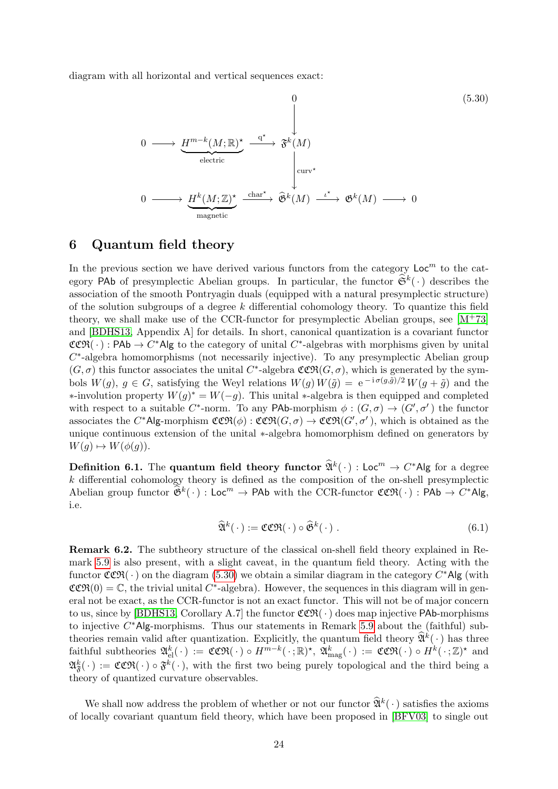diagram with all horizontal and vertical sequences exact:

<span id="page-24-1"></span>
$$
0 \longrightarrow \underbrace{H^{m-k}(M;\mathbb{R})^{\star}}_{\text{electric}} \xrightarrow{\mathbf{q}^{\star}} \mathfrak{F}^{k}(M)
$$
\n
$$
0 \longrightarrow \underbrace{H^{k}(M;\mathbb{Z})^{\star}}_{\text{magnetic}} \xrightarrow{\text{char}^{\star}} \mathfrak{F}^{k}(M) \xrightarrow{\iota^{\star}} \mathfrak{G}^{k}(M) \xrightarrow{\iota^{\star}} \mathfrak{G}^{k}(M) \longrightarrow 0
$$
\n
$$
(5.30)
$$
\n
$$
(5.30)
$$

## <span id="page-24-0"></span>6 Quantum field theory

In the previous section we have derived various functors from the category  $Loc<sup>m</sup>$  to the category PAb of presymplectic Abelian groups. In particular, the functor  $\hat{\mathfrak{S}}^k(\cdot)$  describes the association of the smooth Pontryagin duals (equipped with a natural presymplectic structure) of the solution subgroups of a degree  $k$  differential cohomology theory. To quantize this field theory, we shall make use of the CCR-functor for presymplectic Abelian groups, see  $[M^+73]$  $[M^+73]$ and [\[BDHS13,](#page-33-2) Appendix A] for details. In short, canonical quantization is a covariant functor  $CCR(\cdot)$ : PAb  $\rightarrow C^*$ Alg to the category of unital  $C^*$ -algebras with morphisms given by unital  $C^*$ -algebra homomorphisms (not necessarily injective). To any presymplectic Abelian group  $(G, \sigma)$  this functor associates the unital C<sup>\*</sup>-algebra  $\mathfrak{CCR}(G, \sigma)$ , which is generated by the symbols  $W(g)$ ,  $g \in G$ , satisfying the Weyl relations  $W(g) W(\tilde{g}) = e^{-i \sigma(g, \tilde{g})/2} W(g + \tilde{g})$  and the  $*$ -involution property  $W(g)^* = W(-g)$ . This unital  $*$ -algebra is then equipped and completed with respect to a suitable C<sup>\*</sup>-norm. To any PAb-morphism  $\phi: (G, \sigma) \to (G', \sigma')$  the functor associates the C\*Alg-morphism  $\mathfrak{CCR}(\phi) : \mathfrak{CCR}(G, \sigma) \to \mathfrak{CCR}(G', \sigma')$ , which is obtained as the unique continuous extension of the unital ∗-algebra homomorphism defined on generators by  $W(q) \mapsto W(\phi(q)).$ 

**Definition 6.1.** The **quantum field theory functor**  $\widehat{\mathfrak{A}}^k(\cdot)$  : Loc<sup>m</sup>  $\rightarrow$  C<sup>\*</sup>Alg for a degree  $k$  differential cohomology theory is defined as the composition of the on-shell presymplectic Abelian group functor  $\widehat{\mathfrak{G}}^k(\,\cdot\,):$  Loc<sup>m</sup>  $\rightarrow$  PAb with the CCR-functor  $\mathfrak{CCR}(\,\cdot\,):$  PAb  $\rightarrow C^*\mathsf{Alg},$ i.e.

$$
\widehat{\mathfrak{A}}^k(\cdot) := \mathfrak{CCR}(\cdot) \circ \widehat{\mathfrak{G}}^k(\cdot) . \tag{6.1}
$$

<span id="page-24-2"></span>Remark 6.2. The subtheory structure of the classical on-shell field theory explained in Remark [5.9](#page-23-1) is also present, with a slight caveat, in the quantum field theory. Acting with the functor  $\mathfrak{CCR}(\cdot)$  on the diagram [\(5.30\)](#page-24-1) we obtain a similar diagram in the category  $C^*$ Alg (with  $CCR(0) = \mathbb{C}$ , the trivial unital C<sup>\*</sup>-algebra). However, the sequences in this diagram will in general not be exact, as the CCR-functor is not an exact functor. This will not be of major concern to us, since by [\[BDHS13,](#page-33-2) Corollary A.7] the functor  $CCR(\cdot)$  does map injective PAb-morphisms to injective  $C^*$ Alg-morphisms. Thus our statements in Remark [5.9](#page-23-1) about the (faithful) subtheories remain valid after quantization. Explicitly, the quantum field theory  $\hat{\mathfrak{A}}^k(\cdot)$  has three  $\text{faithful subtheories } \mathfrak{A}_{\text{el}}^k(\,\cdot\,):=\mathfrak{CCR}(\,\cdot\,)\circ H^{m-k}(\,\cdot\,;\mathbb{R})^{\star},\ \mathfrak{A}_{\text{mag}}^k(\,\cdot\,):=\mathfrak{CCR}(\,\cdot\,)\circ H^k(\,\cdot\,;\mathbb{Z})^{\star} \text{ and }$  $\mathfrak{A}^k_{\mathfrak{F}}(\cdot) := \mathfrak{CCR}(\cdot) \circ \mathfrak{F}^k(\cdot)$ , with the first two being purely topological and the third being a theory of quantized curvature observables.

We shall now address the problem of whether or not our functor  $\widehat{\mathfrak{A}}^k(\cdot)$  satisfies the axioms of locally covariant quantum field theory, which have been proposed in [\[BFV03\]](#page-34-3) to single out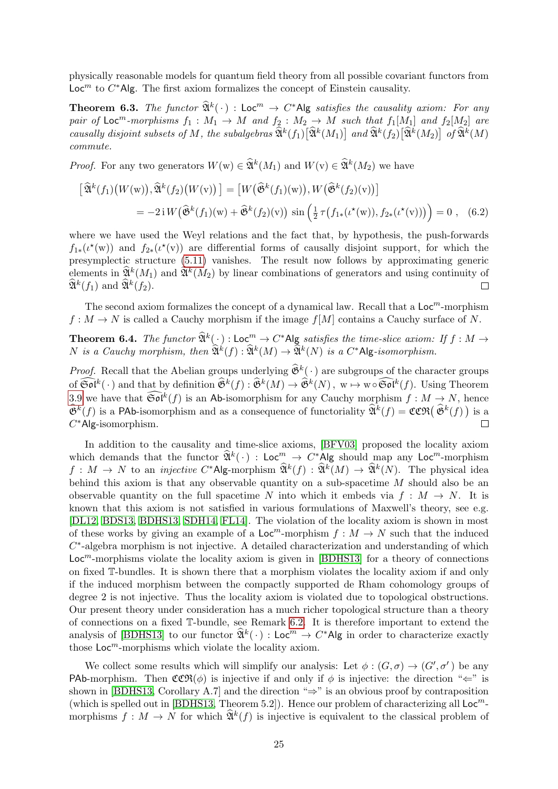physically reasonable models for quantum field theory from all possible covariant functors from  $\mathsf{Loc}^m$  to  $C^*$ Alg. The first axiom formalizes the concept of Einstein causality.

**Theorem 6.3.** The functor  $\widehat{\mathfrak{A}}^k(\cdot)$  : Loc<sup>m</sup>  $\rightarrow$  C\*Alg satisfies the causality axiom: For any pair of Loc<sup>m</sup>-morphisms  $f_1 : M_1 \to M$  and  $f_2 : M_2 \to M$  such that  $f_1[M_1]$  and  $f_2[M_2]$  are causally disjoint subsets of M, the subalgebras  $\widehat{\mathfrak{A}}^k(f_1)[\widehat{\mathfrak{A}}^k(M_1)]$  and  $\widehat{\mathfrak{A}}^k(f_2)[\widehat{\mathfrak{A}}^k(M_2)]$  of  $\widehat{\mathfrak{A}}^k(M)$ commute.

*Proof.* For any two generators  $W(w) \in \widehat{\mathfrak{A}}^k(M_1)$  and  $W(v) \in \widehat{\mathfrak{A}}^k(M_2)$  we have

$$
\left[\widehat{\mathfrak{A}}^k(f_1)\big(W(\mathbf{w})\big),\widehat{\mathfrak{A}}^k(f_2)\big(W(\mathbf{v})\big)\right] = \left[W\big(\widehat{\mathfrak{G}}^k(f_1)(\mathbf{w})\big),W\big(\widehat{\mathfrak{G}}^k(f_2)(\mathbf{v})\big)\right]
$$

$$
= -2i W\big(\widehat{\mathfrak{G}}^k(f_1)(\mathbf{w}) + \widehat{\mathfrak{G}}^k(f_2)(\mathbf{v})\big)\sin\left(\frac{1}{2}\tau\big(f_{1*}(\iota^{\star}(\mathbf{w})),f_{2*}(\iota^{\star}(\mathbf{v}))\big)\right) = 0 , \quad (6.2)
$$

where we have used the Weyl relations and the fact that, by hypothesis, the push-forwards  $f_{1*}(t^{\star}(\mathbf{w}))$  and  $f_{2*}(t^{\star}(\mathbf{v}))$  are differential forms of causally disjoint support, for which the presymplectic structure [\(5.11\)](#page-19-0) vanishes. The result now follows by approximating generic elements in  $\widehat{\mathfrak{A}}^k(M_1)$  and  $\widehat{\mathfrak{A}}^k(M_2)$  by linear combinations of generators and using continuity of  $\widehat{\mathfrak{A}}^k(f_1)$  and  $\widehat{\mathfrak{A}}^k(f_2)$ .  $\Box$ 

The second axiom formalizes the concept of a dynamical law. Recall that a  $Loc<sup>m</sup>$ -morphism  $f: M \to N$  is called a Cauchy morphism if the image  $f[M]$  contains a Cauchy surface of N.

**Theorem 6.4.** The functor  $\widehat{\mathfrak{A}}^k(\cdot)$ :  $\mathsf{Loc}^m \to C^*$  Alg satisfies the time-slice axiom: If  $f : M \to$ N is a Cauchy morphism, then  $\widehat{\mathfrak{A}}^k(f) : \widehat{\mathfrak{A}}^k(M) \to \widehat{\mathfrak{A}}^k(N)$  is a  $C^*$ Alg-isomorphism.

*Proof.* Recall that the Abelian groups underlying  $\hat{\mathfrak{G}}^k(\cdot)$  are subgroups of the character groups of  $\widehat{\mathfrak{Sol}}^k(\cdot)$  and that by definition  $\widehat{\mathfrak{G}}^k(f) : \widehat{\mathfrak{G}}^k(M) \to \widehat{\mathfrak{G}}^k(N)$ ,  $w \mapsto w \circ \widehat{\mathfrak{Sol}}^k(f)$ . Using Theorem [3.9](#page-10-3) we have that  $\widetilde{\mathfrak{Sol}}^k(f)$  is an Ab-isomorphism for any Cauchy morphism  $f : M \to N$ , hence  $\widehat{\mathfrak{G}}^k(f)$  is a PAb-isomorphism and as a consequence of functoriality  $\widehat{\mathfrak{A}}^k(f) = \mathfrak{CCR}(\widehat{\mathfrak{G}}^k(f))$  is a C <sup>∗</sup>Alg-isomorphism.  $\Box$ 

In addition to the causality and time-slice axioms, [\[BFV03\]](#page-34-3) proposed the locality axiom which demands that the functor  $\widehat{\mathfrak{A}}^k(\cdot)$  : Loc<sup>m</sup>  $\rightarrow$  C\*Alg should map any Loc<sup>m</sup>-morphism  $f: M \to N$  to an *injective*  $C^*$ Alg-morphism  $\widehat{\mathfrak{A}}^k(f) : \widehat{\mathfrak{A}}^k(M) \to \widehat{\mathfrak{A}}^k(N)$ . The physical idea behind this axiom is that any observable quantity on a sub-spacetime M should also be an observable quantity on the full spacetime N into which it embeds via  $f : M \to N$ . It is known that this axiom is not satisfied in various formulations of Maxwell's theory, see e.g. [\[DL12,](#page-34-14) [BDS13,](#page-33-1) [BDHS13,](#page-33-2) [SDH14,](#page-34-12) [FL14\]](#page-34-15). The violation of the locality axiom is shown in most of these works by giving an example of a  $\mathsf{Loc}^m$ -morphism  $f : M \to N$  such that the induced  $C^*$ -algebra morphism is not injective. A detailed characterization and understanding of which  $Loc<sup>m</sup>$ -morphisms violate the locality axiom is given in [\[BDHS13\]](#page-33-2) for a theory of connections on fixed T-bundles. It is shown there that a morphism violates the locality axiom if and only if the induced morphism between the compactly supported de Rham cohomology groups of degree 2 is not injective. Thus the locality axiom is violated due to topological obstructions. Our present theory under consideration has a much richer topological structure than a theory of connections on a fixed T-bundle, see Remark [6.2.](#page-24-2) It is therefore important to extend the analysis of [\[BDHS13\]](#page-33-2) to our functor  $\widehat{\mathfrak{A}}^k(\cdot)$  : Loc<sup>m</sup>  $\rightarrow$  C\*Alg in order to characterize exactly those  $\mathsf{Loc}^m$ -morphisms which violate the locality axiom.

We collect some results which will simplify our analysis: Let  $\phi: (G, \sigma) \to (G', \sigma')$  be any PAb-morphism. Then  $\mathfrak{CCR}(\phi)$  is injective if and only if  $\phi$  is injective: the direction " $\Leftarrow$ " is shown in [\[BDHS13,](#page-33-2) Corollary A.7] and the direction " $\Rightarrow$ " is an obvious proof by contraposition (which is spelled out in [\[BDHS13,](#page-33-2) Theorem 5.2]). Hence our problem of characterizing all  $\mathsf{Loc}^m$ morphisms  $f: M \to N$  for which  $\widehat{\mathfrak{A}}^k(f)$  is injective is equivalent to the classical problem of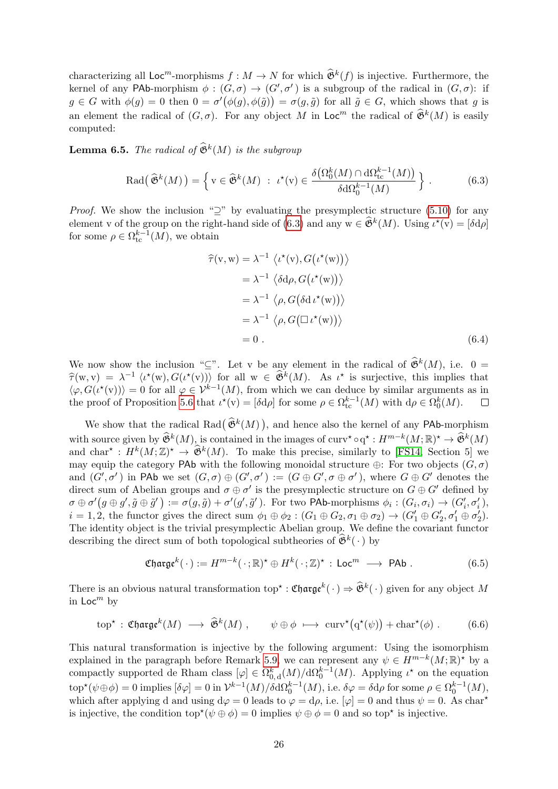characterizing all  $\mathsf{Loc}^m$ -morphisms  $f : M \to N$  for which  $\widehat{\mathfrak{G}}^k(f)$  is injective. Furthermore, the kernel of any PAb-morphism  $\phi: (G, \sigma) \to (G', \sigma')$  is a subgroup of the radical in  $(G, \sigma)$ : if  $g \in G$  with  $\phi(g) = 0$  then  $0 = \sigma'(\phi(g), \phi(\tilde{g})) = \sigma(g, \tilde{g})$  for all  $\tilde{g} \in G$ , which shows that g is an element the radical of  $(G, \sigma)$ . For any object M in Loc<sup>m</sup> the radical of  $\widehat{\mathfrak{G}}^k(M)$  is easily computed:

<span id="page-26-1"></span>**Lemma 6.5.** The radical of  $\widehat{\mathfrak{G}}^k(M)$  is the subgroup

$$
\operatorname{Rad}(\widehat{\mathfrak{G}}^k(M)) = \left\{ v \in \widehat{\mathfrak{G}}^k(M) : \iota^*(v) \in \frac{\delta(\Omega_0^k(M) \cap d\Omega_{\text{tc}}^{k-1}(M))}{\delta d\Omega_0^{k-1}(M)} \right\}. \tag{6.3}
$$

*Proof.* We show the inclusion " $\supseteq$ " by evaluating the presymplectic structure [\(5.10\)](#page-18-2) for any element v of the group on the right-hand side of [\(6.3\)](#page-26-0) and any  $w \in \widehat{\mathfrak{G}}^k(M)$ . Using  $\iota^*(v) = [\delta d \rho]$ for some  $\rho \in \Omega_{\text{tc}}^{k-1}(M)$ , we obtain

<span id="page-26-0"></span>
$$
\hat{\tau}(v, w) = \lambda^{-1} \langle \iota^*(v), G(\iota^*(w)) \rangle
$$
  
\n
$$
= \lambda^{-1} \langle \delta d\rho, G(\iota^*(w)) \rangle
$$
  
\n
$$
= \lambda^{-1} \langle \rho, G(\delta d \iota^*(w)) \rangle
$$
  
\n
$$
= \lambda^{-1} \langle \rho, G(\Box \iota^*(w)) \rangle
$$
  
\n
$$
= 0.
$$
 (6.4)

We now show the inclusion "⊆". Let v be any element in the radical of  $\widehat{\mathfrak{G}}^k(M)$ , i.e.  $0 =$  $\hat{\tau}(w, v) = \lambda^{-1} \langle \iota^*(w), G(\iota^*(v)) \rangle$  for all  $w \in \hat{\mathfrak{B}}^k(M)$ . As  $\iota^*$  is surjective, this implies that  $\iota_{\infty} C(\iota^*(w)) = 0$  for all  $\iota_{\infty} C(\iota^*(w))$  from which we see deduce by similar arguments as in  $\langle \varphi, G(\iota^{*}(v)) \rangle = 0$  for all  $\varphi \in \mathcal{V}^{k-1}(M)$ , from which we can deduce by similar arguments as in the proof of Proposition [5.6](#page-20-0) that  $\iota^*(v) = [\delta d\rho]$  for some  $\rho \in \Omega_{\text{tc}}^{k-1}(M)$  with  $d\rho \in \Omega_0^k(M)$ .  $\Box$ 

We show that the radical Rad $(\hat{\mathfrak{G}}^k(M))$ , and hence also the kernel of any PAb-morphism with source given by  $\widehat{\mathfrak{G}}^k(M)$ , is contained in the images of curv\*  $\circ q^* : H^{m-k}(M; \mathbb{R})^* \to \widehat{\mathfrak{G}}^k(M)$ and char<sup>\*</sup>:  $H^k(M;\mathbb{Z})^* \to \hat{\mathfrak{G}}^k(M)$ . To make this precise, similarly to [\[FS14,](#page-34-16) Section 5] we may equip the category PAb with the following monoidal structure  $\oplus$ : For two objects  $(G, \sigma)$ and  $(G',\sigma')$  in PAb we set  $(G,\sigma) \oplus (G',\sigma') := (G \oplus G', \sigma \oplus \sigma')$ , where  $G \oplus G'$  denotes the direct sum of Abelian groups and  $\sigma \oplus \sigma'$  is the presymplectic structure on  $G \oplus G'$  defined by  $\sigma \oplus \sigma'(g \oplus g', \tilde{g} \oplus \tilde{g}') := \sigma(g, \tilde{g}) + \sigma'(g', \tilde{g}')$ . For two PAb-morphisms  $\phi_i : (G_i, \sigma_i) \rightarrow (G'_i, \sigma'_i)$ ,  $i = 1, 2$ , the functor gives the direct sum  $\phi_1 \oplus \phi_2 : (G_1 \oplus G_2, \sigma_1 \oplus \sigma_2) \rightarrow (G'_1 \oplus G'_2, \sigma'_1 \oplus \sigma'_2)$ . The identity object is the trivial presymplectic Abelian group. We define the covariant functor describing the direct sum of both topological subtheories of  $\widehat{\mathfrak{G}}^k(\cdot)$  by

$$
\mathfrak{C} \mathfrak{h} \mathfrak{arg} \mathfrak{e}^k(\cdot) := H^{m-k}(\cdot; \mathbb{R})^{\star} \oplus H^k(\cdot; \mathbb{Z})^{\star} : \mathsf{Loc}^m \longrightarrow \mathsf{PAb} . \tag{6.5}
$$

There is an obvious natural transformation  $\text{top}^{\star} : \mathfrak{Charg}e^k(\cdot) \Rightarrow \widehat{\mathfrak{G}}^k(\cdot)$  given for any object M in  $Loc<sup>m</sup>$  by

$$
\text{top}^{\star} : \mathfrak{C} \mathfrak{h} \mathfrak{arg} \mathfrak{e}^k(M) \longrightarrow \widehat{\mathfrak{G}}^k(M) , \qquad \psi \oplus \phi \longrightarrow \text{curv}^{\star}(q^{\star}(\psi)) + \text{char}^{\star}(\phi) . \tag{6.6}
$$

This natural transformation is injective by the following argument: Using the isomorphism explained in the paragraph before Remark [5.9,](#page-23-1) we can represent any  $\psi \in H^{m-k}(M;\mathbb{R})^*$  by a compactly supported de Rham class  $[\varphi] \in \Omega_{0,d}^k(M)/d\Omega_0^{k-1}(M)$ . Applying  $\iota^*$  on the equation  $\mathrm{top}^{\star}(\psi \oplus \phi) = 0$  implies  $[\delta \varphi] = 0$  in  $\mathcal{V}^{k-1}(M)/\delta \mathrm{d}\Omega_0^{k-1}(M)$ , i.e.  $\delta \varphi = \delta \mathrm{d}\rho$  for some  $\rho \in \Omega_0^{k-1}(M)$ , which after applying d and using  $d\varphi = 0$  leads to  $\varphi = d\rho$ , i.e.  $[\varphi] = 0$  and thus  $\psi = 0$ . As char<sup>\*</sup> is injective, the condition  $top^*(\psi \oplus \phi) = 0$  implies  $\psi \oplus \phi = 0$  and so top<sup>\*</sup> is injective.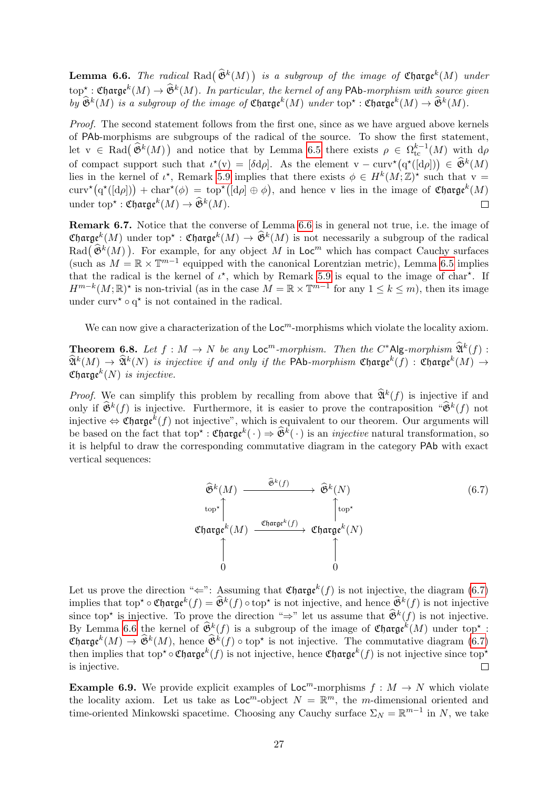<span id="page-27-0"></span>**Lemma 6.6.** The radical Rad $(\widehat{\mathfrak{G}}^k(M))$  is a subgroup of the image of  $\mathfrak{Charge}^k(M)$  under  $\text{top}^{\star} : \text{Charge}^k(M) \to \widehat{\mathfrak{G}}^k(M)$ . In particular, the kernel of any PAb-morphism with source given by  $\widehat{\mathfrak{G}}^k(M)$  is a subgroup of the image of  $\mathfrak{Charge}^k(M)$  under  $\text{top}^{\star} : \mathfrak{Charge}^k(M) \to \widehat{\mathfrak{G}}^k(M)$ .

Proof. The second statement follows from the first one, since as we have argued above kernels of PAb-morphisms are subgroups of the radical of the source. To show the first statement, let  $v \in \text{Rad}(\hat{\mathfrak{G}}^k(M))$  and notice that by Lemma [6.5](#page-26-1) there exists  $\rho \in \Omega_{\text{tc}}^{k-1}(M)$  with  $d\rho$ of compact support such that  $\iota^*(v) = [\delta d\rho]$ . As the element  $v - \text{curv}^*(q^*([d\rho])) \in \widehat{\mathfrak{G}}^k(M)$ lies in the kernel of  $\iota^*$ , Remark [5.9](#page-23-1) implies that there exists  $\phi \in H^k(M; \mathbb{Z})^*$  such that  $v =$ curv<sup>\*</sup>(q<sup>\*</sup>([dρ]) + char<sup>\*</sup>( $\phi$ ) = top<sup>\*</sup>([dρ]  $\oplus$   $\phi$ ), and hence v lies in the image of Charge<sup>k</sup>(M) under top\*:  $\mathfrak{Charge}^k(M) \to \widehat{\mathfrak{G}}^k(M)$ .  $\Box$ 

Remark 6.7. Notice that the converse of Lemma [6.6](#page-27-0) is in general not true, i.e. the image of  $\mathfrak{Charge}^k(M)$  under top<sup>\*</sup>:  $\mathfrak{Charge}^k(M) \to \mathfrak{B}^k(M)$  is not necessarily a subgroup of the radical  $\text{Rad}(\widehat{\mathfrak{G}}^k(M))$ . For example, for any object M in Loc<sup>m</sup> which has compact Cauchy surfaces (such as  $M = \mathbb{R} \times \mathbb{T}^{m-1}$  equipped with the canonical Lorentzian metric), Lemma [6.5](#page-26-1) implies that the radical is the kernel of  $\iota^*$ , which by Remark [5.9](#page-23-1) is equal to the image of char<sup>\*</sup>. If  $H^{m-k}(M;\mathbb{R})^*$  is non-trivial (as in the case  $M=\mathbb{R}\times\mathbb{T}^{m-1}$  for any  $1\leq k\leq m$ ), then its image under curv<sup>\*</sup>  $\circ$  q<sup>\*</sup> is not contained in the radical.

We can now give a characterization of the  $\mathsf{Loc}^m$ -morphisms which violate the locality axiom.

<span id="page-27-2"></span>**Theorem 6.8.** Let  $f : M \to N$  be any  $\mathsf{Loc}^m$ -morphism. Then the  $C^*\mathsf{Alg}$ -morphism  $\widehat{\mathfrak{A}}^k(f)$ :<br> $\widehat{\mathfrak{B}}^k(A)$  $\widehat{\mathfrak{A}}^k(M) \to \widehat{\mathfrak{A}}^k(N)$  is injective if and only if the PAb-morphism  $\mathfrak{Charge}^k(f)$  :  $\mathfrak{Charge}^k(M) \to$ Charge $^k(N)$  is injective.

*Proof.* We can simplify this problem by recalling from above that  $\widehat{\mathfrak{A}}^k(f)$  is injective if and only if  $\widehat{\mathfrak{G}}^k(f)$  is injective. Furthermore, it is easier to prove the contraposition " $\widehat{\mathfrak{G}}^k(f)$  not injective  $\Leftrightarrow$  Charge<sup>k</sup>(f) not injective", which is equivalent to our theorem. Our arguments will be based on the fact that  $\text{top}^{\star} : \mathfrak{C} \text{large}^k(\cdot) \Rightarrow \widehat{\mathfrak{G}}^k(\cdot)$  is an *injective* natural transformation, so it is helpful to draw the corresponding commutative diagram in the category PAb with exact vertical sequences:

<span id="page-27-1"></span>
$$
\begin{array}{ccc}\n\widehat{\mathfrak{G}}^{k}(M) & \xrightarrow{\widehat{\mathfrak{G}}^{k}(f)} & \widehat{\mathfrak{G}}^{k}(N) \\
\text{top}^{\star} & & \downarrow \\
\text{Change}^{k}(M) & \xrightarrow{\mathfrak{Charge}^{k}(f)} & \mathfrak{Charge}^{k}(N) \\
\uparrow & & \uparrow \\
\uparrow & & \uparrow \\
0 & & 0\n\end{array}
$$
\n(6.7)

Let us prove the direction " $\Leftarrow$ ": Assuming that Charge<sup>k</sup>(f) is not injective, the diagram [\(6.7\)](#page-27-1) implies that  $\text{top*} \circ \text{C} \text{large}^k(f) = \widehat{\mathfrak{G}}^k(f) \circ \text{top*}$  is not injective, and hence  $\widehat{\mathfrak{G}}^k(f)$  is not injective since top<sup>\*</sup> is injective. To prove the direction "⇒" let us assume that  $\widehat{\mathfrak{G}}^k(f)$  is not injective. By Lemma [6.6](#page-27-0) the kernel of  $\widehat{\mathfrak{G}}_k^k(f)$  is a subgroup of the image of  $\mathfrak{Charge}^k(M)$  under top<sup>\*</sup>:  $\mathfrak{Charge}^k(M) \to \widehat{\mathfrak{G}}^k(M)$ , hence  $\widehat{\mathfrak{G}}^k(f) \circ \text{top}^*$  is not injective. The commutative diagram  $(6.7)$ then implies that  $\text{top}^{\star} \circ \mathfrak{Charge}^k(f)$  is not injective, hence  $\mathfrak{Charge}^k(f)$  is not injective since  $\text{top}^{\star}$ is injective.  $\Box$ 

<span id="page-27-3"></span>**Example 6.9.** We provide explicit examples of  $\mathsf{Loc}^m$ -morphisms  $f : M \to N$  which violate the locality axiom. Let us take as  $\text{Loc}^m$ -object  $N = \mathbb{R}^m$ , the m-dimensional oriented and time-oriented Minkowski spacetime. Choosing any Cauchy surface  $\Sigma_N = \mathbb{R}^{m-1}$  in N, we take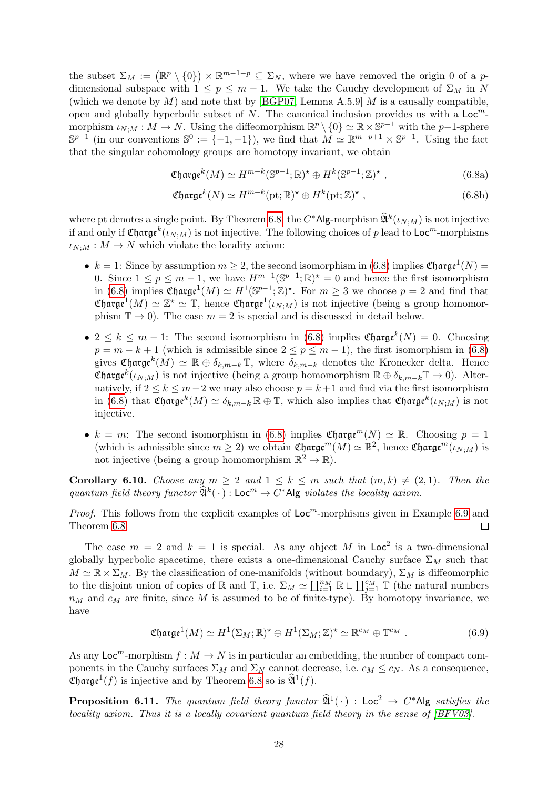the subset  $\Sigma_M := (\mathbb{R}^p \setminus \{0\}) \times \mathbb{R}^{m-1-p} \subseteq \Sigma_N$ , where we have removed the origin 0 of a pdimensional subspace with  $1 \leq p \leq m-1$ . We take the Cauchy development of  $\Sigma_M$  in N (which we denote by  $M$ ) and note that by [\[BGP07,](#page-33-4) Lemma A.5.9]  $M$  is a causally compatible, open and globally hyperbolic subset of N. The canonical inclusion provides us with a  $\mathsf{Loc}^m$ morphism  $\iota_{N,M}: M \to N$ . Using the diffeomorphism  $\mathbb{R}^p \setminus \{0\} \simeq \mathbb{R} \times \mathbb{S}^{p-1}$  with the  $p-1$ -sphere  $\mathbb{S}^{p-1}$  (in our conventions  $\mathbb{S}^0 := \{-1, +1\}$ ), we find that  $M \simeq \mathbb{R}^{m-p+1} \times \mathbb{S}^{p-1}$ . Using the fact that the singular cohomology groups are homotopy invariant, we obtain

<span id="page-28-0"></span>
$$
\mathfrak{C} \mathfrak{harge}^k(M) \simeq H^{m-k}(\mathbb{S}^{p-1}; \mathbb{R})^\star \oplus H^k(\mathbb{S}^{p-1}; \mathbb{Z})^\star ,\tag{6.8a}
$$

$$
\mathfrak{C} \mathfrak{h} \mathfrak{arg} \mathfrak{e}^k(N) \simeq H^{m-k}(\text{pt}; \mathbb{R})^* \oplus H^k(\text{pt}; \mathbb{Z})^* , \qquad (6.8b)
$$

where pt denotes a single point. By Theorem [6.8,](#page-27-2) the  $C^*$ Alg-morphism  $\widehat{\mathfrak{A}}^k(\iota_{N,M})$  is not injective if and only if  $\mathfrak{Charge}^k(\iota_{N;M})$  is not injective. The following choices of  $p$  lead to  $\mathsf{Loc}^m\text{-morphisms}$  $\iota_{N:M}:M\to N$  which violate the locality axiom:

- $k = 1$ : Since by assumption  $m \geq 2$ , the second isomorphism in [\(6.8\)](#page-28-0) implies Charge<sup>1</sup>(N) = 0. Since  $1 \le p \le m-1$ , we have  $H^{m-1}(\mathbb{S}^{p-1};\mathbb{R})^* = 0$  and hence the first isomorphism in [\(6.8\)](#page-28-0) implies  $\mathfrak{Charge}^1(M) \simeq H^1(\mathbb{S}^{p-1};\mathbb{Z})^*$ . For  $m \geq 3$  we choose  $p = 2$  and find that Charge<sup>1</sup> $(M) \simeq \mathbb{Z}^{\star} \simeq \mathbb{T}$ , hence Charge<sup>1</sup> $(\iota_{N,M})$  is not injective (being a group homomorphism  $\mathbb{T} \to 0$ ). The case  $m = 2$  is special and is discussed in detail below.
- $2 \leq k \leq m-1$ : The second isomorphism in [\(6.8\)](#page-28-0) implies Charge<sup>k</sup> $(N) = 0$ . Choosing  $p = m - k + 1$  (which is admissible since  $2 \le p \le m - 1$ ), the first isomorphism in [\(6.8\)](#page-28-0) gives Charge<sup>k</sup> $(M) \simeq \mathbb{R} \oplus \delta_{k,m-k} \mathbb{T}$ , where  $\delta_{k,m-k}$  denotes the Kronecker delta. Hence **Charge**<sup>k</sup>( $\iota_{N,M}$ ) is not injective (being a group homomorphism  $\mathbb{R} \oplus \delta_{k,m-k} \mathbb{T} \to 0$ ). Alternatively, if  $2 \le k \le m-2$  we may also choose  $p = k+1$  and find via the first isomorphism in [\(6.8\)](#page-28-0) that Charge  $k(M) \simeq \delta_{k,m-k} \mathbb{R} \oplus \mathbb{T}$ , which also implies that Charge  $k(\iota_{N,M})$  is not injective.
- $k = m$ : The second isomorphism in [\(6.8\)](#page-28-0) implies Charge<sup>m</sup>(N)  $\simeq \mathbb{R}$ . Choosing  $p = 1$ (which is admissible since  $m \geq 2$ ) we obtain Charge<sup>m</sup> $(M) \simeq \mathbb{R}^2$ , hence Charge<sup>m</sup> $(\iota_{N,M})$  is not injective (being a group homomorphism  $\mathbb{R}^2 \to \mathbb{R}$ ).

Corollary 6.10. Choose any  $m > 2$  and  $1 \leq k \leq m$  such that  $(m, k) \neq (2, 1)$ . Then the quantum field theory functor  $\widehat{\mathfrak{A}}^k(\cdot)$  : Loc<sup>m</sup>  $\to C^*$ Alg violates the locality axiom.

*Proof.* This follows from the explicit examples of  $Loc<sup>m</sup>$ -morphisms given in Example [6.9](#page-27-3) and Theorem [6.8.](#page-27-2)  $\Box$ 

The case  $m = 2$  and  $k = 1$  is special. As any object M in Loc<sup>2</sup> is a two-dimensional globally hyperbolic spacetime, there exists a one-dimensional Cauchy surface  $\Sigma_M$  such that  $M \simeq \mathbb{R} \times \Sigma_M$ . By the classification of one-manifolds (without boundary),  $\Sigma_M$  is diffeomorphic to the disjoint union of copies of  $\mathbb R$  and  $\mathbb T$ , i.e.  $\Sigma_M \simeq \coprod_{i=1}^{n_M} \mathbb R \sqcup \coprod_{j=1}^{c_M} \mathbb T$  (the natural numbers  $n_M$  and  $c_M$  are finite, since M is assumed to be of finite-type). By homotopy invariance, we have

$$
\mathfrak{Charge}^1(M) \simeq H^1(\Sigma_M; \mathbb{R})^\star \oplus H^1(\Sigma_M; \mathbb{Z})^\star \simeq \mathbb{R}^{c_M} \oplus \mathbb{T}^{c_M} . \tag{6.9}
$$

As any  $\text{Loc}^m$ -morphism  $f : M \to N$  is in particular an embedding, the number of compact components in the Cauchy surfaces  $\Sigma_M$  and  $\Sigma_N$  cannot decrease, i.e.  $c_M \leq c_N$ . As a consequence, **Charge**<sup>1</sup>(*f*) is injective and by Theorem [6.8](#page-27-2) so is  $\widehat{\mathfrak{A}}^1(f)$ .

**Proposition 6.11.** The quantum field theory functor  $\widehat{\mathfrak{A}}^1(\cdot)$  : Loc<sup>2</sup>  $\rightarrow$  C\*Alg satisfies the locality axiom. Thus it is a locally covariant quantum field theory in the sense of [\[BFV03\]](#page-34-3).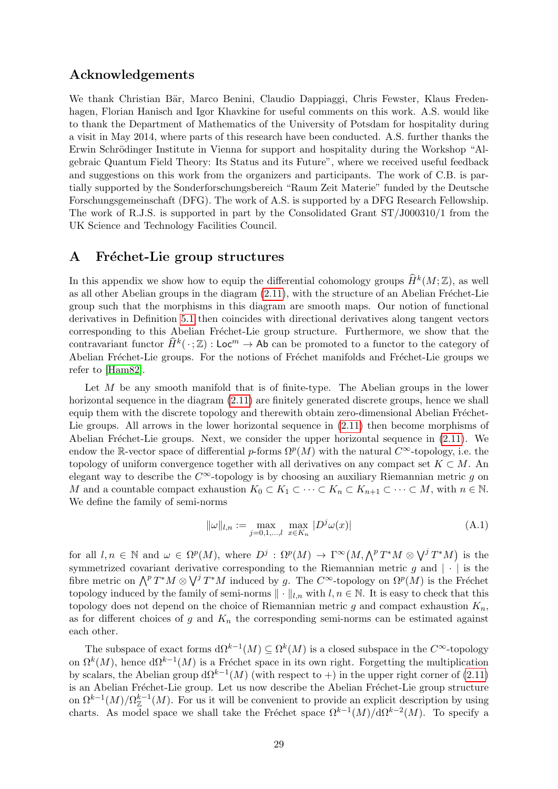## Acknowledgements

We thank Christian Bär, Marco Benini, Claudio Dappiaggi, Chris Fewster, Klaus Fredenhagen, Florian Hanisch and Igor Khavkine for useful comments on this work. A.S. would like to thank the Department of Mathematics of the University of Potsdam for hospitality during a visit in May 2014, where parts of this research have been conducted. A.S. further thanks the Erwin Schrödinger Institute in Vienna for support and hospitality during the Workshop "Algebraic Quantum Field Theory: Its Status and its Future", where we received useful feedback and suggestions on this work from the organizers and participants. The work of C.B. is partially supported by the Sonderforschungsbereich "Raum Zeit Materie" funded by the Deutsche Forschungsgemeinschaft (DFG). The work of A.S. is supported by a DFG Research Fellowship. The work of R.J.S. is supported in part by the Consolidated Grant ST/J000310/1 from the UK Science and Technology Facilities Council.

## <span id="page-29-0"></span>A Fréchet-Lie group structures

In this appendix we show how to equip the differential cohomology groups  $\widehat{H}^k(M; \mathbb{Z})$ , as well as all other Abelian groups in the diagram  $(2.11)$ , with the structure of an Abelian Fréchet-Lie group such that the morphisms in this diagram are smooth maps. Our notion of functional derivatives in Definition [5.1](#page-17-2) then coincides with directional derivatives along tangent vectors corresponding to this Abelian Fréchet-Lie group structure. Furthermore, we show that the contravariant functor  $\widehat{H}^k(\cdot;\mathbb{Z})$ : Loc<sup>m</sup>  $\rightarrow$  Ab can be promoted to a functor to the category of Abelian Fréchet-Lie groups. For the notions of Fréchet manifolds and Fréchet-Lie groups we refer to [\[Ham82\]](#page-34-17).

Let M be any smooth manifold that is of finite-type. The Abelian groups in the lower horizontal sequence in the diagram  $(2.11)$  are finitely generated discrete groups, hence we shall equip them with the discrete topology and therewith obtain zero-dimensional Abelian Fréchet-Lie groups. All arrows in the lower horizontal sequence in [\(2.11\)](#page-6-0) then become morphisms of Abelian Fréchet-Lie groups. Next, we consider the upper horizontal sequence in  $(2.11)$ . We endow the R-vector space of differential p-forms  $\Omega^p(M)$  with the natural  $C^{\infty}$ -topology, i.e. the topology of uniform convergence together with all derivatives on any compact set  $K \subset M$ . An elegant way to describe the  $C^{\infty}$ -topology is by choosing an auxiliary Riemannian metric q on M and a countable compact exhaustion  $K_0 \subset K_1 \subset \cdots \subset K_n \subset K_{n+1} \subset \cdots \subset M$ , with  $n \in \mathbb{N}$ . We define the family of semi-norms

$$
\|\omega\|_{l,n} := \max_{j=0,1,\dots,l} \max_{x \in K_n} |D^j \omega(x)| \tag{A.1}
$$

for all  $l, n \in \mathbb{N}$  and  $\omega \in \Omega^p(M)$ , where  $D^j : \Omega^p(M) \to \Gamma^\infty(M, \bigwedge^p T^*M \otimes \bigvee^j T^*M)$  is the symmetrized covariant derivative corresponding to the Riemannian metric q and  $|\cdot|$  is the fibre metric on  $\bigwedge^p T^*M \otimes \bigvee^j T^*M$  induced by g. The  $C^{\infty}$ -topology on  $\Omega^p(M)$  is the Fréchet topology induced by the family of semi-norms  $\|\cdot\|_{l,n}$  with  $l, n \in \mathbb{N}$ . It is easy to check that this topology does not depend on the choice of Riemannian metric g and compact exhaustion  $K_n$ , as for different choices of g and  $K_n$  the corresponding semi-norms can be estimated against each other.

The subspace of exact forms  $d\Omega^{k-1}(M) \subseteq \Omega^k(M)$  is a closed subspace in the  $C^{\infty}$ -topology on  $\Omega^k(M)$ , hence  $d\Omega^{k-1}(M)$  is a Fréchet space in its own right. Forgetting the multiplication by scalars, the Abelian group  $d\Omega^{k-1}(M)$  (with respect to +) in the upper right corner of [\(2.11\)](#page-6-0) is an Abelian Fréchet-Lie group. Let us now describe the Abelian Fréchet-Lie group structure on  $\Omega^{k-1}(M)/\Omega_{\mathbb{Z}}^{k-1}(M)$ . For us it will be convenient to provide an explicit description by using charts. As model space we shall take the Fréchet space  $\Omega^{k-1}(M)/d\Omega^{k-2}(M)$ . To specify a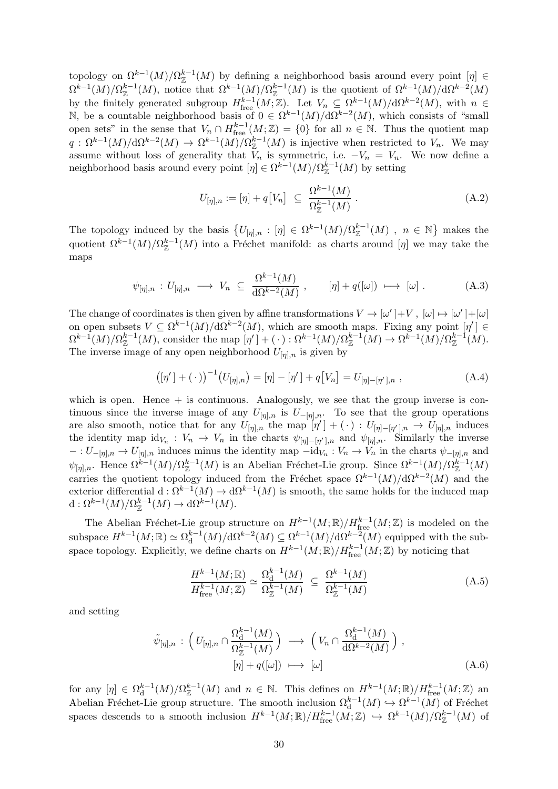topology on  $\Omega^{k-1}(M)/\Omega_{\mathbb{Z}}^{k-1}(M)$  by defining a neighborhood basis around every point  $[\eta] \in$  $\Omega^{k-1}(M)/\Omega^{k-1}_{\mathbb{Z}}(M)$ , notice that  $\Omega^{k-1}(M)/\Omega^{k-1}_{\mathbb{Z}}(M)$  is the quotient of  $\Omega^{k-1}(M)/d\Omega^{k-2}(M)$ by the finitely generated subgroup  $H^{k-1}_{\text{free}}(M;\mathbb{Z})$ . Let  $V_n \subseteq \Omega^{k-1}(M)/d\Omega^{k-2}(M)$ , with  $n \in$ N, be a countable neighborhood basis of  $0 \in \Omega^{k-1}(M)/d\Omega^{k-2}(M)$ , which consists of "small open sets" in the sense that  $V_n \cap H_{\text{free}}^{k-1}(M;\mathbb{Z}) = \{0\}$  for all  $n \in \mathbb{N}$ . Thus the quotient map  $q: \Omega^{k-1}(M)/d\Omega^{k-2}(M) \to \Omega^{k-1}(M)/\Omega_{\mathbb{Z}}^{k-1}(M)$  is injective when restricted to  $V_n$ . We may assume without loss of generality that  $V_n$  is symmetric, i.e.  $-V_n = V_n$ . We now define a neighborhood basis around every point  $[\eta] \in \Omega^{k-1}(M)/\Omega_{\mathbb{Z}}^{k-1}(M)$  by setting

$$
U_{[\eta],n} := [\eta] + q[V_n] \ \subseteq \ \frac{\Omega^{k-1}(M)}{\Omega_{\mathbb{Z}}^{k-1}(M)} \ . \tag{A.2}
$$

The topology induced by the basis  $\{U_{[\eta],n} : [\eta] \in \Omega^{k-1}(M)/\Omega_{\mathbb{Z}}^{k-1}(M) , n \in \mathbb{N}\}\$  makes the quotient  $\Omega^{k-1}(M)/\Omega_{\mathbb{Z}}^{k-1}(M)$  into a Fréchet manifold: as charts around  $[\eta]$  we may take the maps

$$
\psi_{[\eta],n} : U_{[\eta],n} \longrightarrow V_n \subseteq \frac{\Omega^{k-1}(M)}{\mathrm{d}\Omega^{k-2}(M)}, \qquad [\eta] + q([\omega]) \longrightarrow [\omega]. \tag{A.3}
$$

The change of coordinates is then given by affine transformations  $V \to [\omega'] + V$ ,  $[\omega] \mapsto [\omega'] + [\omega]$ on open subsets  $V \subseteq \Omega^{k-1}(M)/d\Omega^{k-2}(M)$ , which are smooth maps. Fixing any point  $[\eta'] \in$  $\Omega^{k-1}(M)/\Omega_{\mathbb{Z}}^{k-1}(M)$ , consider the map  $[\eta'] + (\cdot) : \Omega^{k-1}(M)/\Omega_{\mathbb{Z}}^{k-1}(M) \to \Omega^{k-1}(M)/\Omega_{\mathbb{Z}}^{k-1}(M)$ . The inverse image of any open neighborhood  $U_{[\eta],n}$  is given by

$$
([\eta'] + (\cdot))^{-1} (U_{[\eta],n}) = [\eta] - [\eta'] + q[V_n] = U_{[\eta] - [\eta'],n} , \qquad (A.4)
$$

which is open. Hence  $+$  is continuous. Analogously, we see that the group inverse is continuous since the inverse image of any  $U_{[\eta],n}$  is  $U_{-[\eta],n}$ . To see that the group operations are also smooth, notice that for any  $U_{[\eta],n}$  the map  $[\eta'] + (\cdot) : U_{[\eta]-[\eta'],n} \to U_{[\eta],n}$  induces the identity map  $\mathrm{id}_{V_n}: V_n \to V_n$  in the charts  $\psi_{[\eta]-[\eta'],n}$  and  $\psi_{[\eta],n}$ . Similarly the inverse  $-: U_{-[n],n} \to U_{[n],n}$  induces minus the identity map  $-i d_{V_n}: V_n \to V_n$  in the charts  $\psi_{-[n],n}$  and  $\psi_{[\eta],n}$ . Hence  $\Omega^{k-1}(M)/\Omega_{\mathbb{Z}}^{k-1}(M)$  is an Abelian Fréchet-Lie group. Since  $\Omega^{k-1}(M)/\Omega_{\mathbb{Z}}^{k-1}(M)$ carries the quotient topology induced from the Fréchet space  $\Omega^{k-1}(M)/d\Omega^{k-2}(M)$  and the exterior differential  $d: \Omega^{k-1}(M) \to d\Omega^{k-1}(M)$  is smooth, the same holds for the induced map  $d: \Omega^{k-1}(M)/\Omega^{k-1}_{\mathbb{Z}}(M) \to d\Omega^{k-1}(M).$ 

The Abelian Fréchet-Lie group structure on  $H^{k-1}(M;\mathbb{R})/H^{k-1}_{\text{free}}(M;\mathbb{Z})$  is modeled on the subspace  $H^{k-1}(M;\mathbb{R}) \simeq \Omega_d^{k-1}$  $\mathrm{d}^{k-1}(M)/\mathrm{d}\Omega^{k-2}(M) \subseteq \Omega^{k-1}(M)/\mathrm{d}\Omega^{k-2}(M)$  equipped with the subspace topology. Explicitly, we define charts on  $H^{k-1}(M;\mathbb{R})/H^{k-1}_{\text{free}}(M;\mathbb{Z})$  by noticing that

$$
\frac{H^{k-1}(M; \mathbb{R})}{H^{k-1}_{\text{free}}(M; \mathbb{Z})} \simeq \frac{\Omega_d^{k-1}(M)}{\Omega_{\mathbb{Z}}^{k-1}(M)} \ \subseteq \ \frac{\Omega^{k-1}(M)}{\Omega_{\mathbb{Z}}^{k-1}(M)} \tag{A.5}
$$

and setting

$$
\tilde{\psi}_{[\eta],n} : \left( U_{[\eta],n} \cap \frac{\Omega_d^{k-1}(M)}{\Omega_Z^{k-1}(M)} \right) \longrightarrow \left( V_n \cap \frac{\Omega_d^{k-1}(M)}{d\Omega^{k-2}(M)} \right), [\eta] + q([\omega]) \longrightarrow [\omega]
$$
\n(A.6)

for any  $[\eta] \in \Omega_d^{k-1}$  $\frac{k-1}{d}(M)/\Omega_{\mathbb{Z}}^{k-1}(M)$  and  $n \in \mathbb{N}$ . This defines on  $H^{k-1}(M;\mathbb{R})/H^{k-1}_{\text{free}}(M;\mathbb{Z})$  and Abelian Fréchet-Lie group structure. The smooth inclusion  $\Omega_d^{k-1}(M) \hookrightarrow \Omega^{k-1}(M)$  of Fréchet spaces descends to a smooth inclusion  $H^{k-1}(M;\mathbb{R})/H^{k-1}_{free}(M;\mathbb{Z}) \hookrightarrow \Omega^{k-1}(M)/\Omega_{\mathbb{Z}}^{k-1}(M)$  of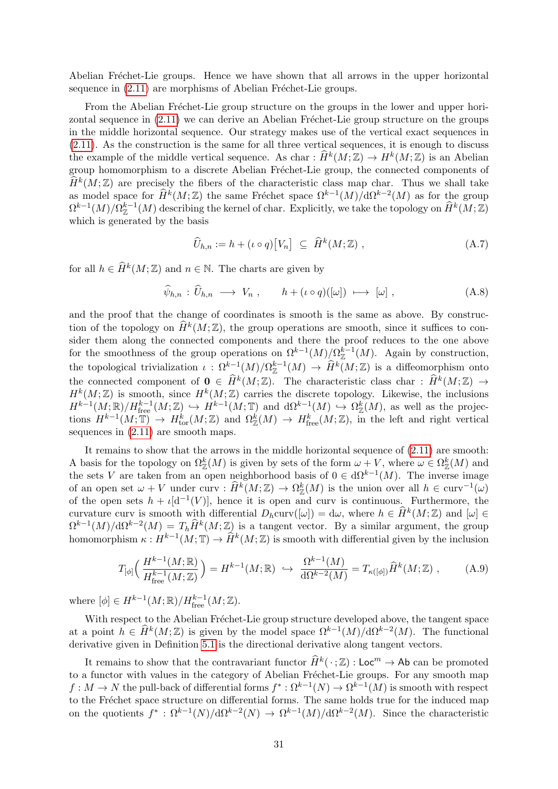Abelian Fréchet-Lie groups. Hence we have shown that all arrows in the upper horizontal sequence in  $(2.11)$  are morphisms of Abelian Fréchet-Lie groups.

From the Abelian Fréchet-Lie group structure on the groups in the lower and upper horizontal sequence in  $(2.11)$  we can derive an Abelian Fréchet-Lie group structure on the groups in the middle horizontal sequence. Our strategy makes use of the vertical exact sequences in [\(2.11\)](#page-6-0). As the construction is the same for all three vertical sequences, it is enough to discuss the example of the middle vertical sequence. As char :  $\widehat{H}^k(M; \mathbb{Z}) \to H^k(M; \mathbb{Z})$  is an Abelian group homomorphism to a discrete Abelian Fréchet-Lie group, the connected components of  $\hat{H}^k(M; \mathbb{Z})$  are precisely the fibers of the characteristic class map char. Thus we shall take as model space for  $\widehat{H}^k(M;\mathbb{Z})$  the same Fréchet space  $\Omega^{k-1}(M)/d\Omega^{k-2}(M)$  as for the group  $\Omega^{k-1}(M)/\Omega_{\mathbb{Z}}^{k-1}(M)$  describing the kernel of char. Explicitly, we take the topology on  $\widehat{H}^k(M;\mathbb{Z})$ which is generated by the basis

$$
\widehat{U}_{h,n} := h + (\iota \circ q) [V_n] \subseteq \widehat{H}^k(M; \mathbb{Z}), \qquad (A.7)
$$

for all  $h \in \widehat{H}^k(M; \mathbb{Z})$  and  $n \in \mathbb{N}$ . The charts are given by

$$
\widehat{\psi}_{h,n} : \widehat{U}_{h,n} \longrightarrow V_n , \qquad h + (\iota \circ q)([\omega]) \longmapsto [\omega] , \qquad (A.8)
$$

and the proof that the change of coordinates is smooth is the same as above. By construction of the topology on  $\widehat{H}^k(M; \mathbb{Z})$ , the group operations are smooth, since it suffices to consider them along the connected components and there the proof reduces to the one above for the smoothness of the group operations on  $\Omega^{k-1}(M)/\Omega_{\mathbb{Z}}^{k-1}(M)$ . Again by construction, the topological trivialization  $\iota : \Omega^{k-1}(M)/\Omega^{k-1}(M) \to \hat{H}^k(M;\mathbb{Z})$  is a diffeomorphism onto the connected component of  $\mathbf{0} \in \widehat{H}^k(M;\mathbb{Z})$ . The characteristic class char :  $\widehat{H}^k(M;\mathbb{Z}) \to$  $H^k(M;\mathbb{Z})$  is smooth, since  $H^k(M;\mathbb{Z})$  carries the discrete topology. Likewise, the inclusions  $H^{k-1}(M;\mathbb{R})/H^{k-1}_{\text{free}}(M;\mathbb{Z}) \hookrightarrow H^{k-1}(M;\mathbb{T})$  and  $d\Omega^{k-1}(M) \hookrightarrow \Omega_{\mathbb{Z}}^k(M)$ , as well as the projections  $H^{k-1}(M; \mathbb{T}) \to H^k_{tor}(M; \mathbb{Z})$  and  $\Omega^k_{\mathbb{Z}}(M) \to H^k_{free}(M; \mathbb{Z})$ , in the left and right vertical sequences in  $(2.11)$  are smooth maps.

It remains to show that the arrows in the middle horizontal sequence of [\(2.11\)](#page-6-0) are smooth: A basis for the topology on  $\Omega^k_Z(M)$  is given by sets of the form  $\omega + V$ , where  $\omega \in \Omega^k_Z(M)$  and the sets V are taken from an open neighborhood basis of  $0 \in d\Omega^{k-1}(M)$ . The inverse image of an open set  $\omega + V$  under curv :  $\widehat{H}^k(M; \mathbb{Z}) \to \Omega^k_{\mathbb{Z}}(M)$  is the union over all  $h \in \text{curv}^{-1}(\omega)$ of the open sets  $h + \iota[d^{-1}(V)]$ , hence it is open and curv is continuous. Furthermore, the curvature curv is smooth with differential  $D_h$ curv $([\omega]) = d\omega$ , where  $h \in \widehat{H}^k(M; \mathbb{Z})$  and  $[\omega] \in \Omega^{k-1}(\mathbb{Z}) \setminus \Omega^{k-2}(\mathbb{Z})$ .  $\Omega^{k-1}(M)/d\Omega^{k-2}(M) = T_h \hat{H}^k(M;\mathbb{Z})$  is a tangent vector. By a similar argument, the group homomorphism  $\kappa: H^{k-1}(M; \mathbb{T}) \to \widehat{H}^k(M; \mathbb{Z})$  is smooth with differential given by the inclusion

$$
T_{[\phi]}\Big(\frac{H^{k-1}(M;\mathbb{R})}{H_{\text{free}}^{k-1}(M;\mathbb{Z})}\Big) = H^{k-1}(M;\mathbb{R}) \hookrightarrow \frac{\Omega^{k-1}(M)}{\mathrm{d}\Omega^{k-2}(M)} = T_{\kappa([\phi])}\widehat{H}^k(M;\mathbb{Z}) ,\tag{A.9}
$$

where  $[\phi] \in H^{k-1}(M; \mathbb{R})/H^{k-1}_{\text{free}}(M; \mathbb{Z}).$ 

With respect to the Abelian Fréchet-Lie group structure developed above, the tangent space at a point  $h \in \widehat{H}^k(M; \mathbb{Z})$  is given by the model space  $\Omega^{k-1}(M)/d\Omega^{k-2}(M)$ . The functional derivative given in Definition [5.1](#page-17-2) is the directional derivative along tangent vectors.

It remains to show that the contravariant functor  $\widehat{H}^k(\cdot;\mathbb{Z}) : \mathsf{Loc}^m \to \mathsf{Ab}$  can be promoted to a functor with values in the category of Abelian Fréchet-Lie groups. For any smooth map  $f: M \to N$  the pull-back of differential forms  $f^*: \Omega^{k-1}(N) \to \Omega^{k-1}(M)$  is smooth with respect to the Fréchet space structure on differential forms. The same holds true for the induced map on the quotients  $f^*: \Omega^{k-1}(N)/d\Omega^{k-2}(N) \to \Omega^{k-1}(M)/d\Omega^{k-2}(M)$ . Since the characteristic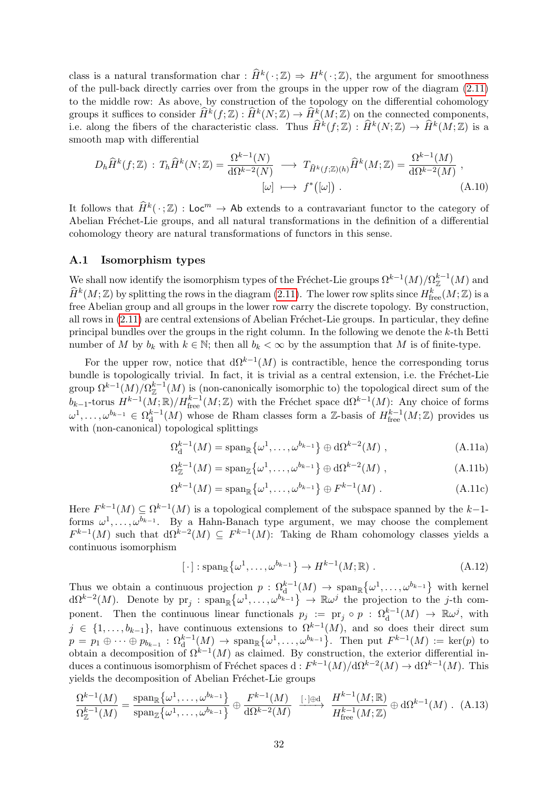class is a natural transformation char :  $\widehat{H}^k(\cdot;\mathbb{Z}) \Rightarrow H^k(\cdot;\mathbb{Z})$ , the argument for smoothness of the pull-back directly carries over from the groups in the upper row of the diagram [\(2.11\)](#page-6-0) to the middle row: As above, by construction of the topology on the differential cohomology groups it suffices to consider  $\widehat{H}^k(f; \mathbb{Z}) : \widehat{H}^k(N; \mathbb{Z}) \to \widehat{H}^k(M; \mathbb{Z})$  on the connected components, i.e. along the fibers of the characteristic class. Thus  $\widehat{H}^k(f; \mathbb{Z}) : \widehat{H}^k(N; \mathbb{Z}) \to \widehat{H}^k(M; \mathbb{Z})$  is a smooth map with differential

$$
D_h \widehat{H}^k(f; \mathbb{Z}) : T_h \widehat{H}^k(N; \mathbb{Z}) = \frac{\Omega^{k-1}(N)}{\mathrm{d}\Omega^{k-2}(N)} \longrightarrow T_{\widehat{H}^k(f; \mathbb{Z})(h)} \widehat{H}^k(M; \mathbb{Z}) = \frac{\Omega^{k-1}(M)}{\mathrm{d}\Omega^{k-2}(M)},
$$
\n
$$
[\omega] \longmapsto f^*([\omega]). \tag{A.10}
$$

It follows that  $\widehat{H}^k(\cdot;\mathbb{Z}) : \mathsf{Loc}^m \to \mathsf{Ab}$  extends to a contravariant functor to the category of Abelian Fréchet-Lie groups, and all natural transformations in the definition of a differential cohomology theory are natural transformations of functors in this sense.

### A.1 Isomorphism types

We shall now identify the isomorphism types of the Fréchet-Lie groups  $\Omega^{k-1}(M)/\Omega_{\mathbb{Z}}^{k-1}(M)$  and  $\widehat{H}^k(M;\mathbb{Z})$  by splitting the rows in the diagram [\(2.11\)](#page-6-0). The lower row splits since  $H^k_{\text{free}}(M;\mathbb{Z})$  is a free Abelian group and all groups in the lower row carry the discrete topology. By construction, all rows in  $(2.11)$  are central extensions of Abelian Fréchet-Lie groups. In particular, they define principal bundles over the groups in the right column. In the following we denote the k-th Betti number of M by  $b_k$  with  $k \in \mathbb{N}$ ; then all  $b_k < \infty$  by the assumption that M is of finite-type.

For the upper row, notice that  $d\Omega^{k-1}(M)$  is contractible, hence the corresponding torus bundle is topologically trivial. In fact, it is trivial as a central extension, i.e. the Fréchet-Lie group  $\Omega^{k-1}(M)/\Omega_{\mathbb{Z}}^{k-1}(M)$  is (non-canonically isomorphic to) the topological direct sum of the  $b_{k-1}$ -torus  $H^{k-1}(M;\mathbb{R})/H^{k-1}_{\text{free}}(M;\mathbb{Z})$  with the Fréchet space dΩ<sup>k−1</sup>(M): Any choice of forms  $\omega^1,\ldots,\omega^{b_{k-1}}\in\Omega^{k-1}_d$  $d^{k-1}(M)$  whose de Rham classes form a Z-basis of  $H^{k-1}_{\text{free}}(M;\mathbb{Z})$  provides us with (non-canonical) topological splittings

<span id="page-32-0"></span>
$$
\Omega_{\mathbf{d}}^{k-1}(M) = \operatorname{span}_{\mathbb{R}} \left\{ \omega^1, \ldots, \omega^{b_{k-1}} \right\} \oplus \mathbf{d} \Omega^{k-2}(M) , \qquad (A.11a)
$$

$$
\Omega_{\mathbb{Z}}^{k-1}(M) = \operatorname{span}_{\mathbb{Z}} \{ \omega^1, \dots, \omega^{b_{k-1}} \} \oplus \mathrm{d}\Omega^{k-2}(M) ,
$$
 (A.11b)

$$
\Omega^{k-1}(M) = \operatorname{span}_{\mathbb{R}} \left\{ \omega^1, \dots, \omega^{b_{k-1}} \right\} \oplus F^{k-1}(M) . \tag{A.11c}
$$

Here  $F^{k-1}(M) \subseteq \Omega^{k-1}(M)$  is a topological complement of the subspace spanned by the k-1forms  $\omega^1, \ldots, \omega^{b_{k-1}}$ . By a Hahn-Banach type argument, we may choose the complement  $F^{k-1}(M)$  such that  $d\Omega^{k-2}(M) \subseteq F^{k-1}(M)$ : Taking de Rham cohomology classes yields a continuous isomorphism

<span id="page-32-1"></span>
$$
[\cdot] : \operatorname{span}_{\mathbb{R}} \{ \omega^1, \dots, \omega^{b_{k-1}} \} \to H^{k-1}(M; \mathbb{R}) .
$$
 (A.12)

Thus we obtain a continuous projection  $p: \Omega_{\mathrm{d}}^{k-1}(M) \to \mathrm{span}_{\mathbb{R}}\{\omega^1,\ldots,\omega^{b_{k-1}}\}$  with kernel  $d\Omega^{k-2}(M)$ . Denote by  $\text{pr}_j$ :  $\text{span}_{\mathbb{R}}\{\omega^1,\ldots,\omega^{b_{k-1}}\} \to \mathbb{R}\omega^j$  the projection to the j-th component. Then the continuous linear functionals  $p_j := \text{pr}_j \circ p : \Omega_d^{k-1}(M) \to \mathbb{R} \omega^j$ , with  $j \in \{1, \ldots, b_{k-1}\},\$  have continuous extensions to  $\Omega^{k-1}(M)$ , and so does their direct sum  $p = p_1 \oplus \cdots \oplus p_{b_{k-1}} : \Omega_0^{k-1}(M) \to \text{span}_{\mathbb{R}}\big\{\omega^1,\ldots,\omega^{b_{k-1}}\big\}.$  Then put  $F^{k-1}(M) := \text{ker}(p)$  to obtain a decomposition of  $\Omega^{k-1}(M)$  as claimed. By construction, the exterior differential induces a continuous isomorphism of Fréchet spaces d :  $F^{k-1}(M)/d\Omega^{k-2}(M) \to d\Omega^{k-1}(M)$ . This yields the decomposition of Abelian Fréchet-Lie groups

$$
\frac{\Omega^{k-1}(M)}{\Omega_{\mathbb{Z}}^{k-1}(M)} = \frac{\operatorname{span}_{\mathbb{R}}\{\omega^1,\ldots,\omega^{b_{k-1}}\}}{\operatorname{span}_{\mathbb{Z}}\{\omega^1,\ldots,\omega^{b_{k-1}}\}} \oplus \frac{F^{k-1}(M)}{\mathrm{d}\Omega^{k-2}(M)} \xrightarrow{[\cdot]\oplus\mathrm{d}} \frac{H^{k-1}(M;\mathbb{R})}{H_{\text{free}}^{k-1}(M;\mathbb{Z})} \oplus \mathrm{d}\Omega^{k-1}(M) \ . \tag{A.13}
$$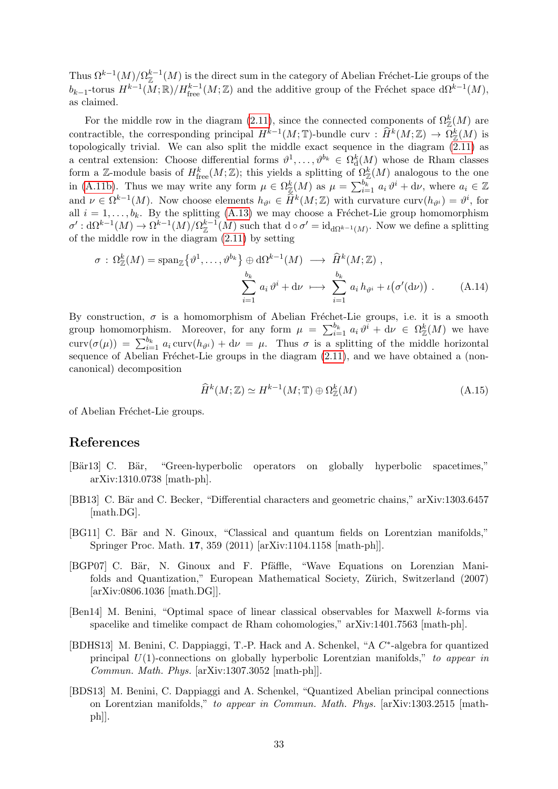Thus  $\Omega^{k-1}(M)/\Omega_{\mathbb{Z}}^{k-1}(M)$  is the direct sum in the category of Abelian Fréchet-Lie groups of the  $b_{k-1}$ -torus  $H^{k-1}(M;\mathbb{R})/H^{k-1}_{\text{free}}(M;\mathbb{Z})$  and the additive group of the Fréchet space  $d\Omega^{k-1}(M)$ , as claimed.

For the middle row in the diagram [\(2.11\)](#page-6-0), since the connected components of  $\Omega_{\mathbb{Z}}^k(M)$  are contractible, the corresponding principal  $H^{k-1}(M; \mathbb{T})$ -bundle curv :  $\hat{H}^k(M; \mathbb{Z}) \to \Omega^k(\mathbb{Z}/M)$  is topologically trivial. We can also split the middle exact sequence in the diagram  $(2.11)$  as a central extension: Choose differential forms  $\theta^1, \ldots, \theta^{b_k} \in \Omega_d^k(M)$  whose de Rham classes form a Z-module basis of  $H^k_{\text{free}}(M;\mathbb{Z})$ ; this yields a splitting of  $\Omega^k_{\mathbb{Z}}(M)$  analogous to the one in [\(A.11b\)](#page-32-0). Thus we may write any form  $\mu \in \Omega_{\mathbb{Z}}^k(M)$  as  $\mu = \sum_{i=1}^{b_k} a_i \vartheta^i + d\nu$ , where  $a_i \in \mathbb{Z}$ and  $\nu \in \Omega^{k-1}(M)$ . Now choose elements  $h_{\vartheta^i} \in \widehat{H}^k(M; \mathbb{Z})$  with curvature curv $(h_{\vartheta^i}) = \vartheta^i$ , for all  $i = 1, \ldots, b_k$ . By the splitting [\(A.13\)](#page-32-1) we may choose a Fréchet-Lie group homomorphism  $\sigma' : d\Omega^{k-1}(M) \to \Omega^{k-1}(M)/\Omega_{\mathbb{Z}}^{k-1}(M)$  such that  $d \circ \sigma' = id_{d\Omega^{k-1}(M)}$ . Now we define a splitting of the middle row in the diagram [\(2.11\)](#page-6-0) by setting

$$
\sigma : \Omega^k_{\mathbb{Z}}(M) = \operatorname{span}_{\mathbb{Z}}\left\{\vartheta^1, \dots, \vartheta^{b_k}\right\} \oplus \mathrm{d}\Omega^{k-1}(M) \longrightarrow \widehat{H}^k(M; \mathbb{Z}),
$$

$$
\sum_{i=1}^{b_k} a_i \vartheta^i + \mathrm{d}\nu \longrightarrow \sum_{i=1}^{b_k} a_i h_{\vartheta^i} + \iota(\sigma'(\mathrm{d}\nu)). \tag{A.14}
$$

By construction,  $\sigma$  is a homomorphism of Abelian Fréchet-Lie groups, i.e. it is a smooth group homomorphism. Moreover, for any form  $\mu = \sum_{i=1}^{b_k} a_i \vartheta^i + d\nu \in \Omega_{\mathbb{Z}}^k(M)$  we have curv $(\sigma(\mu)) = \sum_{i=1}^{b_k} a_i \text{curv}(h_{\vartheta^i}) + d\nu = \mu$ . Thus  $\sigma$  is a splitting of the middle horizontal sequence of Abelian Fréchet-Lie groups in the diagram  $(2.11)$ , and we have obtained a (noncanonical) decomposition

$$
\widehat{H}^k(M; \mathbb{Z}) \simeq H^{k-1}(M; \mathbb{T}) \oplus \Omega_{\mathbb{Z}}^k(M)
$$
\n(A.15)

of Abelian Fréchet-Lie groups.

## References

- <span id="page-33-6"></span>[Bär13] C. Bär, "Green-hyperbolic operators on globally hyperbolic spacetimes," arXiv:1310.0738 [math-ph].
- <span id="page-33-0"></span>[BB13] C. Bär and C. Becker, "Differential characters and geometric chains," arXiv:1303.6457 [math.DG].
- <span id="page-33-3"></span>[BG11] C. Bär and N. Ginoux, "Classical and quantum fields on Lorentzian manifolds," Springer Proc. Math. 17, 359 (2011) [arXiv:1104.1158 [math-ph]].
- <span id="page-33-4"></span>[BGP07] C. Bär, N. Ginoux and F. Pfäffle, "Wave Equations on Lorenzian Manifolds and Quantization," European Mathematical Society, Zürich, Switzerland (2007) [arXiv:0806.1036 [math.DG]].
- <span id="page-33-5"></span>[Ben14] M. Benini, "Optimal space of linear classical observables for Maxwell k-forms via spacelike and timelike compact de Rham cohomologies," arXiv:1401.7563 [math-ph].
- <span id="page-33-2"></span>[BDHS13] M. Benini, C. Dappiaggi, T.-P. Hack and A. Schenkel, "A C\*-algebra for quantized principal  $U(1)$ -connections on globally hyperbolic Lorentzian manifolds," to appear in Commun. Math. Phys. [arXiv:1307.3052 [math-ph]].
- <span id="page-33-1"></span>[BDS13] M. Benini, C. Dappiaggi and A. Schenkel, "Quantized Abelian principal connections on Lorentzian manifolds," to appear in Commun. Math. Phys. [arXiv:1303.2515 [math $ph$ .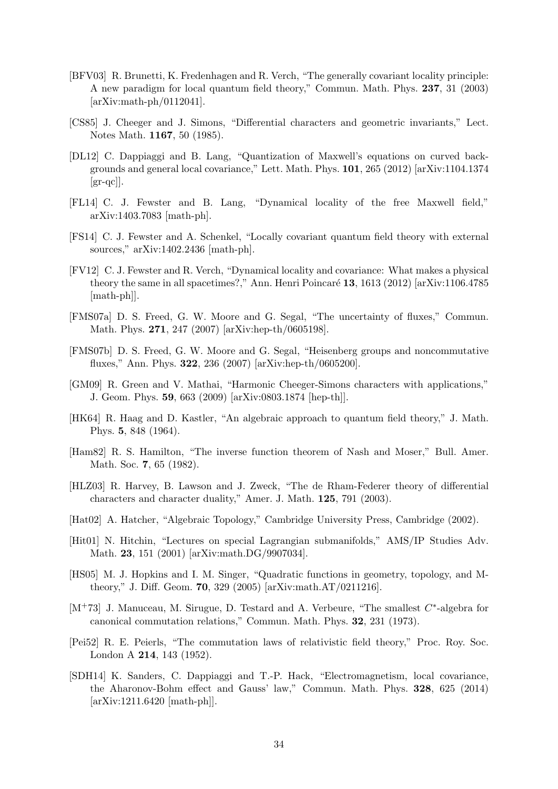- <span id="page-34-3"></span>[BFV03] R. Brunetti, K. Fredenhagen and R. Verch, "The generally covariant locality principle: A new paradigm for local quantum field theory," Commun. Math. Phys. 237, 31 (2003) [arXiv:math-ph/0112041].
- <span id="page-34-0"></span>[CS85] J. Cheeger and J. Simons, "Differential characters and geometric invariants," Lect. Notes Math. 1167, 50 (1985).
- <span id="page-34-14"></span>[DL12] C. Dappiaggi and B. Lang, "Quantization of Maxwell's equations on curved backgrounds and general local covariance," Lett. Math. Phys. 101, 265 (2012) [arXiv:1104.1374  $\left[\text{gr-qc}\right]$ .
- <span id="page-34-15"></span>[FL14] C. J. Fewster and B. Lang, "Dynamical locality of the free Maxwell field," arXiv:1403.7083 [math-ph].
- <span id="page-34-16"></span>[FS14] C. J. Fewster and A. Schenkel, "Locally covariant quantum field theory with external sources," arXiv:1402.2436 [math-ph].
- <span id="page-34-4"></span>[FV12] C. J. Fewster and R. Verch, "Dynamical locality and covariance: What makes a physical theory the same in all spacetimes?," Ann. Henri Poincaré  $13$ , 1613 (2012) [arXiv:1106.4785 [math-ph]].
- <span id="page-34-1"></span>[FMS07a] D. S. Freed, G. W. Moore and G. Segal, "The uncertainty of fluxes," Commun. Math. Phys. 271, 247 (2007) [arXiv:hep-th/0605198].
- <span id="page-34-2"></span>[FMS07b] D. S. Freed, G. W. Moore and G. Segal, "Heisenberg groups and noncommutative fluxes," Ann. Phys. 322, 236 (2007) [arXiv:hep-th/0605200].
- <span id="page-34-13"></span>[GM09] R. Green and V. Mathai, "Harmonic Cheeger-Simons characters with applications," J. Geom. Phys. 59, 663 (2009) [arXiv:0803.1874 [hep-th]].
- <span id="page-34-5"></span>[HK64] R. Haag and D. Kastler, "An algebraic approach to quantum field theory," J. Math. Phys. 5, 848 (1964).
- <span id="page-34-17"></span>[Ham82] R. S. Hamilton, "The inverse function theorem of Nash and Moser," Bull. Amer. Math. Soc. **7**, 65 (1982).
- <span id="page-34-6"></span>[HLZ03] R. Harvey, B. Lawson and J. Zweck, "The de Rham-Federer theory of differential characters and character duality," Amer. J. Math. 125, 791 (2003).
- <span id="page-34-9"></span>[Hat02] A. Hatcher, "Algebraic Topology," Cambridge University Press, Cambridge (2002).
- <span id="page-34-10"></span>[Hit01] N. Hitchin, "Lectures on special Lagrangian submanifolds," AMS/IP Studies Adv. Math. 23, 151 (2001) [arXiv:math.DG/9907034].
- <span id="page-34-11"></span>[HS05] M. J. Hopkins and I. M. Singer, "Quadratic functions in geometry, topology, and Mtheory," J. Diff. Geom. 70, 329 (2005) [arXiv:math.AT/0211216].
- <span id="page-34-8"></span>[M<sup>+</sup>73] J. Manuceau, M. Sirugue, D. Testard and A. Verbeure, "The smallest  $C^*$ -algebra for canonical commutation relations," Commun. Math. Phys. 32, 231 (1973).
- <span id="page-34-7"></span>[Pei52] R. E. Peierls, "The commutation laws of relativistic field theory," Proc. Roy. Soc. London A 214, 143 (1952).
- <span id="page-34-12"></span>[SDH14] K. Sanders, C. Dappiaggi and T.-P. Hack, "Electromagnetism, local covariance, the Aharonov-Bohm effect and Gauss' law," Commun. Math. Phys. 328, 625 (2014) [arXiv:1211.6420 [math-ph]].